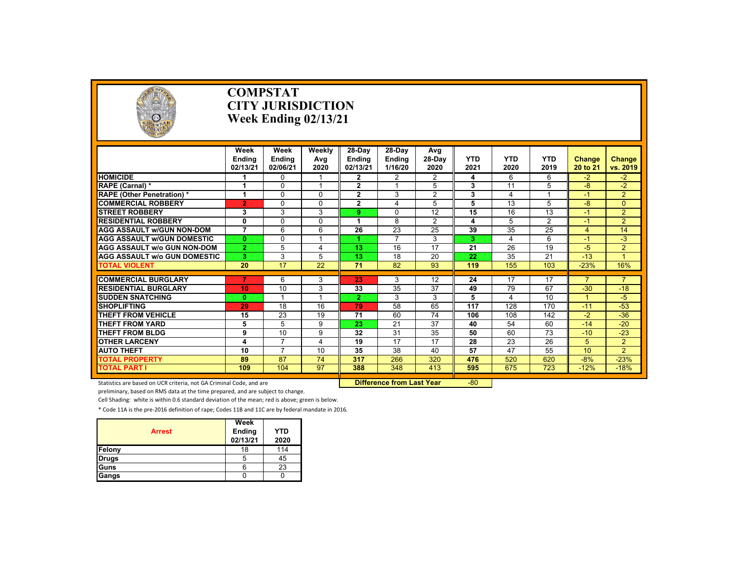

#### **COMPSTAT CITY JURISDICTIONWeek Ending 02/13/21**

|                                     | Week<br><b>Endina</b><br>02/13/21 | Week<br><b>Endina</b><br>02/06/21 | Weekly<br>Ava<br>2020   | 28-Dav<br><b>Endina</b><br>02/13/21 | 28-Dav<br><b>Endina</b><br>1/16/20 | Avg<br>28-Dav<br>2020 | <b>YTD</b><br>2021 | <b>YTD</b><br>2020 | <b>YTD</b><br>2019 | <b>Change</b><br>20 to 21 | <b>Change</b><br>vs. 2019 |
|-------------------------------------|-----------------------------------|-----------------------------------|-------------------------|-------------------------------------|------------------------------------|-----------------------|--------------------|--------------------|--------------------|---------------------------|---------------------------|
| <b>HOMICIDE</b>                     |                                   | $\Omega$                          |                         | 2                                   | 2                                  | $\overline{2}$        | 4                  | 6                  | 6                  | $-2$                      | $-2$                      |
| RAPE (Carnal) *                     | 1                                 | $\Omega$                          | $\overline{\mathbf{1}}$ | $\mathbf{2}$                        |                                    | 5                     | 3                  | 11                 | 5                  | -8                        | $-2$                      |
| <b>RAPE (Other Penetration) *</b>   |                                   | $\Omega$                          | $\Omega$                | $\mathbf{2}$                        | 3                                  | $\overline{2}$        | 3                  | 4                  |                    | $-1$                      | $\overline{2}$            |
| <b>COMMERCIAL ROBBERY</b>           | $\overline{2}$                    | $\Omega$                          | $\Omega$                | $\mathbf{2}$                        | 4                                  | 5                     | 5                  | 13                 | 5                  | -8                        | $\Omega$                  |
| <b>STREET ROBBERY</b>               | 3                                 | 3                                 | 3                       | 9                                   | $\Omega$                           | 12                    | 15                 | 16                 | 13                 | $-1$                      | $\overline{2}$            |
| <b>RESIDENTIAL ROBBERY</b>          | 0                                 | $\Omega$                          | $\Omega$                |                                     | 8                                  | 2                     | 4                  | 5                  | $\overline{2}$     | $-1$                      | $\overline{2}$            |
| <b>AGG ASSAULT w/GUN NON-DOM</b>    | $\overline{7}$                    | 6                                 | 6                       | 26                                  | 23                                 | 25                    | 39                 | 35                 | 25                 | $\overline{4}$            | 14                        |
| <b>AGG ASSAULT w/GUN DOMESTIC</b>   | $\mathbf{0}$                      | $\Omega$                          |                         |                                     | $\overline{ }$                     | 3                     | 3                  | 4                  | 6                  | $-1$                      | $-3$                      |
| <b>AGG ASSAULT W/o GUN NON-DOM</b>  | $\overline{2}$                    | 5                                 | 4                       | 13                                  | 16                                 | 17                    | 21                 | 26                 | 19                 | $-5$                      | $\overline{2}$            |
| <b>AGG ASSAULT W/o GUN DOMESTIC</b> | 3                                 | 3                                 | 5                       | 13                                  | 18                                 | 20                    | 22                 | 35                 | 21                 | $-13$                     |                           |
| <b>TOTAL VIOLENT</b>                | 20                                | 17                                | 22                      | 71                                  | 82                                 | 93                    | 119                | 155                | 103                | $-23%$                    | 16%                       |
|                                     |                                   |                                   |                         |                                     |                                    |                       |                    |                    |                    |                           |                           |
| <b>COMMERCIAL BURGLARY</b>          | 7                                 | 6                                 | 3                       | 23                                  | 3                                  | 12                    | 24                 | 17                 | 17                 | $\overline{7}$            | $\overline{7}$            |
| <b>RESIDENTIAL BURGLARY</b>         | 10                                | 10                                | 3                       | 33                                  | 35                                 | 37                    | 49                 | 79                 | 67                 | $-30$                     | $-18$                     |
| <b>SUDDEN SNATCHING</b>             | $\bf{0}$                          | $\overline{\mathbf{1}}$           | $\overline{\mathbf{A}}$ | $\mathbf{2}$                        | 3                                  | 3                     | 5                  | 4                  | 10                 |                           | $-5$                      |
| <b>SHOPLIFTING</b>                  | 29                                | 18                                | 16                      | 79                                  | 58                                 | 65                    | 117                | 128                | 170                | $-11$                     | $-53$                     |
| <b>THEFT FROM VEHICLE</b>           | 15                                | 23                                | 19                      | 71                                  | 60                                 | 74                    | 106                | 108                | 142                | $-2$                      | $-36$                     |
| THEFT FROM YARD                     | 5                                 | 5                                 | 9                       | 23                                  | 21                                 | 37                    | 40                 | 54                 | 60                 | $-14$                     | $-20$                     |
| <b>THEFT FROM BLDG</b>              | 9                                 | 10                                | 9                       | 32                                  | 31                                 | 35                    | 50                 | 60                 | 73                 | $-10$                     | $-23$                     |
| <b>OTHER LARCENY</b>                | 4                                 | $\overline{7}$                    | 4                       | 19                                  | 17                                 | 17                    | 28                 | 23                 | 26                 | 5                         | $\overline{2}$            |
| <b>AUTO THEFT</b>                   | 10                                | 7                                 | 10                      | 35                                  | 38                                 | 40                    | 57                 | 47                 | 55                 | 10                        | $\overline{2}$            |
| <b>TOTAL PROPERTY</b>               | 89                                | 87                                | 74                      | 317                                 | 266                                | 320                   | 476                | 520                | 620                | $-8%$                     | $-23%$                    |
| <b>TOTAL PART I</b>                 | 109                               | 104                               | 97                      | 388                                 | 348                                | 413                   | 595                | 675                | 723                | $-12%$                    | $-18%$                    |

Statistics are based on UCR criteria, not GA Criminal Code, and are **Difference from Last Year** -80

preliminary, based on RMS data at the time prepared, and are subject to change.

Cell Shading: white is within 0.6 standard deviation of the mean; red is above; green is below.

| <b>Arrest</b> | Week<br>Ending<br>02/13/21 | <b>YTD</b><br>2020 |
|---------------|----------------------------|--------------------|
| Felony        | 18                         | 114                |
| <b>Drugs</b>  | 5                          | 45                 |
| Guns          |                            | 23                 |
| Gangs         |                            |                    |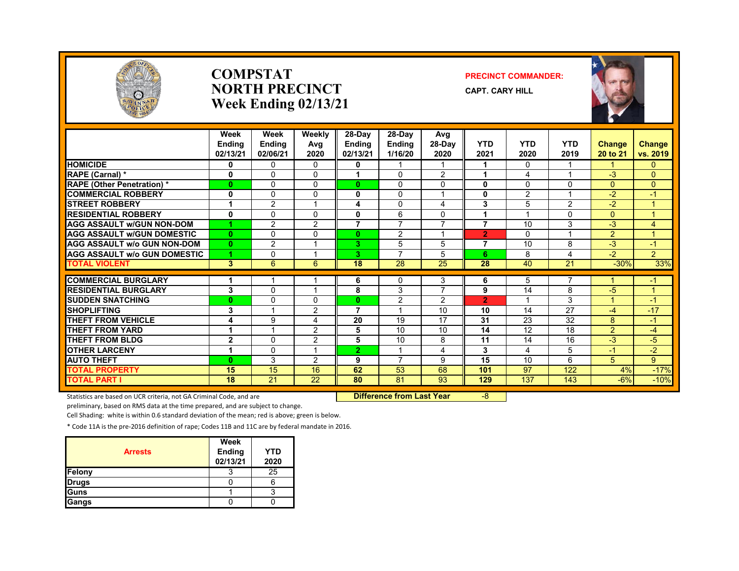

#### **COMPSTATNORTH PRECINCTWeek Ending 02/13/21**

#### **PRECINCT COMMANDER:**

**CAPT. CARY HILL**



|                                     | Week<br><b>Endina</b><br>02/13/21 | Week<br><b>Ending</b><br>02/06/21 | Weekly<br>Avg<br>2020 | $28-Day$<br><b>Endina</b><br>02/13/21 | $28-Dav$<br><b>Ending</b><br>1/16/20 | Avg<br>$28-Dav$<br>2020 | <b>YTD</b><br>2021 | <b>YTD</b><br>2020 | <b>YTD</b><br>2019 | <b>Change</b><br>20 to 21 | Change<br>vs. 2019 |
|-------------------------------------|-----------------------------------|-----------------------------------|-----------------------|---------------------------------------|--------------------------------------|-------------------------|--------------------|--------------------|--------------------|---------------------------|--------------------|
| <b>HOMICIDE</b>                     | 0                                 | $\mathbf{0}$                      | $\Omega$              | 0                                     |                                      |                         | 1                  | $\mathbf{0}$       |                    |                           | 0                  |
| RAPE (Carnal) *                     | 0                                 | $\Omega$                          | $\Omega$              |                                       | $\Omega$                             | 2                       | 1                  | 4                  |                    | $-3$                      | $\overline{0}$     |
| <b>RAPE (Other Penetration) *</b>   | $\mathbf{0}$                      | $\Omega$                          | $\Omega$              | $\bf{0}$                              | $\Omega$                             | $\Omega$                | 0                  | $\Omega$           | $\Omega$           | $\Omega$                  | $\mathbf{0}$       |
| <b>COMMERCIAL ROBBERY</b>           | $\mathbf{0}$                      | 0                                 | 0                     | 0                                     | $\Omega$                             |                         | 0                  | 2                  |                    | $-2$                      | $-1$               |
| <b>STREET ROBBERY</b>               | 1                                 | $\overline{2}$                    |                       | 4                                     | $\Omega$                             | 4                       | 3                  | 5                  | 2                  | $-2$                      | 1                  |
| <b>RESIDENTIAL ROBBERY</b>          | $\mathbf{0}$                      | $\Omega$                          | 0                     | 0                                     | 6                                    | $\Omega$                | 1                  |                    | $\Omega$           | $\Omega$                  | 1                  |
| <b>AGG ASSAULT W/GUN NON-DOM</b>    | 1                                 | $\overline{2}$                    | 2                     | 7                                     | $\overline{7}$                       | $\overline{7}$          | $\overline{7}$     | 10                 | 3                  | $-3$                      | 4                  |
| <b>AGG ASSAULT W/GUN DOMESTIC</b>   | $\mathbf{0}$                      | $\Omega$                          | $\Omega$              | $\bf{0}$                              | 2                                    | $\overline{ }$          | $\overline{2}$     | $\Omega$           |                    | $\overline{2}$            | $\mathbf{1}$       |
| <b>AGG ASSAULT w/o GUN NON-DOM</b>  | $\mathbf{0}$                      | 2                                 |                       | 3.                                    | 5                                    | 5                       | 7                  | 10                 | 8                  | $-3$                      | $-1$               |
| <b>AGG ASSAULT w/o GUN DOMESTIC</b> | 1                                 | 0                                 |                       | З.                                    | $\overline{ }$                       | 5                       | 6                  | 8                  | 4                  | $-2$                      | $\overline{2}$     |
| <b>TOTAL VIOLENT</b>                | 3                                 | 6                                 | 6                     | 18                                    | 28                                   | 25                      | 28                 | 40                 | 21                 | $-30%$                    | 33%                |
|                                     |                                   |                                   |                       |                                       |                                      |                         |                    |                    |                    |                           |                    |
| <b>COMMERCIAL BURGLARY</b>          |                                   |                                   |                       | 6                                     | 0                                    | 3                       | 6                  | 5                  |                    |                           | $-1$               |
| <b>RESIDENTIAL BURGLARY</b>         | 3                                 | $\Omega$                          |                       | 8                                     | 3                                    | 7                       | 9                  | 14                 | 8                  | $-5$                      | $\mathbf 1$        |
| <b>SUDDEN SNATCHING</b>             | $\bf{0}$                          | 0                                 | 0                     | 0                                     | 2                                    | 2                       | $\overline{2}$     |                    | 3                  |                           | $-1$               |
| <b>SHOPLIFTING</b>                  | 3                                 |                                   | 2                     | 7                                     |                                      | 10                      | 10                 | 14                 | 27                 | $-4$                      | $-17$              |
| <b>THEFT FROM VEHICLE</b>           | 4                                 | 9                                 | 4                     | 20                                    | 19                                   | 17                      | 31                 | 23                 | 32                 | 8                         | $-1$               |
| <b>THEFT FROM YARD</b>              | 1                                 |                                   | 2                     | 5                                     | 10                                   | 10                      | 14                 | 12                 | 18                 | $\overline{2}$            | $-4$               |
| <b>THEFT FROM BLDG</b>              | $\overline{2}$                    | $\Omega$                          | 2                     | 5                                     | 10                                   | 8                       | 11                 | 14                 | 16                 | $-3$                      | $-5$               |
| <b>OTHER LARCENY</b>                | 1                                 | $\Omega$                          |                       | $\overline{2}$                        |                                      | 4                       | 3                  | 4                  | 5                  | $-1$                      | $-2$               |
| <b>AUTO THEFT</b>                   | $\mathbf{0}$                      | 3                                 | 2                     | 9                                     | $\overline{ }$                       | 9                       | 15                 | 10                 | 6                  | 5                         | 9 <sup>°</sup>     |
| <b>TOTAL PROPERTY</b>               | 15                                | 15                                | 16                    | 62                                    | 53                                   | 68                      | 101                | 97                 | 122                | 4%                        | $-17%$             |
| <b>TOTAL PART I</b>                 | 18                                | 21                                | $\overline{22}$       | 80                                    | 81                                   | 93                      | 129                | 137                | 143                | $-6%$                     | $-10%$             |

Statistics are based on UCR criteria, not GA Criminal Code, and are **Difference from Last Year** -8

preliminary, based on RMS data at the time prepared, and are subject to change.

Cell Shading: white is within 0.6 standard deviation of the mean; red is above; green is below.

| <b>Arrests</b> | Week<br>Ending<br>02/13/21 | <b>YTD</b><br>2020 |
|----------------|----------------------------|--------------------|
| Felony         |                            | 25                 |
| <b>Drugs</b>   |                            |                    |
| Guns           |                            |                    |
| Gangs          |                            |                    |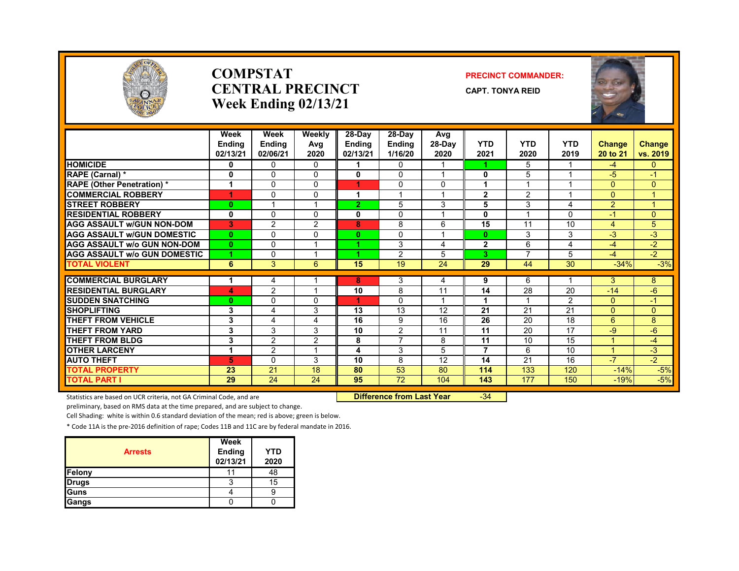

#### **COMPSTATCENTRAL PRECINCTWeek Ending 02/13/21**

#### **PRECINCT COMMANDER:**

**CAPT. TONYA REID**



|                                                           | Week<br><b>Ending</b><br>02/13/21 | Week<br><b>Ending</b><br>02/06/21 | Weekly<br>Avg<br>2020 | 28-Day<br><b>Ending</b><br>02/13/21 | $28-Dav$<br><b>Ending</b><br>1/16/20 | Avg<br>28-Day<br>2020   | <b>YTD</b><br>2021 | <b>YTD</b><br>2020 | <b>YTD</b><br>2019 | <b>Change</b><br>20 to 21 | <b>Change</b><br>vs. 2019 |
|-----------------------------------------------------------|-----------------------------------|-----------------------------------|-----------------------|-------------------------------------|--------------------------------------|-------------------------|--------------------|--------------------|--------------------|---------------------------|---------------------------|
| <b>HOMICIDE</b>                                           | 0                                 | $\mathbf{0}$                      | 0                     |                                     | $\mathbf{0}$                         |                         |                    | 5                  |                    | $-4$                      | 0                         |
| <b>RAPE (Carnal) *</b>                                    | 0                                 | $\Omega$                          | $\Omega$              | 0                                   | $\Omega$                             | $\overline{\mathbf{A}}$ | 0                  | 5                  | $\overline{ }$     | -5                        | $-1$                      |
| <b>RAPE (Other Penetration) *</b>                         | 1                                 | $\mathbf{0}$                      | $\Omega$              |                                     | 0                                    | $\Omega$                |                    |                    |                    | 0                         | 0                         |
| <b>COMMERCIAL ROBBERY</b>                                 | 4                                 | $\Omega$                          | 0                     | 4                                   |                                      |                         | $\mathbf{2}$       | 2                  |                    | 0                         |                           |
| <b>STREET ROBBERY</b>                                     | $\mathbf{0}$                      |                                   |                       | 2.                                  | 5                                    | 3                       | 5                  | 3                  | 4                  | $\overline{2}$            | z                         |
| <b>RESIDENTIAL ROBBERY</b>                                | 0                                 | $\mathbf{0}$                      | $\Omega$              | 0                                   | 0                                    | $\overline{\mathbf{A}}$ | 0                  |                    | $\Omega$           | $-1$                      | $\Omega$                  |
| <b>AGG ASSAULT W/GUN NON-DOM</b>                          | 3                                 | $\overline{2}$                    | $\overline{2}$        | 8                                   | 8                                    | 6                       | 15                 | 11                 | 10                 | 4                         | 5                         |
| <b>AGG ASSAULT W/GUN DOMESTIC</b>                         | $\mathbf{0}$                      | $\Omega$                          | $\Omega$              | 0                                   | $\Omega$                             |                         | $\bf{0}$           | 3                  | 3                  | $-3$                      | $-3$                      |
| <b>AGG ASSAULT w/o GUN NON-DOM</b>                        | $\mathbf{0}$                      | $\Omega$                          |                       |                                     | 3                                    | 4                       | $\mathbf{2}$       | 6                  | 4                  | $-4$                      | $-2$                      |
| <b>AGG ASSAULT W/o GUN DOMESTIC</b>                       | 4                                 | $\Omega$                          |                       |                                     | $\overline{2}$                       | 5                       | 3                  | $\overline{7}$     | 5                  | $-4$                      | $-2$                      |
| <b>TOTAL VIOLENT</b>                                      | 6                                 | 3                                 | 6                     | 15                                  | 19                                   | 24                      | 29                 | 44                 | $\overline{30}$    | $-34%$                    | $-3%$                     |
|                                                           |                                   |                                   |                       |                                     |                                      |                         |                    |                    |                    |                           |                           |
| <b>COMMERCIAL BURGLARY</b><br><b>RESIDENTIAL BURGLARY</b> | 1                                 | $\overline{4}$                    |                       | 8                                   | 3                                    | 4<br>11                 | 9                  | 6                  |                    | 3                         | 8                         |
|                                                           | 4                                 | $\overline{2}$                    |                       | 10<br>4.                            | 8                                    |                         | 14                 | 28                 | 20                 | $-14$                     | $-6$                      |
| <b>SUDDEN SNATCHING</b>                                   | $\mathbf{0}$                      | $\Omega$                          | $\Omega$              |                                     | $\Omega$                             |                         |                    |                    | $\overline{2}$     | $\Omega$                  | $\blacksquare$            |
| <b>SHOPLIFTING</b><br>THEFT FROM VEHICLE                  | 3                                 | 4                                 | 3                     | 13<br>16                            | 13                                   | 12<br>16                | 21                 | 21                 | 21                 | 0                         | 0                         |
|                                                           | 3                                 | $\overline{4}$                    | 4                     |                                     | 9                                    |                         | 26                 | 20                 | 18<br>17           | 6                         | 8                         |
| <b>THEFT FROM YARD</b>                                    | 3                                 | 3                                 | 3                     | 10                                  | 2<br>$\overline{7}$                  | 11                      | 11                 | 20                 |                    | -9<br>4                   | $-6$                      |
| THEFT FROM BLDG                                           | 3                                 | $\overline{2}$                    | 2                     | 8                                   |                                      | 8                       | 11                 | 10                 | 15                 | $\overline{A}$            | -4                        |
| <b>OTHER LARCENY</b>                                      | 1                                 | $\overline{2}$                    |                       | 4                                   | 3                                    | 5                       | $\overline{7}$     | 6                  | 10                 |                           | $-3$                      |
| <b>AUTO THEFT</b>                                         | 5                                 | $\Omega$                          | 3                     | 10                                  | 8                                    | 12                      | 14                 | 21                 | 16                 | $-7$                      | $-2$                      |
| <b>TOTAL PROPERTY</b>                                     | 23                                | $\overline{21}$                   | 18                    | 80                                  | $\overline{53}$                      | 80                      | 114                | 133                | 120                | $-14%$                    | $-5%$                     |
| <b>TOTAL PART I</b>                                       | 29                                | 24                                | 24                    | 95                                  | 72                                   | 104                     | 143                | 177                | 150                | $-19%$                    | $-5%$                     |

Statistics are based on UCR criteria, not GA Criminal Code, and are **Difference from Last Year** -34

preliminary, based on RMS data at the time prepared, and are subject to change.

Cell Shading: white is within 0.6 standard deviation of the mean; red is above; green is below.

| <b>Arrests</b> | Week<br>Ending<br>02/13/21 | <b>YTD</b><br>2020 |
|----------------|----------------------------|--------------------|
| Felony         |                            | 48                 |
| <b>Drugs</b>   |                            | 15                 |
| Guns           |                            |                    |
| Gangs          |                            |                    |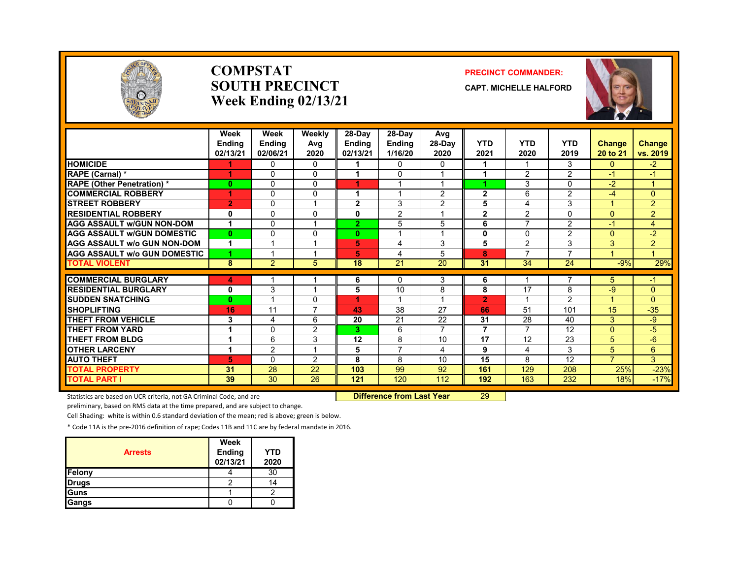

#### **COMPSTATSOUTH PRECINCTWeek Ending 02/13/21**

#### **PRECINCT COMMANDER:**

**CAPT. MICHELLE HALFORD**



|                                                           | Week<br><b>Ending</b><br>02/13/21 | Week<br>Ending<br>02/06/21 | Weekly<br>Avg<br>2020 | 28-Day<br><b>Ending</b><br>02/13/21 | 28-Day<br><b>Ending</b><br>1/16/20 | Avg<br>$28-Dav$<br>2020 | <b>YTD</b><br>2021 | <b>YTD</b><br>2020 | <b>YTD</b><br>2019 | <b>Change</b><br>20 to 21      | <b>Change</b><br>vs. 2019 |
|-----------------------------------------------------------|-----------------------------------|----------------------------|-----------------------|-------------------------------------|------------------------------------|-------------------------|--------------------|--------------------|--------------------|--------------------------------|---------------------------|
| <b>HOMICIDE</b>                                           |                                   | 0                          | $\Omega$              | 1                                   | $\mathbf{0}$                       | $\mathbf{0}$            | 1                  |                    | 3                  | $\Omega$                       | $-2$                      |
| <b>RAPE (Carnal) *</b>                                    | 4                                 | $\Omega$                   | 0                     | 1                                   | $\Omega$                           |                         | 4                  | $\overline{2}$     | $\overline{2}$     | -1                             | $-1$                      |
| <b>RAPE (Other Penetration) *</b>                         | $\bf{0}$                          | $\Omega$                   | 0                     | 4.                                  |                                    |                         |                    | 3                  | $\Omega$           | $-2$                           | $\blacktriangleleft$      |
| <b>COMMERCIAL ROBBERY</b>                                 |                                   | 0                          | $\Omega$              | 4                                   |                                    | $\overline{2}$          | $\overline{2}$     | 6                  | 2                  | $-4$                           | $\Omega$                  |
| <b>STREET ROBBERY</b>                                     | $\overline{2}$                    | $\Omega$                   |                       | $\mathbf{2}$                        | 3                                  | 2                       | 5                  | 4                  | 3                  | $\overline{A}$                 | $\overline{2}$            |
| <b>RESIDENTIAL ROBBERY</b>                                | 0                                 | $\Omega$                   | 0                     | 0                                   | $\overline{2}$                     |                         | $\overline{2}$     | 2                  | 0                  | $\Omega$                       | $\overline{2}$            |
| <b>AGG ASSAULT w/GUN NON-DOM</b>                          | $\overline{1}$                    | $\Omega$                   |                       | $\overline{2}$                      | 5                                  | 5                       | 6                  | 7                  | $\overline{2}$     | $-1$                           | $\overline{4}$            |
| <b>AGG ASSAULT W/GUN DOMESTIC</b>                         | $\bf{0}$                          | $\Omega$                   | 0                     | $\bf{0}$                            | $\overline{\mathbf{A}}$            | $\overline{\mathbf{A}}$ | 0                  | $\Omega$           | $\overline{2}$     | $\Omega$                       | $-2$                      |
| <b>AGG ASSAULT w/o GUN NON-DOM</b>                        |                                   |                            |                       | 5                                   | 4                                  | 3                       | 5                  | 2                  | 3                  | 3                              | $\overline{2}$            |
| <b>AGG ASSAULT w/o GUN DOMESTIC</b>                       | 1                                 |                            |                       | 5                                   | 4                                  | 5                       | 8                  | 7                  | 7                  |                                | $\overline{4}$            |
| <b>TOTAL VIOLENT</b>                                      | 8                                 | 2                          | 5                     | 18                                  | 21                                 | 20                      | 31                 | 34                 | 24                 | $-9%$                          | 29%                       |
|                                                           |                                   |                            |                       |                                     |                                    |                         |                    |                    | 7                  |                                |                           |
| <b>COMMERCIAL BURGLARY</b><br><b>RESIDENTIAL BURGLARY</b> | 4                                 |                            |                       | 6                                   | 0<br>10                            | 3                       | 6<br>8             | 17                 |                    | 5 <sup>5</sup>                 | -1                        |
|                                                           | 0                                 | 3                          |                       | 5<br>4.                             | $\overline{\mathbf{A}}$            | 8                       |                    |                    | 8                  | -9<br>$\overline{\mathcal{A}}$ | $\mathbf{0}$              |
| <b>SUDDEN SNATCHING</b><br><b>SHOPLIFTING</b>             | $\mathbf{0}$                      |                            | 0<br>⇁                |                                     |                                    | 27                      | $\overline{2}$     |                    | $\overline{2}$     |                                | $\mathbf{0}$              |
|                                                           | 16                                | 11                         |                       | 43                                  | 38                                 |                         | 66                 | 51                 | 101                | 15                             | $-35$                     |
| THEFT FROM VEHICLE                                        | 3                                 | 4                          | 6                     | 20                                  | 21                                 | 22                      | 31                 | 28                 | 40                 | 3                              | -9                        |
| <b>THEFT FROM YARD</b>                                    |                                   | $\Omega$                   | 2                     | 3                                   | 6                                  | $\overline{7}$          | $\overline{7}$     | 7                  | 12                 | $\Omega$                       | $-5$                      |
| <b>THEFT FROM BLDG</b>                                    | 1                                 | 6                          | 3                     | 12                                  | 8                                  | 10                      | 17                 | 12                 | 23                 | 5                              | -6                        |
| <b>OTHER LARCENY</b>                                      | 1                                 | $\overline{2}$             | $\overline{A}$        | 5                                   | $\overline{7}$                     | 4                       | 9                  | 4                  | 3                  | 5                              | $6^{\circ}$               |
| <b>AUTO THEFT</b>                                         | 5                                 | $\Omega$                   | 2                     | 8                                   | 8                                  | 10                      | 15                 | 8                  | 12                 | $\overline{7}$                 | $\mathbf{3}$              |
| <b>TOTAL PROPERTY</b>                                     | 31                                | 28                         | 22                    | 103                                 | 99                                 | 92                      | 161                | 129                | 208                | 25%                            | $-23%$                    |
| <b>TOTAL PART I</b>                                       | 39                                | 30                         | 26                    | 121                                 | 120                                | 112                     | 192                | 163                | 232                | 18%                            | $-17%$                    |

Statistics are based on UCR criteria, not GA Criminal Code, and are **Difference from Last Year** 29

preliminary, based on RMS data at the time prepared, and are subject to change.

Cell Shading: white is within 0.6 standard deviation of the mean; red is above; green is below.

| <b>Arrests</b> | Week<br>Ending<br>02/13/21 | <b>YTD</b><br>2020 |
|----------------|----------------------------|--------------------|
| Felony         |                            | 30                 |
| <b>Drugs</b>   |                            | 14                 |
| Guns           |                            |                    |
| Gangs          |                            |                    |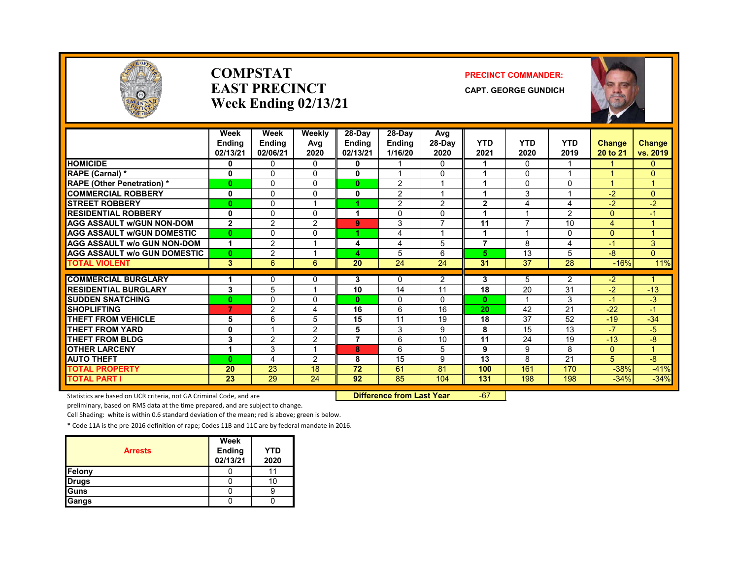

#### **COMPSTATEAST PRECINCTWeek Ending 02/13/21**

#### **PRECINCT COMMANDER:**

**CAPT. GEORGE GUNDICH**



|                                     | Week           | Week           | Weekly         | $28-Day$       | $28-Dav$       | Avg            |                |                          |                |               |                      |
|-------------------------------------|----------------|----------------|----------------|----------------|----------------|----------------|----------------|--------------------------|----------------|---------------|----------------------|
|                                     | <b>Ending</b>  | Ending         | Avg            | <b>Ending</b>  | <b>Endina</b>  | $28-Dav$       | <b>YTD</b>     | <b>YTD</b>               | <b>YTD</b>     | <b>Change</b> | <b>Change</b>        |
|                                     | 02/13/21       | 02/06/21       | 2020           | 02/13/21       | 1/16/20        | 2020           | 2021           | 2020                     | 2019           | 20 to 21      | vs. 2019             |
| <b>HOMICIDE</b>                     | 0              | $\Omega$       | 0              | 0              |                | 0              |                | $\Omega$                 |                |               | 0                    |
| <b>RAPE (Carnal) *</b>              | 0              | 0              | 0              | 0              |                | 0              |                | 0                        |                |               | $\mathbf{0}$         |
| <b>RAPE</b> (Other Penetration) *   | $\mathbf{0}$   | $\Omega$       | 0              | $\mathbf{0}$   | 2              | 1              | 4              | $\Omega$                 | $\Omega$       |               | 1                    |
| <b>COMMERCIAL ROBBERY</b>           | 0              | $\Omega$       | 0              | 0              | $\overline{2}$ | 1              |                | 3                        |                | $-2$          | $\Omega$             |
| <b>STREET ROBBERY</b>               | $\mathbf{0}$   | $\Omega$       |                |                | 2              | 2              | $\overline{2}$ | 4                        | 4              | $-2$          | $-2$                 |
| <b>RESIDENTIAL ROBBERY</b>          | 0              | $\Omega$       | 0              |                | 0              | $\Omega$       |                |                          | $\overline{2}$ | 0             | $-1$                 |
| <b>AGG ASSAULT w/GUN NON-DOM</b>    | $\overline{2}$ | $\overline{c}$ | 2              | 9              | 3              | $\overline{7}$ | 11             | $\overline{\phantom{a}}$ | 10             | 4             | 1                    |
| <b>AGG ASSAULT W/GUN DOMESTIC</b>   | $\mathbf{0}$   | $\Omega$       | 0              | 4.             | 4              | 1              | 1              | $\overline{\mathbf{A}}$  | 0              | $\Omega$      | 1                    |
| <b>AGG ASSAULT w/o GUN NON-DOM</b>  | 1              | $\overline{2}$ |                | 4              | 4              | 5              | 7              | 8                        | 4              | $-1$          | 3                    |
| <b>AGG ASSAULT w/o GUN DOMESTIC</b> | $\mathbf{0}$   | $\overline{2}$ |                | 4              | 5              | 6              | 5.             | 13                       | 5              | -8            | $\overline{0}$       |
| <b>TOTAL VIOLENT</b>                | 3              | 6              | 6              | 20             | 24             | 24             | 31             | 37                       | 28             | $-16%$        | 11%                  |
|                                     |                |                |                |                |                |                |                |                          |                |               |                      |
| <b>COMMERCIAL BURGLARY</b>          |                | 0              | 0              | 3              | 0              | $\overline{2}$ | 3              | 5                        | $\overline{2}$ | $-2$          | 1                    |
| <b>RESIDENTIAL BURGLARY</b>         | 3              | 5              |                | 10             | 14             | 11             | 18             | 20                       | 31             | $-2$          | $-13$                |
| <b>SUDDEN SNATCHING</b>             | $\mathbf{0}$   | 0              | 0              | $\mathbf{0}$   | 0              | 0              | $\mathbf{0}$   |                          | 3              | $-1$          | $-3$                 |
| <b>SHOPLIFTING</b>                  | 7              | $\overline{2}$ | 4              | 16             | 6              | 16             | 20             | 42                       | 21             | $-22$         | $\blacktriangleleft$ |
| <b>THEFT FROM VEHICLE</b>           | 5              | 6              | 5              | 15             | 11             | 19             | 18             | 37                       | 52             | $-19$         | $-34$                |
| <b>THEFT FROM YARD</b>              | $\mathbf 0$    |                | $\overline{2}$ | 5              | 3              | 9              | 8              | 15                       | 13             | $-7$          | $-5$                 |
| <b>THEFT FROM BLDG</b>              | 3              | 2              | $\overline{2}$ | $\overline{7}$ | 6              | 10             | 11             | 24                       | 19             | $-13$         | $-8$                 |
| <b>OTHER LARCENY</b>                | 1              | 3              |                | 8              | 6              | 5              | 9              | 9                        | 8              | $\Omega$      | 1.                   |
| <b>AUTO THEFT</b>                   | $\mathbf{0}$   | 4              | 2              | 8              | 15             | 9              | 13             | 8                        | 21             | 5             | $-8$                 |
| <b>TOTAL PROPERTY</b>               | 20             | 23             | 18             | 72             | 61             | 81             | 100            | 161                      | 170            | $-38%$        | $-41%$               |
| <b>TOTAL PART I</b>                 | 23             | 29             | 24             | 92             | 85             | 104            | 131            | 198                      | 198            | $-34%$        | $-34%$               |

Statistics are based on UCR criteria, not GA Criminal Code, and are **Difference from Last Year** -67

preliminary, based on RMS data at the time prepared, and are subject to change.

Cell Shading: white is within 0.6 standard deviation of the mean; red is above; green is below.

| <b>Arrests</b> | Week<br><b>Ending</b><br>02/13/21 | YTD<br>2020 |
|----------------|-----------------------------------|-------------|
| Felony         |                                   |             |
| <b>Drugs</b>   |                                   |             |
| Guns           |                                   |             |
| Gangs          |                                   |             |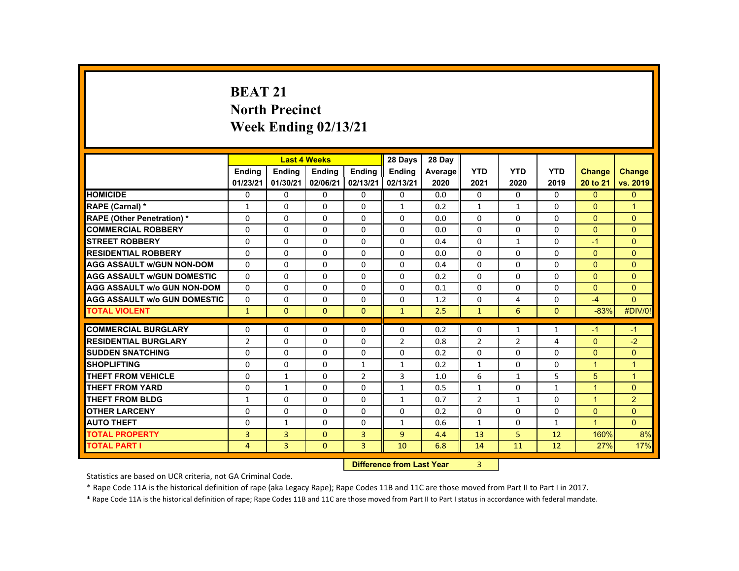# **BEAT 21 North Precinct Week Ending 02/13/21**

|                                     |                |                | <b>Last 4 Weeks</b>              |                | 28 Days        | 28 Day  |                |              |              |                      |                      |
|-------------------------------------|----------------|----------------|----------------------------------|----------------|----------------|---------|----------------|--------------|--------------|----------------------|----------------------|
|                                     | <b>Ending</b>  | <b>Ending</b>  | <b>Ending</b>                    | <b>Ending</b>  | <b>Ending</b>  | Average | <b>YTD</b>     | <b>YTD</b>   | <b>YTD</b>   | <b>Change</b>        | <b>Change</b>        |
|                                     | 01/23/21       | 01/30/21       | 02/06/21                         | 02/13/21       | 02/13/21       | 2020    | 2021           | 2020         | 2019         | 20 to 21             | vs. 2019             |
| <b>HOMICIDE</b>                     | 0              | $\Omega$       | $\mathbf{0}$                     | $\Omega$       | 0              | 0.0     | 0              | $\Omega$     | 0            | $\mathbf{0}$         | $\mathbf{0}$         |
| RAPE (Carnal) *                     | 1              | $\Omega$       | $\Omega$                         | $\Omega$       | $\mathbf{1}$   | 0.2     | $\mathbf{1}$   | $\mathbf{1}$ | $\Omega$     | $\Omega$             | $\blacktriangleleft$ |
| <b>RAPE (Other Penetration) *</b>   | $\Omega$       | $\Omega$       | $\Omega$                         | $\Omega$       | $\Omega$       | 0.0     | $\Omega$       | $\Omega$     | $\Omega$     | $\Omega$             | $\Omega$             |
| <b>COMMERCIAL ROBBERY</b>           | $\Omega$       | $\Omega$       | $\Omega$                         | 0              | 0              | 0.0     | $\Omega$       | $\Omega$     | $\Omega$     | $\Omega$             | $\Omega$             |
| <b>STREET ROBBERY</b>               | 0              | $\Omega$       | $\mathbf{0}$                     | $\mathbf{0}$   | 0              | 0.4     | $\Omega$       | $\mathbf{1}$ | $\Omega$     | $-1$                 | $\Omega$             |
| <b>RESIDENTIAL ROBBERY</b>          | $\Omega$       | $\Omega$       | $\Omega$                         | $\Omega$       | $\Omega$       | 0.0     | $\Omega$       | $\Omega$     | $\Omega$     | $\Omega$             | $\Omega$             |
| <b>AGG ASSAULT W/GUN NON-DOM</b>    | $\Omega$       | $\Omega$       | $\Omega$                         | $\Omega$       | $\Omega$       | 0.4     | $\Omega$       | $\Omega$     | $\Omega$     | $\Omega$             | $\Omega$             |
| <b>AGG ASSAULT W/GUN DOMESTIC</b>   | $\Omega$       | $\Omega$       | $\Omega$                         | $\Omega$       | $\Omega$       | 0.2     | $\Omega$       | $\Omega$     | $\Omega$     | $\Omega$             | $\Omega$             |
| <b>AGG ASSAULT W/o GUN NON-DOM</b>  | $\Omega$       | $\mathbf{0}$   | $\mathbf{0}$                     | 0              | 0              | 0.1     | $\Omega$       | 0            | $\Omega$     | $\Omega$             | $\overline{0}$       |
| <b>AGG ASSAULT W/o GUN DOMESTIC</b> | $\mathbf{0}$   | $\Omega$       | $\Omega$                         | $\Omega$       | $\Omega$       | 1.2     | $\Omega$       | 4            | $\Omega$     | $-4$                 | $\Omega$             |
| <b>TOTAL VIOLENT</b>                | $\mathbf{1}$   | $\mathbf{0}$   | $\mathbf{0}$                     | $\mathbf{0}$   | $\mathbf{1}$   | 2.5     | $\mathbf{1}$   | 6            | $\mathbf{0}$ | $-83%$               | #DIV/0!              |
| <b>COMMERCIAL BURGLARY</b>          | $\mathbf{0}$   | $\Omega$       | $\Omega$                         | $\Omega$       | $\Omega$       | 0.2     | $\Omega$       | $\mathbf{1}$ | $\mathbf{1}$ | $-1$                 | $-1$                 |
| <b>RESIDENTIAL BURGLARY</b>         | $\overline{2}$ | $\Omega$       | $\Omega$                         | $\Omega$       | $\overline{2}$ | 0.8     | $\overline{2}$ | 2            | 4            | $\Omega$             | $-2$                 |
| <b>SUDDEN SNATCHING</b>             | $\Omega$       | $\Omega$       | $\Omega$                         | $\Omega$       | $\Omega$       | 0.2     | $\Omega$       | $\Omega$     | $\Omega$     | $\Omega$             | $\Omega$             |
| <b>SHOPLIFTING</b>                  | $\Omega$       | $\mathbf{0}$   | $\mathbf{0}$                     | 1              | $\mathbf{1}$   | 0.2     | $\mathbf{1}$   | 0            | 0            | $\overline{1}$       | $\overline{1}$       |
| <b>THEFT FROM VEHICLE</b>           | $\Omega$       | $\mathbf{1}$   | $\Omega$                         | $\overline{2}$ | 3              | 1.0     | 6              | $\mathbf{1}$ | 5            | 5                    | $\blacktriangleleft$ |
| <b>THEFT FROM YARD</b>              | $\mathbf{0}$   | $\mathbf{1}$   | $\Omega$                         | $\Omega$       | $\mathbf{1}$   | 0.5     | $\mathbf{1}$   | $\Omega$     | $\mathbf{1}$ | $\overline{1}$       | $\mathbf{0}$         |
| <b>THEFT FROM BLDG</b>              | $\mathbf{1}$   | $\Omega$       | $\Omega$                         | $\Omega$       | $\mathbf{1}$   | 0.7     | $\overline{2}$ | $\mathbf{1}$ | $\Omega$     | $\blacktriangleleft$ | $\overline{2}$       |
| <b>OTHER LARCENY</b>                | $\mathbf{0}$   | $\Omega$       | $\Omega$                         | $\Omega$       | $\Omega$       | 0.2     | $\Omega$       | $\Omega$     | $\Omega$     | $\Omega$             | $\Omega$             |
| <b>AUTO THEFT</b>                   | $\Omega$       | $\mathbf{1}$   | $\Omega$                         | $\Omega$       | 1              | 0.6     | $\mathbf{1}$   | $\Omega$     | $\mathbf{1}$ | $\blacktriangleleft$ | $\Omega$             |
| <b>TOTAL PROPERTY</b>               | 3              | $\overline{3}$ | $\Omega$                         | $\overline{3}$ | $\overline{9}$ | 4.4     | 13             | 5            | 12           | 160%                 | 8%                   |
| <b>TOTAL PART I</b>                 | $\overline{4}$ | $\overline{3}$ | $\mathbf{0}$                     | $\overline{3}$ | 10             | 6.8     | 14             | 11           | 12           | 27%                  | 17%                  |
|                                     |                |                | <b>Difference from Last Year</b> |                | 3              |         |                |              |              |                      |                      |

 **Difference from Last Year** 3

Statistics are based on UCR criteria, not GA Criminal Code.

\* Rape Code 11A is the historical definition of rape (aka Legacy Rape); Rape Codes 11B and 11C are those moved from Part II to Part I in 2017.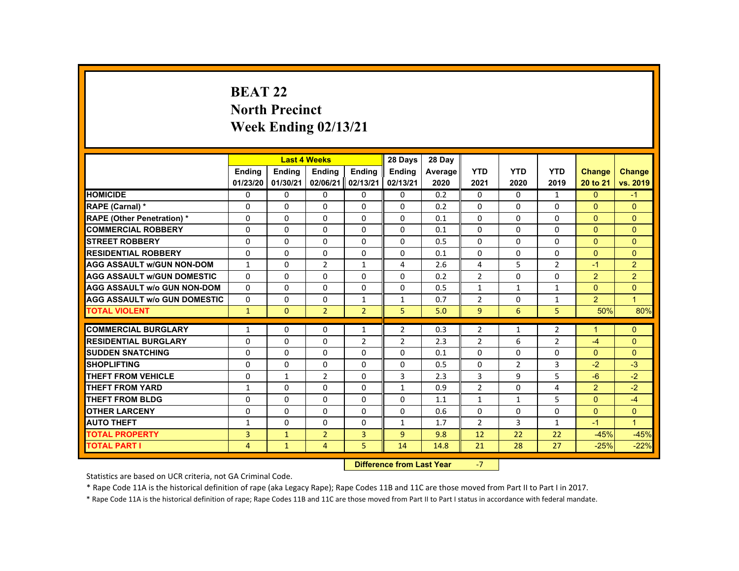# **BEAT 22 North Precinct Week Ending 02/13/21**

|                                     |                           |              | <b>Last 4 Weeks</b> |                | 28 Days        | 28 Day  |                |                |                |                      |                |
|-------------------------------------|---------------------------|--------------|---------------------|----------------|----------------|---------|----------------|----------------|----------------|----------------------|----------------|
|                                     | <b>Endina</b>             | Ending       | Ending              | Ending         | <b>Endina</b>  | Average | <b>YTD</b>     | <b>YTD</b>     | <b>YTD</b>     | <b>Change</b>        | <b>Change</b>  |
|                                     | 01/23/20                  | 01/30/21     | 02/06/21            | 02/13/21       | 02/13/21       | 2020    | 2021           | 2020           | 2019           | 20 to 21             | vs. 2019       |
| <b>HOMICIDE</b>                     | 0                         | $\Omega$     | $\Omega$            | $\Omega$       | 0              | 0.2     | 0              | $\Omega$       | $\mathbf{1}$   | $\mathbf{0}$         | $-1$           |
| RAPE (Carnal) *                     | 0                         | $\Omega$     | $\Omega$            | $\Omega$       | $\Omega$       | 0.2     | $\Omega$       | $\Omega$       | $\Omega$       | $\Omega$             | $\Omega$       |
| <b>RAPE (Other Penetration) *</b>   | 0                         | $\Omega$     | $\Omega$            | $\Omega$       | $\Omega$       | 0.1     | $\Omega$       | $\Omega$       | $\Omega$       | $\Omega$             | $\mathbf{0}$   |
| <b>COMMERCIAL ROBBERY</b>           | $\Omega$                  | $\Omega$     | $\Omega$            | $\Omega$       | $\Omega$       | 0.1     | $\Omega$       | $\Omega$       | $\Omega$       | $\mathbf{0}$         | $\mathbf{0}$   |
| <b>STREET ROBBERY</b>               | $\Omega$                  | $\Omega$     | $\Omega$            | $\Omega$       | $\Omega$       | 0.5     | $\Omega$       | $\Omega$       | $\Omega$       | $\Omega$             | $\Omega$       |
| <b>RESIDENTIAL ROBBERY</b>          | 0                         | $\mathbf{0}$ | $\mathbf{0}$        | $\mathbf{0}$   | 0              | 0.1     | 0              | 0              | 0              | $\Omega$             | $\mathbf{0}$   |
| <b>AGG ASSAULT W/GUN NON-DOM</b>    | $\mathbf{1}$              | $\Omega$     | $\overline{2}$      | $\mathbf{1}$   | 4              | 2.6     | 4              | 5              | $\overline{2}$ | $-1$                 | $\overline{2}$ |
| <b>AGG ASSAULT W/GUN DOMESTIC</b>   | $\Omega$                  | $\Omega$     | $\Omega$            | $\Omega$       | $\Omega$       | 0.2     | $\overline{2}$ | $\Omega$       | $\Omega$       | $\overline{2}$       | $\overline{2}$ |
| <b>AGG ASSAULT w/o GUN NON-DOM</b>  | $\Omega$                  | $\Omega$     | $\Omega$            | $\Omega$       | $\Omega$       | 0.5     | $\mathbf{1}$   | $\mathbf{1}$   | $\mathbf{1}$   | $\Omega$             | $\Omega$       |
| <b>AGG ASSAULT W/o GUN DOMESTIC</b> | $\Omega$                  | $\Omega$     | $\mathbf{0}$        | $\mathbf{1}$   | $\mathbf{1}$   | 0.7     | $\overline{2}$ | 0              | $\mathbf{1}$   | $\overline{2}$       | $\mathbf{1}$   |
| <b>TOTAL VIOLENT</b>                | $\mathbf{1}$              | $\Omega$     | $\overline{2}$      | $\overline{2}$ | 5              | 5.0     | 9              | 6              | 5              | 50%                  | 80%            |
| <b>COMMERCIAL BURGLARY</b>          | $\mathbf{1}$              | $\Omega$     | $\Omega$            | $\mathbf{1}$   | $\overline{2}$ | 0.3     | $\overline{2}$ | $\mathbf{1}$   | $\overline{2}$ | $\blacktriangleleft$ | $\Omega$       |
| <b>RESIDENTIAL BURGLARY</b>         | 0                         | $\Omega$     | $\Omega$            | $\overline{2}$ | 2              | 2.3     | $\overline{2}$ | 6              | 2              | $-4$                 | $\mathbf{0}$   |
| <b>SUDDEN SNATCHING</b>             | $\Omega$                  | $\Omega$     | $\Omega$            | $\Omega$       | $\Omega$       | 0.1     | $\Omega$       | $\Omega$       | $\Omega$       | $\Omega$             | $\Omega$       |
| <b>SHOPLIFTING</b>                  | $\Omega$                  | $\Omega$     | $\Omega$            | $\Omega$       | $\Omega$       | 0.5     | $\Omega$       | $\overline{2}$ | 3              | $-2$                 | $-3$           |
| <b>THEFT FROM VEHICLE</b>           | $\Omega$                  | $\mathbf{1}$ | $\overline{2}$      | $\Omega$       | 3              | 2.3     | 3              | 9              | 5              | $-6$                 | $-2$           |
| <b>THEFT FROM YARD</b>              | $\mathbf{1}$              | $\Omega$     | $\Omega$            | $\Omega$       | $\mathbf{1}$   | 0.9     | $\overline{2}$ | $\Omega$       | 4              | $\overline{2}$       | $-2$           |
| <b>THEFT FROM BLDG</b>              | $\Omega$                  | $\Omega$     | $\mathbf{0}$        | $\Omega$       | 0              | 1.1     | $\mathbf{1}$   | $\mathbf{1}$   | 5              | $\Omega$             | $-4$           |
| <b>OTHER LARCENY</b>                | $\Omega$                  | $\Omega$     | $\Omega$            | 0              | 0              | 0.6     | $\Omega$       | $\Omega$       | $\Omega$       | $\Omega$             | $\overline{0}$ |
| <b>AUTO THEFT</b>                   | $\mathbf{1}$              | $\Omega$     | $\Omega$            | $\Omega$       | $\mathbf{1}$   | 1.7     | $\overline{2}$ | 3              | $\mathbf{1}$   | $-1$                 | $\overline{1}$ |
| <b>TOTAL PROPERTY</b>               | $\overline{3}$            | $\mathbf{1}$ | $\overline{2}$      | $\overline{3}$ | $\overline{9}$ | 9.8     | 12             | 22             | 22             | $-45%$               | $-45%$         |
| <b>TOTAL PART I</b>                 | $\overline{4}$            | $\mathbf{1}$ | 4                   | 5.             | 14             | 14.8    | 21             | 28             | 27             | $-25%$               | $-22%$         |
|                                     | Difference from Look Vann |              | $\overline{ }$      |                |                |         |                |                |                |                      |                |

 **Difference from Last Year**‐7

Statistics are based on UCR criteria, not GA Criminal Code.

\* Rape Code 11A is the historical definition of rape (aka Legacy Rape); Rape Codes 11B and 11C are those moved from Part II to Part I in 2017.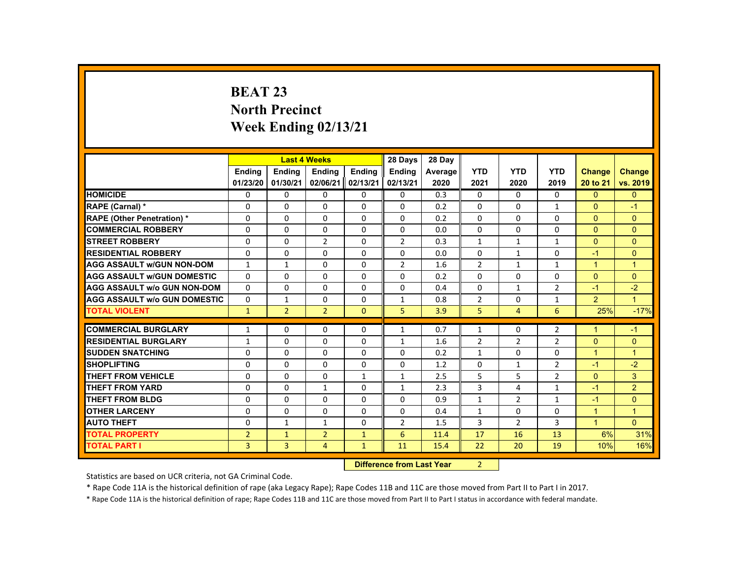# **BEAT 23 North Precinct Week Ending 02/13/21**

|                                     |                |                | <b>Last 4 Weeks</b> |                           | 28 Days        | 28 Day  |                |                |                |                      |                      |
|-------------------------------------|----------------|----------------|---------------------|---------------------------|----------------|---------|----------------|----------------|----------------|----------------------|----------------------|
|                                     | Ending         | Ending         | Ending              | Ending                    | Ending         | Average | <b>YTD</b>     | <b>YTD</b>     | <b>YTD</b>     | <b>Change</b>        | <b>Change</b>        |
|                                     | 01/23/20       | 01/30/21       | 02/06/21            | 02/13/21                  | 02/13/21       | 2020    | 2021           | 2020           | 2019           | 20 to 21             | vs. 2019             |
| <b>HOMICIDE</b>                     | $\Omega$       | $\Omega$       | $\Omega$            | $\Omega$                  | $\Omega$       | 0.3     | 0              | $\Omega$       | $\Omega$       | $\Omega$             | $\mathbf{0}$         |
| <b>RAPE (Carnal) *</b>              | $\Omega$       | $\Omega$       | $\Omega$            | $\Omega$                  | $\Omega$       | 0.2     | $\Omega$       | $\Omega$       | $\mathbf{1}$   | $\mathbf{0}$         | $-1$                 |
| <b>RAPE (Other Penetration) *</b>   | $\Omega$       | $\Omega$       | $\Omega$            | $\Omega$                  | $\Omega$       | 0.2     | 0              | $\Omega$       | $\Omega$       | $\Omega$             | $\overline{0}$       |
| <b>COMMERCIAL ROBBERY</b>           | $\Omega$       | $\Omega$       | $\Omega$            | $\Omega$                  | $\Omega$       | 0.0     | $\Omega$       | $\Omega$       | $\Omega$       | $\Omega$             | $\Omega$             |
| <b>STREET ROBBERY</b>               | $\Omega$       | $\Omega$       | $\overline{2}$      | $\Omega$                  | $\overline{2}$ | 0.3     | $\mathbf{1}$   | $\mathbf{1}$   | $\mathbf{1}$   | $\Omega$             | $\Omega$             |
| <b>RESIDENTIAL ROBBERY</b>          | $\mathbf{0}$   | $\Omega$       | $\mathbf{0}$        | $\mathbf{0}$              | 0              | 0.0     | 0              | $\mathbf{1}$   | 0              | $-1$                 | $\overline{0}$       |
| <b>AGG ASSAULT W/GUN NON-DOM</b>    | 1              | $\mathbf{1}$   | $\Omega$            | $\Omega$                  | $\overline{2}$ | 1.6     | $\overline{2}$ | $\mathbf{1}$   | $\mathbf{1}$   | $\blacktriangleleft$ | $\blacktriangleleft$ |
| <b>AGG ASSAULT W/GUN DOMESTIC</b>   | $\Omega$       | $\Omega$       | $\Omega$            | $\Omega$                  | $\Omega$       | 0.2     | $\Omega$       | $\Omega$       | 0              | $\Omega$             | $\Omega$             |
| <b>AGG ASSAULT w/o GUN NON-DOM</b>  | $\Omega$       | $\Omega$       | $\Omega$            | $\Omega$                  | $\Omega$       | 0.4     | $\Omega$       | $\mathbf{1}$   | $\overline{2}$ | $-1$                 | $-2$                 |
| <b>AGG ASSAULT W/o GUN DOMESTIC</b> | $\Omega$       | $\mathbf{1}$   | $\Omega$            | $\Omega$                  | $\mathbf{1}$   | 0.8     | $\overline{2}$ | $\Omega$       | $\mathbf{1}$   | $\overline{2}$       | $\mathbf{1}$         |
| <b>TOTAL VIOLENT</b>                | $\mathbf{1}$   | $\overline{2}$ | $\overline{2}$      | $\mathbf{0}$              | 5              | 3.9     | 5              | $\overline{4}$ | 6              | 25%                  | $-17%$               |
| <b>COMMERCIAL BURGLARY</b>          | $\mathbf{1}$   | $\Omega$       | $\Omega$            | $\Omega$                  | $\mathbf{1}$   | 0.7     | $\mathbf{1}$   | $\Omega$       | $\overline{2}$ | $\blacktriangleleft$ | $-1$                 |
| <b>RESIDENTIAL BURGLARY</b>         | $\mathbf{1}$   | $\Omega$       | $\Omega$            | $\Omega$                  | $\mathbf{1}$   | 1.6     | $\overline{2}$ | 2              | $\overline{2}$ | $\Omega$             | $\mathbf{0}$         |
| <b>SUDDEN SNATCHING</b>             | $\mathbf{0}$   | $\Omega$       | $\Omega$            | $\Omega$                  | $\Omega$       | 0.2     | $\mathbf{1}$   | $\Omega$       | $\Omega$       | $\blacktriangleleft$ | $\blacktriangleleft$ |
| <b>SHOPLIFTING</b>                  | $\Omega$       | $\Omega$       | $\Omega$            | $\Omega$                  | $\Omega$       | 1.2     | $\Omega$       | $\mathbf{1}$   | $\overline{2}$ | $-1$                 | $-2$                 |
| <b>THEFT FROM VEHICLE</b>           | $\mathbf{0}$   | $\Omega$       | $\Omega$            | $\mathbf{1}$              | $\mathbf{1}$   | 2.5     | 5              | 5              | $\overline{2}$ | $\Omega$             | 3 <sup>1</sup>       |
| <b>THEFT FROM YARD</b>              | $\Omega$       | $\Omega$       | $\mathbf{1}$        | $\Omega$                  | $\mathbf{1}$   | 2.3     | 3              | 4              | $\mathbf{1}$   | $-1$                 | $\overline{2}$       |
| <b>THEFT FROM BLDG</b>              | $\mathbf{0}$   | $\Omega$       | $\mathbf{0}$        | $\Omega$                  | 0              | 0.9     | $\mathbf{1}$   | $\overline{2}$ | $\mathbf{1}$   | $-1$                 | $\overline{0}$       |
| <b>OTHER LARCENY</b>                | $\Omega$       | $\Omega$       | $\Omega$            | 0                         | 0              | 0.4     | $\mathbf{1}$   | $\Omega$       | $\Omega$       | $\blacktriangleleft$ | $\blacktriangleleft$ |
| <b>AUTO THEFT</b>                   | $\mathbf{0}$   | $\mathbf{1}$   | $\mathbf{1}$        | $\Omega$                  | $\overline{2}$ | 1.5     | 3              | $\overline{2}$ | 3              | $\mathbf{1}$         | $\Omega$             |
| <b>TOTAL PROPERTY</b>               | $\overline{2}$ | $\mathbf{1}$   | $\overline{2}$      | $\mathbf{1}$              | 6              | 11.4    | 17             | 16             | 13             | 6%                   | 31%                  |
| <b>TOTAL PART I</b>                 | 3              | 3              | 4                   | $\mathbf{1}$              | 11             | 15.4    | 22             | 20             | 19             | 10%                  | 16%                  |
|                                     |                |                |                     | Difference from Look Vaca |                |         |                |                |                |                      |                      |

 **Difference from Last Year**r 2

Statistics are based on UCR criteria, not GA Criminal Code.

\* Rape Code 11A is the historical definition of rape (aka Legacy Rape); Rape Codes 11B and 11C are those moved from Part II to Part I in 2017.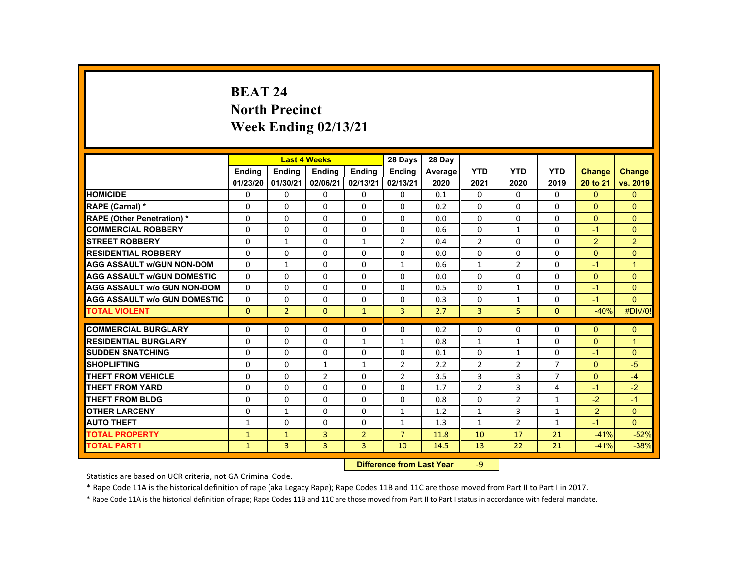# **BEAT 24 North Precinct Week Ending 02/13/21**

|                                     |              |                | <b>Last 4 Weeks</b> |                | 28 Days        | 28 Day  |                |                |                |               |                      |
|-------------------------------------|--------------|----------------|---------------------|----------------|----------------|---------|----------------|----------------|----------------|---------------|----------------------|
|                                     | Ending       | Ending         | Ending              | Ending         | <b>Ending</b>  | Average | <b>YTD</b>     | <b>YTD</b>     | <b>YTD</b>     | <b>Change</b> | <b>Change</b>        |
|                                     | 01/23/20     | 01/30/21       | 02/06/21            | 02/13/21       | 02/13/21       | 2020    | 2021           | 2020           | 2019           | 20 to 21      | vs. 2019             |
| <b>HOMICIDE</b>                     | $\Omega$     | $\Omega$       | $\Omega$            | $\Omega$       | $\Omega$       | 0.1     | 0              | $\Omega$       | $\Omega$       | $\Omega$      | $\mathbf{0}$         |
| <b>RAPE (Carnal) *</b>              | $\Omega$     | $\Omega$       | $\Omega$            | $\Omega$       | $\Omega$       | 0.2     | $\Omega$       | $\Omega$       | $\Omega$       | $\mathbf{0}$  | $\mathbf{0}$         |
| <b>RAPE (Other Penetration) *</b>   | $\Omega$     | $\Omega$       | $\Omega$            | $\Omega$       | $\Omega$       | 0.0     | $\Omega$       | $\Omega$       | $\Omega$       | $\Omega$      | $\Omega$             |
| <b>COMMERCIAL ROBBERY</b>           | $\Omega$     | $\Omega$       | $\Omega$            | $\Omega$       | $\Omega$       | 0.6     | $\Omega$       | $\mathbf{1}$   | $\Omega$       | $-1$          | $\Omega$             |
| <b>STREET ROBBERY</b>               | $\Omega$     | $\mathbf{1}$   | $\Omega$            | $\mathbf{1}$   | $\overline{2}$ | 0.4     | $\overline{2}$ | $\Omega$       | $\Omega$       | 2             | $\overline{2}$       |
| <b>RESIDENTIAL ROBBERY</b>          | $\mathbf{0}$ | $\Omega$       | $\mathbf{0}$        | $\mathbf{0}$   | 0              | 0.0     | 0              | 0              | 0              | $\Omega$      | $\overline{0}$       |
| <b>AGG ASSAULT W/GUN NON-DOM</b>    | $\Omega$     | $\mathbf{1}$   | $\Omega$            | $\Omega$       | 1              | 0.6     | $\mathbf{1}$   | $\overline{2}$ | $\Omega$       | $-1$          | $\blacktriangleleft$ |
| <b>AGG ASSAULT W/GUN DOMESTIC</b>   | $\Omega$     | $\Omega$       | $\Omega$            | $\Omega$       | $\Omega$       | 0.0     | $\Omega$       | $\Omega$       | $\Omega$       | $\Omega$      | $\Omega$             |
| <b>AGG ASSAULT w/o GUN NON-DOM</b>  | $\Omega$     | $\Omega$       | $\Omega$            | $\Omega$       | $\Omega$       | 0.5     | $\Omega$       | $\mathbf{1}$   | $\Omega$       | $-1$          | $\Omega$             |
| <b>AGG ASSAULT W/o GUN DOMESTIC</b> | $\Omega$     | $\Omega$       | $\Omega$            | $\Omega$       | $\Omega$       | 0.3     | $\Omega$       | $\mathbf{1}$   | $\Omega$       | $-1$          | $\Omega$             |
| <b>TOTAL VIOLENT</b>                | $\Omega$     | $\overline{2}$ | $\Omega$            | $\mathbf{1}$   | $\overline{3}$ | 2.7     | $\overline{3}$ | 5              | $\Omega$       | $-40%$        | #DIV/0!              |
| <b>COMMERCIAL BURGLARY</b>          | $\Omega$     | $\Omega$       | $\Omega$            | $\Omega$       | $\Omega$       | 0.2     | $\Omega$       | $\Omega$       | $\Omega$       | $\Omega$      | $\Omega$             |
| <b>RESIDENTIAL BURGLARY</b>         | $\Omega$     | $\Omega$       | $\Omega$            | $\mathbf{1}$   | $\mathbf{1}$   | 0.8     | $\mathbf{1}$   | $\mathbf{1}$   | 0              | $\mathbf{0}$  | $\mathbf{1}$         |
| <b>SUDDEN SNATCHING</b>             | $\mathbf{0}$ | $\Omega$       | $\Omega$            | $\Omega$       | $\Omega$       | 0.1     | $\Omega$       | $\mathbf{1}$   | $\Omega$       | $-1$          | $\mathbf{0}$         |
| <b>SHOPLIFTING</b>                  | $\Omega$     | $\Omega$       | $\mathbf{1}$        | $\mathbf{1}$   | 2              | 2.2     | $\overline{2}$ | $\overline{2}$ | $\overline{7}$ | $\Omega$      | $-5$                 |
| <b>THEFT FROM VEHICLE</b>           | $\Omega$     | $\Omega$       | $\overline{2}$      | $\Omega$       | $\overline{2}$ | 3.5     | 3              | 3              | $\overline{7}$ | $\Omega$      | $-4$                 |
| <b>THEFT FROM YARD</b>              | $\Omega$     | $\Omega$       | $\Omega$            | $\Omega$       | $\Omega$       | 1.7     | $\overline{2}$ | $\overline{3}$ | 4              | $-1$          | $-2$                 |
| <b>THEFT FROM BLDG</b>              | $\mathbf{0}$ | $\Omega$       | $\mathbf{0}$        | $\Omega$       | 0              | 0.8     | $\Omega$       | $\overline{2}$ | $\mathbf{1}$   | $-2$          | $-1$                 |
| <b>OTHER LARCENY</b>                | $\Omega$     | $\mathbf{1}$   | $\Omega$            | 0              | 1              | 1.2     | $\mathbf{1}$   | $\overline{3}$ | $\mathbf{1}$   | $-2$          | $\Omega$             |
| <b>AUTO THEFT</b>                   | $\mathbf{1}$ | $\Omega$       | $\Omega$            | $\Omega$       | $\mathbf{1}$   | 1.3     | $\mathbf{1}$   | $\overline{2}$ | $\mathbf{1}$   | $-1$          | $\Omega$             |
| <b>TOTAL PROPERTY</b>               | $\mathbf{1}$ | $\mathbf{1}$   | $\overline{3}$      | $\overline{2}$ | $\overline{7}$ | 11.8    | 10             | 17             | 21             | $-41%$        | $-52%$               |
| <b>TOTAL PART I</b>                 | $\mathbf{1}$ | 3              | $\overline{3}$      | 3              | 10             | 14.5    | 13             | 22             | 21             | $-41%$        | $-38%$               |
|                                     |              |                |                     |                |                |         |                |                |                |               |                      |

 **Difference from Last Year**‐9

Statistics are based on UCR criteria, not GA Criminal Code.

\* Rape Code 11A is the historical definition of rape (aka Legacy Rape); Rape Codes 11B and 11C are those moved from Part II to Part I in 2017.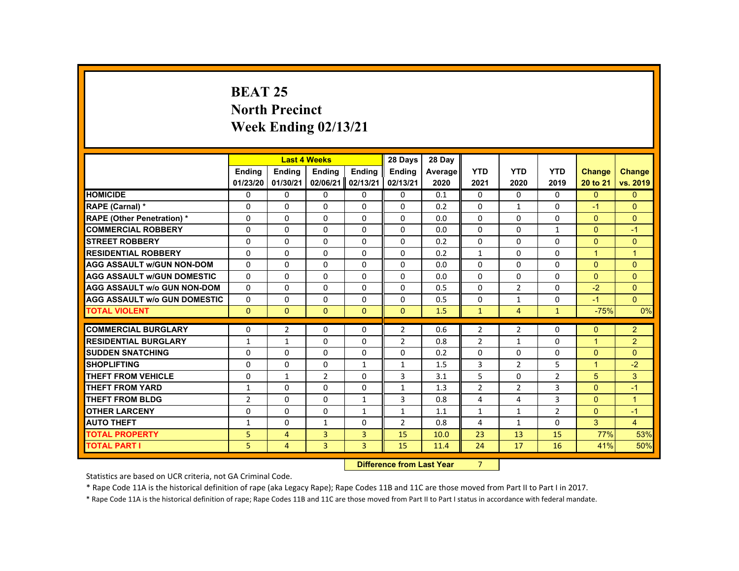# **BEAT 25 North Precinct Week Ending 02/13/21**

|                                     |                            |                          | <b>Last 4 Weeks</b>      |                   | 28 Days                                                                                                                                                                                                                        | 28 Day     |                |                     |                |                                        |                      |
|-------------------------------------|----------------------------|--------------------------|--------------------------|-------------------|--------------------------------------------------------------------------------------------------------------------------------------------------------------------------------------------------------------------------------|------------|----------------|---------------------|----------------|----------------------------------------|----------------------|
|                                     | <b>Ending</b>              | <b>Ending</b>            | <b>Ending</b>            | <b>Ending</b>     | <b>Ending</b>                                                                                                                                                                                                                  | Average    | <b>YTD</b>     | <b>YTD</b>          | <b>YTD</b>     | <b>Change</b>                          | <b>Change</b>        |
|                                     | 01/23/20                   | 01/30/21                 | 02/06/21                 | 02/13/21          | 02/13/21                                                                                                                                                                                                                       | 2020       | 2021           | 2020                | 2019           | 20 to 21                               | vs. 2019             |
| <b>HOMICIDE</b>                     | 0                          | $\Omega$                 | $\mathbf{0}$             | $\Omega$          | 0                                                                                                                                                                                                                              | 0.1        | 0              | $\Omega$            | $\Omega$       | $\Omega$                               | $\mathbf{0}$         |
| RAPE (Carnal) *                     | 0                          | $\Omega$                 | $\Omega$                 | $\Omega$          | $\Omega$                                                                                                                                                                                                                       | 0.2        | $\Omega$       | $\mathbf{1}$        | $\Omega$       | $-1$                                   | $\Omega$             |
| <b>RAPE (Other Penetration) *</b>   | $\Omega$                   | $\Omega$                 | $\Omega$                 | $\Omega$          | $\Omega$                                                                                                                                                                                                                       | 0.0        | $\Omega$       | $\Omega$            | $\Omega$       | $\Omega$                               | $\Omega$             |
| <b>COMMERCIAL ROBBERY</b>           | $\Omega$                   | $\Omega$                 | $\Omega$                 | $\Omega$          | $\Omega$                                                                                                                                                                                                                       | 0.0        | $\Omega$       | $\Omega$            | $\mathbf{1}$   | $\Omega$                               | $-1$                 |
| <b>STREET ROBBERY</b>               | $\Omega$                   | $\Omega$                 | $\Omega$                 | $\Omega$          | $\Omega$                                                                                                                                                                                                                       | 0.2        | $\Omega$       | $\Omega$            | $\Omega$       | $\Omega$                               | $\Omega$             |
| <b>RESIDENTIAL ROBBERY</b>          | $\Omega$                   | $\Omega$                 | $\Omega$                 | $\mathbf{0}$      | 0                                                                                                                                                                                                                              | 0.2        | $\mathbf{1}$   | 0                   | 0              | $\mathbf{1}$                           | $\mathbf{1}$         |
| <b>AGG ASSAULT w/GUN NON-DOM</b>    | $\Omega$                   | $\Omega$                 | $\Omega$                 | $\Omega$          | $\Omega$                                                                                                                                                                                                                       | 0.0        | $\Omega$       | $\Omega$            | $\Omega$       | $\Omega$                               | $\Omega$             |
| <b>AGG ASSAULT W/GUN DOMESTIC</b>   | $\mathbf{0}$               | $\Omega$                 | $\Omega$                 | $\Omega$          | 0                                                                                                                                                                                                                              | 0.0        | $\Omega$       | $\Omega$            | $\Omega$       | $\Omega$                               | $\Omega$             |
| <b>AGG ASSAULT w/o GUN NON-DOM</b>  | $\Omega$                   | $\Omega$                 | $\Omega$                 | $\Omega$          | $\Omega$                                                                                                                                                                                                                       | 0.5        | $\Omega$       | $\overline{2}$      | $\Omega$       | $-2$                                   | $\Omega$             |
| <b>AGG ASSAULT W/o GUN DOMESTIC</b> | $\Omega$                   | $\Omega$                 | $\Omega$                 | $\Omega$          | $\Omega$                                                                                                                                                                                                                       | 0.5        | $\Omega$       | $\mathbf{1}$        | $\Omega$       | $-1$                                   | $\Omega$             |
| <b>TOTAL VIOLENT</b>                | $\mathbf{0}$               | $\mathbf{0}$             | $\mathbf{0}$             | $\mathbf{0}$      | $\mathbf{0}$                                                                                                                                                                                                                   | 1.5        | $\mathbf{1}$   | $\overline{4}$      | $\mathbf{1}$   | $-75%$                                 | 0%                   |
| <b>COMMERCIAL BURGLARY</b>          | $\mathbf{0}$               | $\overline{2}$           | $\Omega$                 | $\Omega$          | $\overline{2}$                                                                                                                                                                                                                 | 0.6        | $\overline{2}$ | $\overline{2}$      | $\Omega$       | $\Omega$                               | $\overline{2}$       |
| <b>RESIDENTIAL BURGLARY</b>         |                            |                          | $\Omega$                 | $\Omega$          | $\overline{2}$                                                                                                                                                                                                                 |            |                |                     | $\Omega$       | $\blacktriangleleft$                   |                      |
| <b>SUDDEN SNATCHING</b>             | $\mathbf{1}$               | $\mathbf{1}$             |                          |                   |                                                                                                                                                                                                                                | 0.8        | $\overline{2}$ | $\mathbf{1}$        |                |                                        | $\overline{2}$       |
| <b>SHOPLIFTING</b>                  | $\Omega$<br>$\Omega$       | $\mathbf{0}$<br>$\Omega$ | $\mathbf{0}$<br>$\Omega$ | 0<br>$\mathbf{1}$ | 0<br>$\mathbf{1}$                                                                                                                                                                                                              | 0.2<br>1.5 | 0<br>3         | 0<br>$\overline{2}$ | 0<br>5         | $\overline{0}$<br>$\blacktriangleleft$ | $\mathbf{0}$<br>$-2$ |
| <b>THEFT FROM VEHICLE</b>           | $\Omega$                   | $\mathbf{1}$             | $\overline{2}$           | $\Omega$          | 3                                                                                                                                                                                                                              | 3.1        | 5              | $\Omega$            | $\overline{2}$ | 5                                      | 3                    |
| <b>THEFT FROM YARD</b>              |                            | $\Omega$                 | $\Omega$                 | $\Omega$          |                                                                                                                                                                                                                                | 1.3        | $\overline{2}$ | $\overline{2}$      | $\overline{3}$ | $\Omega$                               | $-1$                 |
| <b>THEFT FROM BLDG</b>              | 1                          | $\Omega$                 | $\Omega$                 | $\mathbf{1}$      | $\mathbf{1}$<br>3                                                                                                                                                                                                              |            | 4              | 4                   | 3              | $\Omega$                               | $\mathbf{1}$         |
| <b>OTHER LARCENY</b>                | $\overline{2}$<br>$\Omega$ | $\mathbf{0}$             | $\Omega$                 | $\mathbf{1}$      |                                                                                                                                                                                                                                | 0.8<br>1.1 | $\mathbf{1}$   | $\mathbf{1}$        | $\overline{2}$ | $\Omega$                               | $-1$                 |
| <b>AUTO THEFT</b>                   |                            | $\Omega$                 |                          | $\Omega$          | $\mathbf{1}$<br>$\overline{2}$                                                                                                                                                                                                 |            |                |                     |                | 3                                      |                      |
|                                     | 1                          |                          | $\mathbf{1}$             |                   |                                                                                                                                                                                                                                | 0.8        | 4              | $\mathbf{1}$        | $\Omega$       |                                        | $\overline{4}$       |
| <b>TOTAL PROPERTY</b>               | 5                          | $\overline{4}$           | 3                        | $\overline{3}$    | 15                                                                                                                                                                                                                             | 10.0       | 23             | 13                  | 15             | 77%                                    | 53%                  |
| <b>TOTAL PART I</b>                 | 5                          | $\overline{4}$           | 3                        | $\overline{3}$    | 15                                                                                                                                                                                                                             | 11.4       | 24             | 17                  | 16             | 41%                                    | 50%                  |
|                                     |                            |                          |                          | <b>CALLED A</b>   | and the second control of the second second second the second second second second second second second second second second second second second second second second second second second second second second second second |            | $\sim$         |                     |                |                                        |                      |

 **Difference from Last Year** 7

Statistics are based on UCR criteria, not GA Criminal Code.

\* Rape Code 11A is the historical definition of rape (aka Legacy Rape); Rape Codes 11B and 11C are those moved from Part II to Part I in 2017.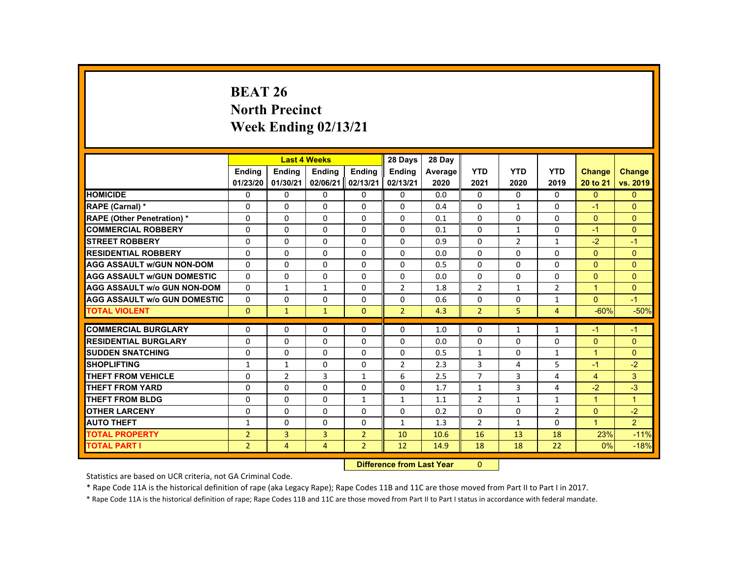# **BEAT 26 North Precinct Week Ending 02/13/21**

|                                     |                | <b>Last 4 Weeks</b> |                |                 | 28 Days                                                                                                                                                                                                                        | 28 Day  |                |                |                |                      |                      |
|-------------------------------------|----------------|---------------------|----------------|-----------------|--------------------------------------------------------------------------------------------------------------------------------------------------------------------------------------------------------------------------------|---------|----------------|----------------|----------------|----------------------|----------------------|
|                                     | <b>Ending</b>  | <b>Ending</b>       | <b>Ending</b>  | Ending          | <b>Ending</b>                                                                                                                                                                                                                  | Average | <b>YTD</b>     | <b>YTD</b>     | <b>YTD</b>     | <b>Change</b>        | <b>Change</b>        |
|                                     | 01/23/20       | 01/30/21            | 02/06/21       | 02/13/21        | 02/13/21                                                                                                                                                                                                                       | 2020    | 2021           | 2020           | 2019           | 20 to 21             | vs. 2019             |
| <b>HOMICIDE</b>                     | 0              | $\Omega$            | $\mathbf{0}$   | $\Omega$        | 0                                                                                                                                                                                                                              | 0.0     | 0              | $\Omega$       | 0              | $\Omega$             | $\mathbf{0}$         |
| <b>RAPE (Carnal) *</b>              | $\mathbf{0}$   | $\Omega$            | $\mathbf{0}$   | $\Omega$        | $\Omega$                                                                                                                                                                                                                       | 0.4     | $\Omega$       | 1              | $\Omega$       | $-1$                 | $\Omega$             |
| <b>RAPE (Other Penetration) *</b>   | $\Omega$       | $\Omega$            | $\Omega$       | $\Omega$        | $\Omega$                                                                                                                                                                                                                       | 0.1     | $\Omega$       | $\Omega$       | $\Omega$       | $\Omega$             | $\Omega$             |
| <b>COMMERCIAL ROBBERY</b>           | $\Omega$       | $\Omega$            | $\Omega$       | $\Omega$        | $\Omega$                                                                                                                                                                                                                       | 0.1     | $\Omega$       | $\mathbf{1}$   | $\Omega$       | $-1$                 | $\Omega$             |
| <b>STREET ROBBERY</b>               | $\Omega$       | $\Omega$            | $\Omega$       | $\Omega$        | $\Omega$                                                                                                                                                                                                                       | 0.9     | $\Omega$       | $\overline{2}$ | $\mathbf{1}$   | $-2$                 | $-1$                 |
| <b>RESIDENTIAL ROBBERY</b>          | 0              | $\Omega$            | $\mathbf{0}$   | $\mathbf{0}$    | 0                                                                                                                                                                                                                              | 0.0     | 0              | 0              | 0              | $\Omega$             | $\mathbf{0}$         |
| <b>AGG ASSAULT W/GUN NON-DOM</b>    | $\Omega$       | $\Omega$            | $\Omega$       | $\Omega$        | 0                                                                                                                                                                                                                              | 0.5     | $\Omega$       | $\Omega$       | $\Omega$       | $\Omega$             | $\Omega$             |
| <b>AGG ASSAULT W/GUN DOMESTIC</b>   | $\Omega$       | $\Omega$            | $\Omega$       | $\Omega$        | $\Omega$                                                                                                                                                                                                                       | 0.0     | $\Omega$       | $\Omega$       | $\Omega$       | $\Omega$             | $\Omega$             |
| <b>AGG ASSAULT w/o GUN NON-DOM</b>  | $\Omega$       | $\mathbf{1}$        | $\mathbf{1}$   | $\Omega$        | $\overline{2}$                                                                                                                                                                                                                 | 1.8     | $\overline{2}$ | $\mathbf{1}$   | $\overline{2}$ | $\blacktriangleleft$ | $\Omega$             |
| <b>AGG ASSAULT W/o GUN DOMESTIC</b> | $\Omega$       | $\Omega$            | $\Omega$       | $\Omega$        | $\Omega$                                                                                                                                                                                                                       | 0.6     | $\Omega$       | $\Omega$       | $\mathbf{1}$   | $\Omega$             | $-1$                 |
| <b>TOTAL VIOLENT</b>                | $\Omega$       | $\mathbf{1}$        | $\mathbf{1}$   | $\mathbf{0}$    | $\overline{2}$                                                                                                                                                                                                                 | 4.3     | $\overline{2}$ | 5              | $\overline{4}$ | $-60%$               | $-50%$               |
|                                     |                |                     |                |                 |                                                                                                                                                                                                                                |         |                |                |                |                      |                      |
| <b>COMMERCIAL BURGLARY</b>          | $\Omega$       | $\Omega$            | $\Omega$       | $\Omega$        | $\Omega$                                                                                                                                                                                                                       | 1.0     | 0              | $\mathbf{1}$   | $\mathbf{1}$   | $-1$                 | $-1$                 |
| <b>RESIDENTIAL BURGLARY</b>         | $\Omega$       | $\Omega$            | $\Omega$       | $\Omega$        | $\Omega$                                                                                                                                                                                                                       | 0.0     | $\Omega$       | $\Omega$       | $\Omega$       | $\Omega$             | $\Omega$             |
| <b>SUDDEN SNATCHING</b>             | $\Omega$       | $\Omega$            | $\mathbf{0}$   | 0               | 0                                                                                                                                                                                                                              | 0.5     | $\mathbf{1}$   | 0              | $\mathbf{1}$   | $\blacktriangleleft$ | $\Omega$             |
| <b>SHOPLIFTING</b>                  | $\mathbf{1}$   | $\mathbf{1}$        | $\Omega$       | $\Omega$        | $\overline{2}$                                                                                                                                                                                                                 | 2.3     | 3              | 4              | 5              | $-1$                 | $-2$                 |
| <b>THEFT FROM VEHICLE</b>           | $\Omega$       | $\overline{2}$      | 3              | $\mathbf{1}$    | 6                                                                                                                                                                                                                              | 2.5     | $\overline{7}$ | 3              | 4              | $\overline{4}$       | 3                    |
| <b>THEFT FROM YARD</b>              | $\Omega$       | $\Omega$            | $\Omega$       | $\Omega$        | $\Omega$                                                                                                                                                                                                                       | 1.7     | $\mathbf{1}$   | $\overline{3}$ | 4              | $-2$                 | $-3$                 |
| <b>THEFT FROM BLDG</b>              | $\Omega$       | $\Omega$            | $\Omega$       | $\mathbf{1}$    | $\mathbf{1}$                                                                                                                                                                                                                   | 1.1     | $\overline{2}$ | $\mathbf{1}$   | $\mathbf{1}$   | $\blacktriangleleft$ | $\blacktriangleleft$ |
| <b>OTHER LARCENY</b>                | $\mathbf{0}$   | $\Omega$            | $\Omega$       | $\Omega$        | $\Omega$                                                                                                                                                                                                                       | 0.2     | 0              | 0              | $\overline{2}$ | $\mathbf{0}$         | $-2$                 |
| <b>AUTO THEFT</b>                   | $\mathbf{1}$   | $\Omega$            | $\Omega$       | $\Omega$        | $\mathbf{1}$                                                                                                                                                                                                                   | 1.3     | $\overline{2}$ | $\mathbf{1}$   | $\Omega$       | $\blacktriangleleft$ | $\overline{2}$       |
| <b>TOTAL PROPERTY</b>               | $\overline{2}$ | 3                   | 3              | $\overline{2}$  | 10                                                                                                                                                                                                                             | 10.6    | 16             | 13             | 18             | 23%                  | $-11%$               |
| <b>TOTAL PART I</b>                 | $\overline{2}$ | $\overline{4}$      | $\overline{4}$ | $\overline{2}$  | 12                                                                                                                                                                                                                             | 14.9    | 18             | 18             | 22             | 0%                   | $-18%$               |
|                                     |                |                     |                | <b>CALLED A</b> | and the second control of the second second second the second second second second second second second second second second second second second second second second second second second second second second second second |         | $\sim$         |                |                |                      |                      |

 **Difference from Last Year**r 0

Statistics are based on UCR criteria, not GA Criminal Code.

\* Rape Code 11A is the historical definition of rape (aka Legacy Rape); Rape Codes 11B and 11C are those moved from Part II to Part I in 2017.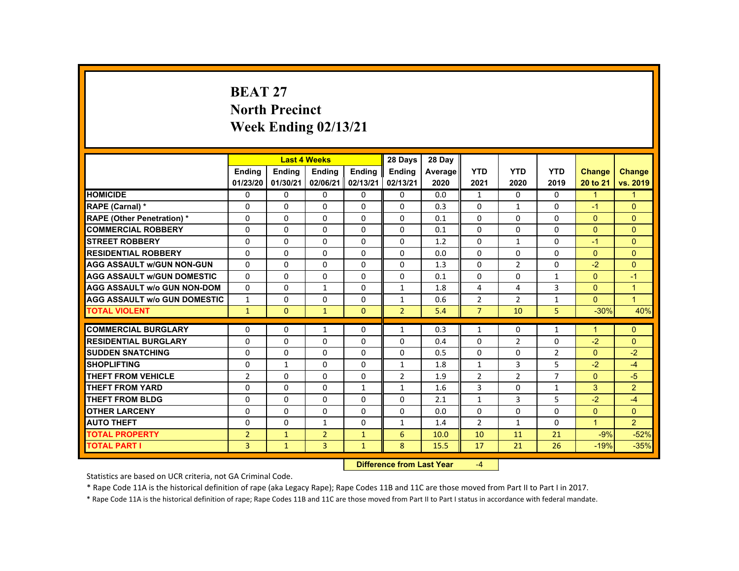# **BEAT 27 North Precinct Week Ending 02/13/21**

|                                     |                |               | <b>Last 4 Weeks</b> |               | 28 Days                   | 28 Day  |                |                |                |                      |                |
|-------------------------------------|----------------|---------------|---------------------|---------------|---------------------------|---------|----------------|----------------|----------------|----------------------|----------------|
|                                     | Ending         | <b>Ending</b> | <b>Ending</b>       | <b>Ending</b> | Ending                    | Average | <b>YTD</b>     | <b>YTD</b>     | <b>YTD</b>     | <b>Change</b>        | <b>Change</b>  |
|                                     | 01/23/20       | 01/30/21      | 02/06/21            | 02/13/21      | 02/13/21                  | 2020    | 2021           | 2020           | 2019           | 20 to 21             | vs. 2019       |
| <b>HOMICIDE</b>                     | $\Omega$       | $\Omega$      | $\Omega$            | $\Omega$      | 0                         | 0.0     | $\mathbf{1}$   | $\Omega$       | $\Omega$       | $\mathbf{1}$         | $\mathbf{1}$   |
| RAPE (Carnal) *                     | 0              | $\Omega$      | $\Omega$            | $\Omega$      | $\Omega$                  | 0.3     | $\Omega$       | $\mathbf{1}$   | $\Omega$       | $-1$                 | $\Omega$       |
| <b>RAPE (Other Penetration) *</b>   | $\Omega$       | $\Omega$      | $\Omega$            | $\Omega$      | $\Omega$                  | 0.1     | $\Omega$       | $\Omega$       | $\Omega$       | $\Omega$             | $\Omega$       |
| <b>COMMERCIAL ROBBERY</b>           | $\Omega$       | $\Omega$      | $\Omega$            | $\Omega$      | $\Omega$                  | 0.1     | 0              | 0              | 0              | $\Omega$             | $\overline{0}$ |
| <b>STREET ROBBERY</b>               | $\Omega$       | $\Omega$      | $\Omega$            | $\Omega$      | $\Omega$                  | 1.2     | $\Omega$       | $\mathbf{1}$   | $\Omega$       | $-1$                 | $\Omega$       |
| <b>RESIDENTIAL ROBBERY</b>          | $\Omega$       | $\Omega$      | $\Omega$            | $\Omega$      | $\Omega$                  | 0.0     | 0              | 0              | 0              | $\mathbf{0}$         | $\overline{0}$ |
| <b>AGG ASSAULT W/GUN NON-GUN</b>    | $\Omega$       | $\Omega$      | $\Omega$            | $\Omega$      | $\Omega$                  | 1.3     | $\Omega$       | $\overline{2}$ | $\Omega$       | $-2$                 | $\Omega$       |
| <b>AGG ASSAULT W/GUN DOMESTIC</b>   | $\Omega$       | $\Omega$      | $\Omega$            | $\Omega$      | $\Omega$                  | 0.1     | $\Omega$       | $\Omega$       | $\mathbf{1}$   | $\Omega$             | $-1$           |
| <b>AGG ASSAULT w/o GUN NON-DOM</b>  | $\Omega$       | $\Omega$      | $\mathbf{1}$        | $\Omega$      | $\mathbf{1}$              | 1.8     | 4              | 4              | 3              | $\Omega$             | $\mathbf{1}$   |
| <b>AGG ASSAULT W/o GUN DOMESTIC</b> | $\mathbf{1}$   | $\Omega$      | $\Omega$            | $\Omega$      | $\mathbf{1}$              | 0.6     | $\overline{2}$ | $\overline{2}$ | $\mathbf{1}$   | $\mathbf{0}$         | $\mathbf{1}$   |
| <b>TOTAL VIOLENT</b>                | $\mathbf{1}$   | $\mathbf{0}$  | $\mathbf{1}$        | $\mathbf{0}$  | $\overline{2}$            | 5.4     | $\overline{7}$ | 10             | 5              | $-30%$               | 40%            |
| <b>COMMERCIAL BURGLARY</b>          | $\Omega$       | $\Omega$      | $\mathbf{1}$        | $\Omega$      | $\mathbf{1}$              | 0.3     | $\mathbf{1}$   | 0              | $\mathbf{1}$   | $\blacktriangleleft$ | $\mathbf{0}$   |
| <b>RESIDENTIAL BURGLARY</b>         | $\Omega$       | $\Omega$      | $\Omega$            | $\Omega$      | $\Omega$                  | 0.4     | $\Omega$       | 2              | $\Omega$       | $-2$                 | $\Omega$       |
| <b>SUDDEN SNATCHING</b>             | $\Omega$       | $\Omega$      | $\Omega$            | $\Omega$      | $\Omega$                  | 0.5     | 0              | $\Omega$       | $\overline{2}$ | $\Omega$             | $-2$           |
| <b>SHOPLIFTING</b>                  | $\Omega$       | $\mathbf{1}$  | $\Omega$            | $\Omega$      | $\mathbf{1}$              | 1.8     | $\mathbf{1}$   | 3              | 5              | $-2$                 | $-4$           |
| <b>THEFT FROM VEHICLE</b>           | $\overline{2}$ | $\Omega$      | $\Omega$            | $\Omega$      | $\overline{2}$            | 1.9     | $\overline{2}$ | $\overline{2}$ | $\overline{7}$ | $\Omega$             | $-5$           |
| <b>THEFT FROM YARD</b>              | $\Omega$       | $\Omega$      | $\Omega$            | $\mathbf{1}$  | $\mathbf{1}$              | 1.6     | 3              | $\Omega$       | $\mathbf{1}$   | 3                    | $\overline{2}$ |
| <b>THEFT FROM BLDG</b>              | $\Omega$       | $\Omega$      | $\Omega$            | $\Omega$      | $\Omega$                  | 2.1     | $\mathbf{1}$   | 3              | 5              | $-2$                 | $-4$           |
| <b>OTHER LARCENY</b>                | $\Omega$       | $\Omega$      | $\Omega$            | $\Omega$      | $\Omega$                  | 0.0     | $\Omega$       | $\Omega$       | $\Omega$       | $\Omega$             | $\mathbf{0}$   |
| <b>AUTO THEFT</b>                   | $\Omega$       | $\Omega$      | $\mathbf{1}$        | $\Omega$      | $\mathbf{1}$              | 1.4     | $\overline{2}$ | $\mathbf{1}$   | $\Omega$       | $\overline{1}$       | $\overline{2}$ |
| <b>TOTAL PROPERTY</b>               | $\overline{2}$ | $\mathbf{1}$  | $\overline{2}$      | $\mathbf{1}$  | 6                         | 10.0    | 10             | 11             | 21             | $-9%$                | $-52%$         |
| <b>TOTAL PART I</b>                 | 3              | $\mathbf{1}$  | $\overline{3}$      | $\mathbf{1}$  | 8                         | 15.5    | 17             | 21             | 26             | $-19%$               | $-35%$         |
|                                     |                |               |                     |               | Difference from Loot Voor |         | $\sqrt{ }$     |                |                |                      |                |

 **Difference from Last Year**r  $-4$ 

Statistics are based on UCR criteria, not GA Criminal Code.

\* Rape Code 11A is the historical definition of rape (aka Legacy Rape); Rape Codes 11B and 11C are those moved from Part II to Part I in 2017.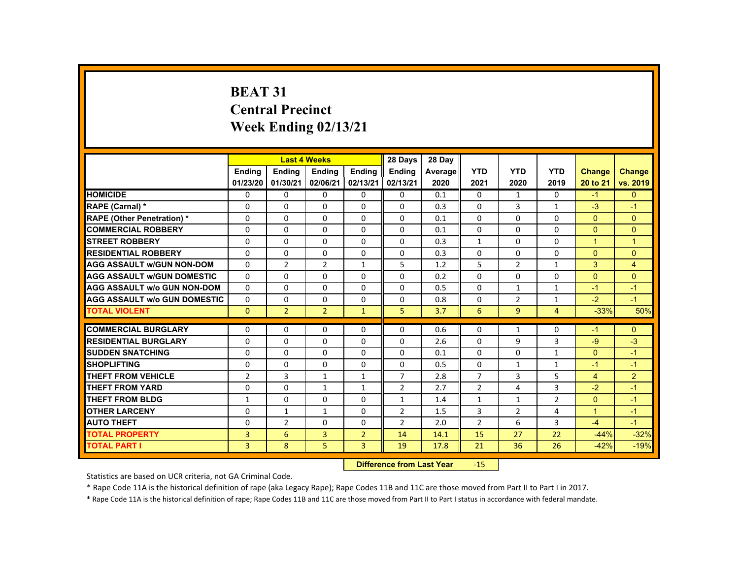# **BEAT 31 Central Precinct Week Ending 02/13/21**

|                                     |                |                | <b>Last 4 Weeks</b> |                | 28 Days                   | 28 Day  |                |                |                |                      |                      |
|-------------------------------------|----------------|----------------|---------------------|----------------|---------------------------|---------|----------------|----------------|----------------|----------------------|----------------------|
|                                     | <b>Endina</b>  | <b>Ending</b>  | <b>Ending</b>       | <b>Ending</b>  | <b>Endina</b>             | Average | <b>YTD</b>     | <b>YTD</b>     | <b>YTD</b>     | Change               | <b>Change</b>        |
|                                     | 01/23/20       | 01/30/21       | 02/06/21            | 02/13/21       | 02/13/21                  | 2020    | 2021           | 2020           | 2019           | 20 to 21             | vs. 2019             |
| <b>HOMICIDE</b>                     | $\mathbf{0}$   | $\Omega$       | 0                   | 0              | $\mathbf{0}$              | 0.1     | $\mathbf{0}$   | $\mathbf{1}$   | $\Omega$       | $-1$                 | $\Omega$             |
| RAPE (Carnal) *                     | 0              | $\mathbf{0}$   | $\Omega$            | $\mathbf{0}$   | $\mathbf{0}$              | 0.3     | $\mathbf{0}$   | 3              | $\mathbf{1}$   | $-3$                 | $-1$                 |
| <b>RAPE (Other Penetration) *</b>   | $\Omega$       | $\Omega$       | $\Omega$            | $\Omega$       | $\Omega$                  | 0.1     | $\Omega$       | $\Omega$       | $\Omega$       | $\Omega$             | $\Omega$             |
| <b>COMMERCIAL ROBBERY</b>           | $\Omega$       | $\Omega$       | $\Omega$            | $\Omega$       | $\Omega$                  | 0.1     | $\Omega$       | $\Omega$       | $\Omega$       | $\mathbf{0}$         | $\Omega$             |
| <b>STREET ROBBERY</b>               | $\Omega$       | $\Omega$       | $\Omega$            | $\Omega$       | $\Omega$                  | 0.3     | $\mathbf{1}$   | $\Omega$       | $\Omega$       | $\blacktriangleleft$ | $\blacktriangleleft$ |
| <b>RESIDENTIAL ROBBERY</b>          | 0              | $\mathbf{0}$   | 0                   | $\mathbf{0}$   | 0                         | 0.3     | 0              | 0              | 0              | $\mathbf{0}$         | $\overline{0}$       |
| <b>AGG ASSAULT W/GUN NON-DOM</b>    | $\Omega$       | $\overline{2}$ | $\overline{2}$      | $\mathbf{1}$   | 5                         | 1.2     | 5              | $\overline{2}$ | 1              | 3                    | $\overline{4}$       |
| <b>AGG ASSAULT W/GUN DOMESTIC</b>   | $\Omega$       | $\Omega$       | $\Omega$            | $\Omega$       | $\Omega$                  | 0.2     | $\Omega$       | $\Omega$       | $\Omega$       | $\mathbf{0}$         | $\Omega$             |
| <b>AGG ASSAULT w/o GUN NON-DOM</b>  | $\Omega$       | $\Omega$       | $\Omega$            | $\Omega$       | $\Omega$                  | 0.5     | $\Omega$       | $\mathbf{1}$   | $\mathbf{1}$   | $-1$                 | $-1$                 |
| <b>AGG ASSAULT W/o GUN DOMESTIC</b> | $\Omega$       | $\Omega$       | $\Omega$            | $\Omega$       | $\Omega$                  | 0.8     | $\Omega$       | 2              | $\mathbf{1}$   | $-2$                 | $-1$                 |
| <b>TOTAL VIOLENT</b>                | $\Omega$       | $\overline{2}$ | $\overline{2}$      | $\mathbf{1}$   | 5                         | 3.7     | 6              | $\overline{9}$ | $\overline{4}$ | $-33%$               | 50%                  |
|                                     | $\Omega$       |                | $\Omega$            |                | $\Omega$                  |         |                |                |                |                      |                      |
| <b>COMMERCIAL BURGLARY</b>          |                | $\Omega$       |                     | $\Omega$       |                           | 0.6     | $\Omega$       | $\mathbf{1}$   | $\Omega$       | $-1$                 | $\Omega$             |
| <b>RESIDENTIAL BURGLARY</b>         | 0              | $\Omega$       | 0                   | 0              | $\mathbf{0}$              | 2.6     | $\Omega$       | 9              | 3              | $-9$                 | $-3$                 |
| <b>SUDDEN SNATCHING</b>             | $\Omega$       | $\Omega$       | $\Omega$            | $\Omega$       | $\Omega$                  | 0.1     | $\Omega$       | $\Omega$       | $\mathbf{1}$   | $\mathbf{0}$         | $-1$                 |
| <b>SHOPLIFTING</b>                  | $\Omega$       | $\Omega$       | $\Omega$            | $\Omega$       | $\Omega$                  | 0.5     | $\Omega$       | $\mathbf{1}$   | $\mathbf{1}$   | $-1$                 | $-1$                 |
| <b>THEFT FROM VEHICLE</b>           | $\overline{2}$ | $\overline{3}$ | $\mathbf{1}$        | $\mathbf{1}$   | $\overline{7}$            | 2.8     | $\overline{7}$ | $\overline{3}$ | 5              | $\overline{4}$       | $\overline{2}$       |
| <b>THEFT FROM YARD</b>              | $\Omega$       | $\Omega$       | $\mathbf{1}$        | $\mathbf{1}$   | $\overline{2}$            | 2.7     | $\overline{2}$ | 4              | 3              | $-2$                 | $-1$                 |
| <b>THEFT FROM BLDG</b>              | 1              | $\Omega$       | $\Omega$            | $\Omega$       | $\mathbf{1}$              | 1.4     | $\mathbf{1}$   | $\mathbf{1}$   | $\overline{2}$ | $\Omega$             | $-1$                 |
| <b>OTHER LARCENY</b>                | $\Omega$       | $\mathbf{1}$   | $\mathbf{1}$        | $\Omega$       | 2                         | 1.5     | 3              | 2              | 4              | $\blacktriangleleft$ | $-1$                 |
| <b>AUTO THEFT</b>                   | $\Omega$       | 2              | $\Omega$            | $\Omega$       | $\overline{2}$            | 2.0     | $\overline{2}$ | 6              | 3              | $-4$                 | $-1$                 |
| <b>TOTAL PROPERTY</b>               | $\overline{3}$ | 6              | $\overline{3}$      | $\overline{2}$ | 14                        | 14.1    | 15             | 27             | 22             | $-44%$               | $-32%$               |
| <b>TOTAL PART I</b>                 | 3              | 8              | 5                   | $\overline{3}$ | 19                        | 17.8    | 21             | 36             | 26             | $-42%$               | $-19%$               |
|                                     |                |                |                     |                | Difference from Loot Voor |         | 1 E .          |                |                |                      |                      |

 **Difference from Last Year**‐15

Statistics are based on UCR criteria, not GA Criminal Code.

\* Rape Code 11A is the historical definition of rape (aka Legacy Rape); Rape Codes 11B and 11C are those moved from Part II to Part I in 2017.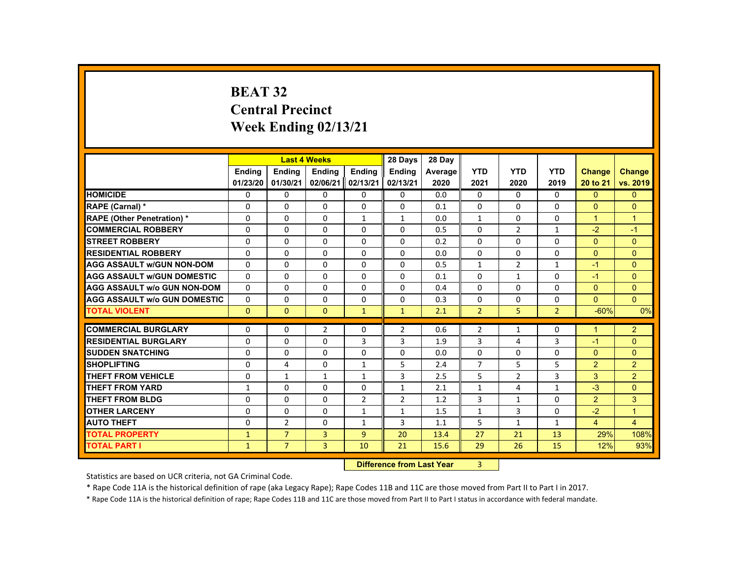# **BEAT 32 Central Precinct Week Ending 02/13/21**

|                                     |               |                | <b>Last 4 Weeks</b> |                | 28 Days                   | 28 Day  |                |                |                |                      |                |
|-------------------------------------|---------------|----------------|---------------------|----------------|---------------------------|---------|----------------|----------------|----------------|----------------------|----------------|
|                                     | <b>Endina</b> | <b>Endina</b>  | <b>Ending</b>       | <b>Endina</b>  | <b>Endina</b>             | Average | <b>YTD</b>     | <b>YTD</b>     | <b>YTD</b>     | Change               | <b>Change</b>  |
|                                     | 01/23/20      | 01/30/21       | 02/06/21            | 02/13/21       | 02/13/21                  | 2020    | 2021           | 2020           | 2019           | 20 to 21             | vs. 2019       |
| <b>HOMICIDE</b>                     | $\Omega$      | $\Omega$       | $\Omega$            | $\Omega$       | 0                         | 0.0     | $\Omega$       | 0              | $\Omega$       | $\mathbf{0}$         | $\overline{0}$ |
| <b>RAPE (Carnal) *</b>              | $\Omega$      | $\Omega$       | $\Omega$            | 0              | 0                         | 0.1     | 0              | $\Omega$       | $\Omega$       | $\Omega$             | $\mathbf{0}$   |
| <b>RAPE (Other Penetration) *</b>   | $\Omega$      | $\Omega$       | $\Omega$            | $\mathbf{1}$   | 1                         | 0.0     | $\mathbf{1}$   | $\Omega$       | $\Omega$       | $\mathbf{1}$         | $\mathbf{1}$   |
| <b>COMMERCIAL ROBBERY</b>           | $\Omega$      | $\Omega$       | $\Omega$            | $\Omega$       | $\Omega$                  | 0.5     | $\Omega$       | $\overline{2}$ | $\mathbf{1}$   | $-2$                 | $-1$           |
| <b>STREET ROBBERY</b>               | $\Omega$      | $\Omega$       | $\Omega$            | $\Omega$       | $\Omega$                  | 0.2     | $\Omega$       | $\Omega$       | $\Omega$       | $\Omega$             | $\Omega$       |
| <b>RESIDENTIAL ROBBERY</b>          | 0             | $\mathbf{0}$   | 0                   | 0              | 0                         | 0.0     | 0              | 0              | 0              | $\Omega$             | $\mathbf{0}$   |
| <b>AGG ASSAULT W/GUN NON-DOM</b>    | $\Omega$      | $\Omega$       | $\Omega$            | $\Omega$       | $\Omega$                  | 0.5     | $\mathbf{1}$   | $\overline{2}$ | $\mathbf{1}$   | $-1$                 | $\Omega$       |
| <b>AGG ASSAULT W/GUN DOMESTIC</b>   | $\Omega$      | $\Omega$       | $\Omega$            | $\Omega$       | $\Omega$                  | 0.1     | $\Omega$       | $\mathbf{1}$   | $\Omega$       | $-1$                 | $\mathbf{0}$   |
| <b>AGG ASSAULT W/o GUN NON-DOM</b>  | $\Omega$      | $\Omega$       | $\Omega$            | $\Omega$       | $\Omega$                  | 0.4     | $\Omega$       | $\Omega$       | $\Omega$       | $\Omega$             | $\mathbf{0}$   |
| <b>AGG ASSAULT W/o GUN DOMESTIC</b> | $\Omega$      | $\Omega$       | $\Omega$            | $\Omega$       | $\Omega$                  | 0.3     | $\Omega$       | $\Omega$       | $\Omega$       | $\mathbf{0}$         | $\Omega$       |
| <b>TOTAL VIOLENT</b>                | $\mathbf{0}$  | $\mathbf{0}$   | $\Omega$            | $\mathbf{1}$   | $\mathbf{1}$              | 2.1     | $\overline{2}$ | 5              | $\overline{2}$ | $-60%$               | 0%             |
| <b>COMMERCIAL BURGLARY</b>          | $\Omega$      | $\Omega$       | $\overline{2}$      | $\Omega$       | $\overline{2}$            | 0.6     | $\overline{2}$ | $\mathbf{1}$   | $\Omega$       | $\blacktriangleleft$ | $\overline{2}$ |
| <b>RESIDENTIAL BURGLARY</b>         | $\Omega$      | $\Omega$       | $\Omega$            | 3              | 3                         | 1.9     | 3              | 4              | 3              | $-1$                 | $\Omega$       |
| <b>SUDDEN SNATCHING</b>             | $\Omega$      | $\Omega$       | $\Omega$            | $\Omega$       | $\Omega$                  | 0.0     | $\Omega$       | $\Omega$       | $\Omega$       | $\Omega$             | $\Omega$       |
| <b>SHOPLIFTING</b>                  | $\Omega$      | 4              | $\Omega$            | $\mathbf{1}$   | 5                         | 2.4     | $\overline{7}$ | 5              | 5              | 2                    | $\overline{2}$ |
| <b>THEFT FROM VEHICLE</b>           | $\Omega$      | $\mathbf{1}$   | $\mathbf{1}$        | $\mathbf{1}$   | 3                         | 2.5     | 5              | $\overline{2}$ | $\overline{3}$ | 3                    | $\overline{2}$ |
| <b>THEFT FROM YARD</b>              | $\mathbf{1}$  | $\Omega$       | $\Omega$            | $\Omega$       | $\mathbf{1}$              | 2.1     | $\mathbf{1}$   | 4              | $\mathbf{1}$   | $-3$                 | $\Omega$       |
| <b>THEFT FROM BLDG</b>              | $\Omega$      | $\Omega$       | $\Omega$            | $\overline{2}$ | $\overline{2}$            | 1.2     | 3              | $\mathbf{1}$   | $\Omega$       | $\overline{2}$       | 3              |
| <b>OTHER LARCENY</b>                | $\Omega$      | $\Omega$       | $\Omega$            | $\mathbf{1}$   | 1                         | 1.5     | $\mathbf{1}$   | 3              | $\Omega$       | $-2$                 | $\overline{1}$ |
| <b>AUTO THEFT</b>                   | $\Omega$      | 2              | $\Omega$            | $\mathbf{1}$   | 3                         | 1.1     | 5              | $\mathbf{1}$   | $\mathbf{1}$   | $\overline{4}$       | $\overline{4}$ |
| <b>TOTAL PROPERTY</b>               | $\mathbf{1}$  | $\overline{7}$ | $\overline{3}$      | $\overline{9}$ | 20                        | 13.4    | 27             | 21             | 13             | 29%                  | 108%           |
| <b>TOTAL PART I</b>                 | $\mathbf{1}$  | $\overline{7}$ | 3                   | 10             | 21                        | 15.6    | 29             | 26             | 15             | 12%                  | 93%            |
|                                     |               |                |                     |                | Difference from Leat Vaca |         | $\sim$         |                |                |                      |                |

 **Difference from Last Year**r 3

Statistics are based on UCR criteria, not GA Criminal Code.

\* Rape Code 11A is the historical definition of rape (aka Legacy Rape); Rape Codes 11B and 11C are those moved from Part II to Part I in 2017.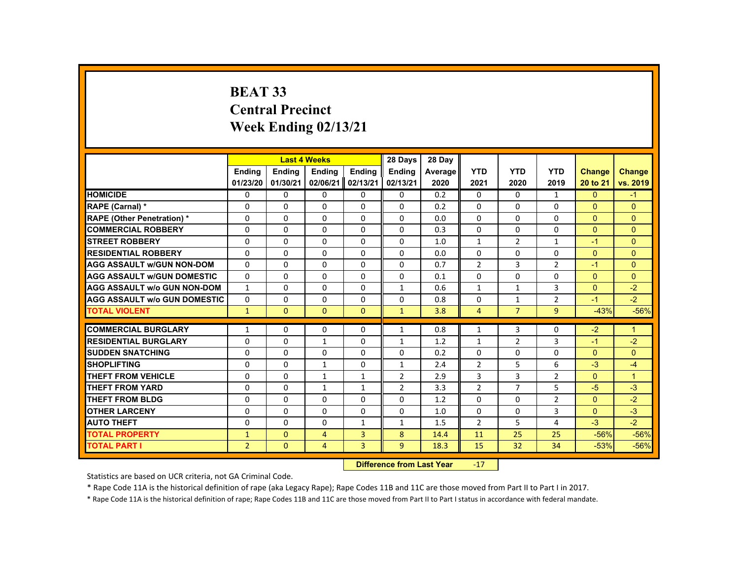# **BEAT 33 Central Precinct Week Ending 02/13/21**

|                                     |                |               | <b>Last 4 Weeks</b>              |              | 28 Days        | 28 Day  |                |                |                |                |                |
|-------------------------------------|----------------|---------------|----------------------------------|--------------|----------------|---------|----------------|----------------|----------------|----------------|----------------|
|                                     | <b>Ending</b>  | <b>Ending</b> | <b>Ending</b>                    | Ending       | <b>Ending</b>  | Average | <b>YTD</b>     | <b>YTD</b>     | <b>YTD</b>     | Change         | <b>Change</b>  |
|                                     | 01/23/20       | 01/30/21      | 02/06/21                         | 02/13/21     | 02/13/21       | 2020    | 2021           | 2020           | 2019           | 20 to 21       | vs. 2019       |
| <b>HOMICIDE</b>                     | 0              | 0             | 0                                | 0            | 0              | 0.2     | 0              | $\Omega$       | $\mathbf{1}$   | $\mathbf{0}$   | $-1$           |
| RAPE (Carnal) *                     | 0              | 0             | 0                                | $\Omega$     | $\Omega$       | 0.2     | $\Omega$       | $\Omega$       | 0              | $\Omega$       | $\Omega$       |
| <b>RAPE (Other Penetration) *</b>   | 0              | 0             | 0                                | 0            | 0              | 0.0     | 0              | 0              | 0              | $\overline{0}$ | $\mathbf{0}$   |
| <b>COMMERCIAL ROBBERY</b>           | $\Omega$       | $\Omega$      | $\Omega$                         | $\Omega$     | $\Omega$       | 0.3     | $\Omega$       | $\Omega$       | $\Omega$       | $\Omega$       | $\Omega$       |
| <b>STREET ROBBERY</b>               | 0              | $\Omega$      | 0                                | 0            | $\Omega$       | 1.0     | $\mathbf{1}$   | $\overline{2}$ | $\mathbf{1}$   | $-1$           | $\mathbf{0}$   |
| <b>RESIDENTIAL ROBBERY</b>          | $\Omega$       | $\Omega$      | $\Omega$                         | 0            | $\Omega$       | 0.0     | $\Omega$       | $\Omega$       | 0              | $\Omega$       | $\mathbf{0}$   |
| <b>AGG ASSAULT w/GUN NON-DOM</b>    | $\Omega$       | $\Omega$      | $\Omega$                         | $\Omega$     | $\Omega$       | 0.7     | $\overline{2}$ | 3              | $\overline{2}$ | $-1$           | $\mathbf{0}$   |
| <b>AGG ASSAULT W/GUN DOMESTIC</b>   | $\Omega$       | $\Omega$      | $\Omega$                         | $\Omega$     | $\Omega$       | 0.1     | $\Omega$       | $\Omega$       | $\Omega$       | $\Omega$       | $\Omega$       |
| <b>AGG ASSAULT w/o GUN NON-DOM</b>  | 1              | 0             | 0                                | 0            | 1              | 0.6     | 1              | $\mathbf{1}$   | 3              | $\Omega$       | $-2$           |
| <b>AGG ASSAULT w/o GUN DOMESTIC</b> | $\Omega$       | 0             | $\Omega$                         | $\Omega$     | $\Omega$       | 0.8     | $\Omega$       | $\mathbf{1}$   | $\overline{2}$ | $-1$           | $-2$           |
| <b>TOTAL VIOLENT</b>                | $\mathbf{1}$   | $\mathbf{0}$  | $\mathbf{0}$                     | $\mathbf{0}$ | $\mathbf{1}$   | 3.8     | $\overline{4}$ | $\overline{7}$ | 9              | $-43%$         | $-56%$         |
| <b>COMMERCIAL BURGLARY</b>          | 1              | 0             | 0                                | 0            | 1              | 0.8     | 1              | 3              | 0              | $-2$           | $\mathbf{1}$   |
| <b>RESIDENTIAL BURGLARY</b>         | $\Omega$       | $\Omega$      | $\mathbf{1}$                     | $\Omega$     | $\mathbf{1}$   | 1.2     | $\mathbf{1}$   | 2              | 3              | $-1$           | $-2$           |
| <b>SUDDEN SNATCHING</b>             | $\Omega$       | $\Omega$      | $\Omega$                         | $\Omega$     | $\Omega$       | 0.2     | $\Omega$       | $\Omega$       | 0              | $\Omega$       | $\Omega$       |
| <b>SHOPLIFTING</b>                  | 0              | $\Omega$      | $\mathbf{1}$                     | 0            | $\mathbf{1}$   | 2.4     | $\overline{2}$ | 5              | 6              | $-3$           | $-4$           |
| <b>THEFT FROM VEHICLE</b>           | $\Omega$       | $\Omega$      | $\mathbf{1}$                     | $\mathbf{1}$ | $\overline{2}$ | 2.9     | 3              | 3              | $\overline{2}$ | $\Omega$       | $\overline{1}$ |
| <b>THEFT FROM YARD</b>              | $\Omega$       | $\Omega$      | 1                                | $\mathbf{1}$ | $\overline{2}$ | 3.3     | $\overline{2}$ | $\overline{7}$ | 5              | $-5$           | $-3$           |
| <b>THEFT FROM BLDG</b>              | $\Omega$       | $\Omega$      | $\Omega$                         | $\Omega$     | $\Omega$       | 1.2     | $\Omega$       | $\Omega$       | $\overline{2}$ | $\Omega$       | $-2$           |
| <b>OTHER LARCENY</b>                | 0              | $\Omega$      | 0                                | 0            | 0              | 1.0     | $\Omega$       | 0              | 3              | $\overline{0}$ | $-3$           |
| <b>AUTO THEFT</b>                   | 0              | 0             | $\Omega$                         | $\mathbf{1}$ | 1              | 1.5     | $\overline{2}$ | 5              | 4              | $-3$           | $-2$           |
| <b>TOTAL PROPERTY</b>               | $\mathbf{1}$   | $\mathbf{0}$  | $\overline{4}$                   | 3            | 8              | 14.4    | 11             | 25             | 25             | $-56%$         | $-56%$         |
| <b>TOTAL PART I</b>                 | $\overline{2}$ | $\mathbf{0}$  | $\overline{4}$                   | 3            | 9              | 18.3    | 15             | 32             | 34             | $-53%$         | $-56%$         |
|                                     |                |               | <b>Difference from Last Year</b> |              | $-17$          |         |                |                |                |                |                |

Statistics are based on UCR criteria, not GA Criminal Code.

\* Rape Code 11A is the historical definition of rape (aka Legacy Rape); Rape Codes 11B and 11C are those moved from Part II to Part I in 2017.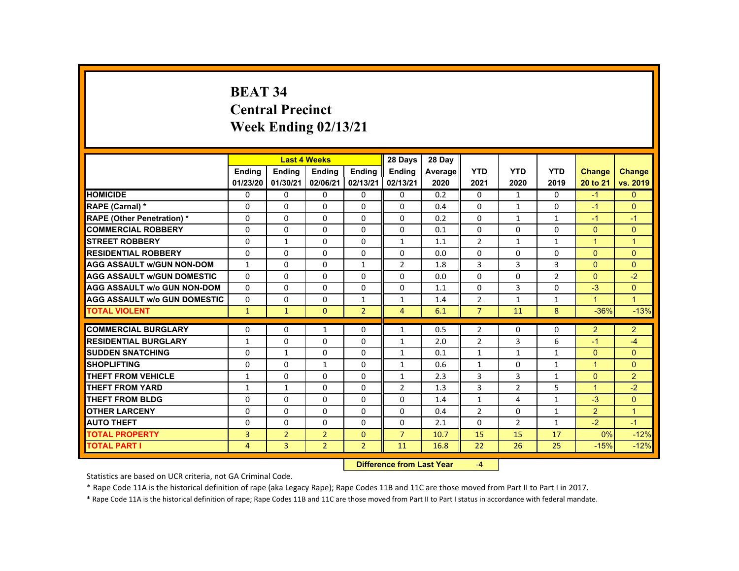# **BEAT 34 Central Precinct Week Ending 02/13/21**

|                                     |                |                           | <b>Last 4 Weeks</b> |                | 28 Days        | 28 Day  |                |                |                |                              |                |
|-------------------------------------|----------------|---------------------------|---------------------|----------------|----------------|---------|----------------|----------------|----------------|------------------------------|----------------|
|                                     | <b>Endina</b>  | <b>Endina</b>             | <b>Endina</b>       | <b>Endina</b>  | <b>Endina</b>  | Average | <b>YTD</b>     | <b>YTD</b>     | <b>YTD</b>     | <b>Change</b>                | <b>Change</b>  |
|                                     | 01/23/20       | 01/30/21                  | 02/06/21            | 02/13/21       | 02/13/21       | 2020    | 2021           | 2020           | 2019           | 20 to 21                     | vs. 2019       |
| <b>HOMICIDE</b>                     | $\mathbf{0}$   | 0                         | 0                   | 0              | 0              | 0.2     | 0              | $\mathbf{1}$   | $\Omega$       | $-1$                         | $\mathbf{0}$   |
| RAPE (Carnal) *                     | 0              | 0                         | 0                   | $\Omega$       | 0              | 0.4     | $\Omega$       | $\mathbf{1}$   | 0              | $-1$                         | $\Omega$       |
| <b>RAPE (Other Penetration) *</b>   | $\Omega$       | $\Omega$                  | $\Omega$            | $\Omega$       | $\Omega$       | 0.2     | $\Omega$       | $\mathbf{1}$   | $\mathbf{1}$   | $-1$                         | $-1$           |
| <b>COMMERCIAL ROBBERY</b>           | $\Omega$       | $\Omega$                  | $\Omega$            | $\Omega$       | $\Omega$       | 0.1     | $\Omega$       | $\Omega$       | $\Omega$       | $\Omega$                     | $\mathbf{0}$   |
| <b>STREET ROBBERY</b>               | $\Omega$       | $\mathbf{1}$              | $\Omega$            | $\Omega$       | $\mathbf{1}$   | 1.1     | $\overline{2}$ | $\mathbf{1}$   | $\mathbf{1}$   | $\overline{1}$               | $\mathbf{1}$   |
| <b>RESIDENTIAL ROBBERY</b>          | 0              | 0                         | 0                   | 0              | 0              | 0.0     | 0              | 0              | 0              | $\Omega$                     | $\mathbf{0}$   |
| <b>AGG ASSAULT W/GUN NON-DOM</b>    | $\mathbf{1}$   | $\Omega$                  | $\Omega$            | $\mathbf{1}$   | $\overline{2}$ | 1.8     | 3              | 3              | 3              | $\Omega$                     | $\Omega$       |
| <b>AGG ASSAULT W/GUN DOMESTIC</b>   | $\Omega$       | $\Omega$                  | $\Omega$            | $\Omega$       | $\Omega$       | 0.0     | $\Omega$       | $\Omega$       | $\overline{2}$ | $\Omega$                     | $-2$           |
| <b>AGG ASSAULT w/o GUN NON-DOM</b>  | $\Omega$       | $\Omega$                  | $\Omega$            | $\Omega$       | $\Omega$       | 1.1     | $\Omega$       | $\overline{3}$ | $\Omega$       | $-3$                         | $\Omega$       |
| <b>AGG ASSAULT W/o GUN DOMESTIC</b> | $\Omega$       | $\Omega$                  | $\Omega$            | $\mathbf{1}$   | $\mathbf{1}$   | 1.4     | $\overline{2}$ | $\mathbf{1}$   | $\mathbf{1}$   | $\mathbf{1}$                 | $\mathbf{1}$   |
| <b>TOTAL VIOLENT</b>                | $\mathbf{1}$   | $\mathbf{1}$              | $\Omega$            | $\overline{2}$ | $\overline{4}$ | 6.1     | $\overline{7}$ | 11             | 8              | $-36%$                       | $-13%$         |
| <b>COMMERCIAL BURGLARY</b>          | $\Omega$       | $\Omega$                  | $\mathbf{1}$        | $\Omega$       | $\mathbf{1}$   | 0.5     | $\overline{2}$ | $\Omega$       | $\Omega$       | 2                            | $\overline{2}$ |
| <b>RESIDENTIAL BURGLARY</b>         | $\mathbf{1}$   | $\Omega$                  | 0                   | 0              | 1              | 2.0     | $\overline{2}$ | 3              | 6              | $-1$                         | -4             |
| <b>SUDDEN SNATCHING</b>             | $\Omega$       | $\mathbf{1}$              | $\Omega$            | $\Omega$       | $\mathbf{1}$   | 0.1     | $\mathbf{1}$   | $\mathbf{1}$   | $\mathbf{1}$   | $\Omega$                     | $\mathbf{0}$   |
| <b>SHOPLIFTING</b>                  | $\Omega$       | $\Omega$                  | $\mathbf{1}$        | $\Omega$       | $\mathbf{1}$   | 0.6     | $\mathbf{1}$   | $\Omega$       | $\mathbf{1}$   | $\overline{1}$               | $\Omega$       |
| <b>THEFT FROM VEHICLE</b>           | $\mathbf{1}$   | $\Omega$                  | $\Omega$            | $\Omega$       | $\mathbf{1}$   | 2.3     | 3              | $\overline{3}$ | $\mathbf{1}$   | $\Omega$                     | $\overline{2}$ |
| <b>THEFT FROM YARD</b>              |                |                           |                     |                |                |         | $\overline{3}$ |                |                |                              | $-2$           |
| <b>THEFT FROM BLDG</b>              | $\mathbf{1}$   | $\mathbf{1}$              | $\Omega$            | $\Omega$       | $\overline{2}$ | 1.3     |                | $\overline{2}$ | 5              | $\blacktriangleleft$<br>$-3$ |                |
|                                     | 0              | $\Omega$                  | 0                   | $\Omega$       | $\Omega$       | 1.4     | $\mathbf{1}$   | 4              | $\mathbf{1}$   |                              | $\mathbf{0}$   |
| <b>OTHER LARCENY</b>                | $\Omega$       | $\Omega$                  | $\Omega$            | $\Omega$       | $\Omega$       | 0.4     | $\overline{2}$ | $\Omega$       | $\mathbf{1}$   | 2                            | $\mathbf{1}$   |
| <b>AUTO THEFT</b>                   | $\Omega$       | $\Omega$                  | $\Omega$            | $\Omega$       | $\Omega$       | 2.1     | $\Omega$       | 2              | $\mathbf{1}$   | $-2$                         | $-1$           |
| <b>TOTAL PROPERTY</b>               | 3              | $\overline{2}$            | $\overline{2}$      | $\Omega$       | $\overline{7}$ | 10.7    | 15             | 15             | 17             | 0%                           | $-12%$         |
| <b>TOTAL PART I</b>                 | $\overline{4}$ | 3                         | $\overline{2}$      | $\overline{2}$ | 11             | 16.8    | 22             | 26             | 25             | $-15%$                       | $-12%$         |
|                                     |                | Difference from Loot Voor |                     |                |                |         | $\sqrt{ }$     |                |                |                              |                |

 **Difference from Last Year**r  $-4$ 

Statistics are based on UCR criteria, not GA Criminal Code.

\* Rape Code 11A is the historical definition of rape (aka Legacy Rape); Rape Codes 11B and 11C are those moved from Part II to Part I in 2017.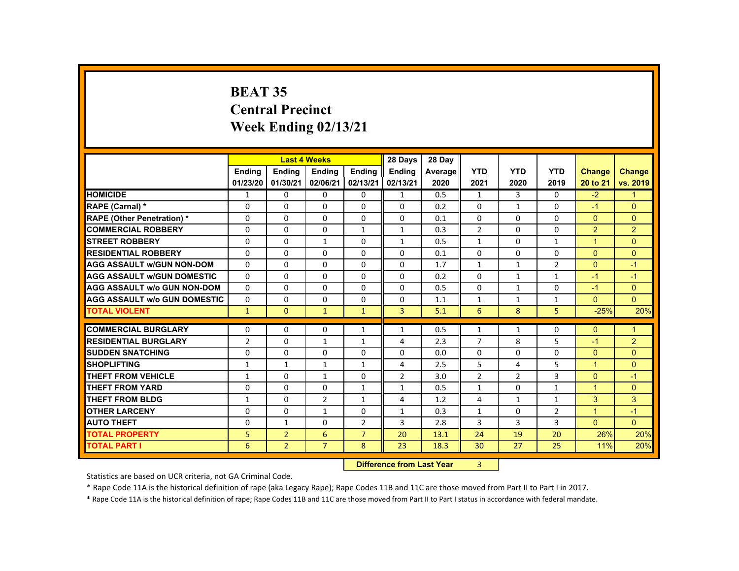# **BEAT 35 Central Precinct Week Ending 02/13/21**

|                                     |                |                | <b>Last 4 Weeks</b> |                | 28 Days                   | 28 Day     |                |                |                |                      |                |
|-------------------------------------|----------------|----------------|---------------------|----------------|---------------------------|------------|----------------|----------------|----------------|----------------------|----------------|
|                                     | <b>Endina</b>  | <b>Endina</b>  | <b>Endina</b>       | <b>Endina</b>  | <b>Endina</b>             | Average    | <b>YTD</b>     | <b>YTD</b>     | <b>YTD</b>     | <b>Change</b>        | <b>Change</b>  |
|                                     | 01/23/20       | 01/30/21       | 02/06/21            | 02/13/21       | 02/13/21                  | 2020       | 2021           | 2020           | 2019           | 20 to 21             | vs. 2019       |
| <b>HOMICIDE</b>                     | 1              | 0              | 0                   | 0              | $\mathbf{1}$              | 0.5        | $\mathbf{1}$   | $\mathbf{3}$   | $\Omega$       | $-2$                 | $\mathbf{1}$   |
| <b>RAPE (Carnal) *</b>              | 0              | 0              | 0                   | $\Omega$       | 0                         | 0.2        | $\Omega$       | $\mathbf{1}$   | 0              | $-1$                 | $\Omega$       |
| <b>RAPE (Other Penetration) *</b>   | $\Omega$       | $\Omega$       | $\Omega$            | $\Omega$       | $\Omega$                  | 0.1        | $\Omega$       | $\Omega$       | $\Omega$       | $\Omega$             | $\Omega$       |
| <b>COMMERCIAL ROBBERY</b>           | $\Omega$       | $\Omega$       | $\Omega$            | $\mathbf{1}$   | $\mathbf{1}$              | 0.3        | $\overline{2}$ | $\Omega$       | $\Omega$       | 2                    | $\overline{2}$ |
| <b>STREET ROBBERY</b>               | $\Omega$       | $\Omega$       | $\mathbf{1}$        | $\Omega$       | $\mathbf{1}$              | 0.5        | $\mathbf{1}$   | $\Omega$       | $\mathbf{1}$   | $\overline{1}$       | $\Omega$       |
| <b>RESIDENTIAL ROBBERY</b>          | 0              | 0              | 0                   | 0              | 0                         | 0.1        | 0              | 0              | 0              | $\Omega$             | $\mathbf{0}$   |
| <b>AGG ASSAULT W/GUN NON-DOM</b>    | $\Omega$       | $\Omega$       | $\Omega$            | $\Omega$       | $\Omega$                  | 1.7        | $\mathbf{1}$   | $\mathbf{1}$   | $\overline{2}$ | $\Omega$             | $-1$           |
| <b>AGG ASSAULT W/GUN DOMESTIC</b>   | $\Omega$       | $\Omega$       | $\Omega$            | $\Omega$       | $\Omega$                  | 0.2        | $\Omega$       | $\mathbf{1}$   | $\mathbf{1}$   | $-1$                 | $-1$           |
| <b>AGG ASSAULT w/o GUN NON-DOM</b>  | $\Omega$       | $\Omega$       | $\Omega$            | $\Omega$       | $\Omega$                  | 0.5        | $\Omega$       | $\mathbf{1}$   | $\Omega$       | $-1$                 | $\Omega$       |
| <b>AGG ASSAULT W/o GUN DOMESTIC</b> | $\Omega$       | $\Omega$       | $\Omega$            | $\Omega$       | $\Omega$                  | 1.1        | $\mathbf{1}$   | $\mathbf{1}$   | $\mathbf{1}$   | $\Omega$             | $\Omega$       |
| <b>TOTAL VIOLENT</b>                | $\mathbf{1}$   | $\Omega$       | $\mathbf{1}$        | $\mathbf{1}$   | $\overline{3}$            | 5.1        | 6              | 8              | 5              | $-25%$               | 20%            |
| <b>COMMERCIAL BURGLARY</b>          | $\Omega$       | $\Omega$       | $\Omega$            | $\mathbf{1}$   | $\mathbf{1}$              | 0.5        | $\mathbf{1}$   | $\mathbf{1}$   | $\Omega$       | $\Omega$             | $\mathbf{1}$   |
| <b>RESIDENTIAL BURGLARY</b>         | $\overline{2}$ |                |                     |                |                           |            | $\overline{7}$ | 8              | 5              |                      |                |
| <b>SUDDEN SNATCHING</b>             | $\Omega$       | 0<br>$\Omega$  | 1<br>$\Omega$       | 1<br>$\Omega$  | 4<br>$\Omega$             | 2.3        | $\Omega$       | $\Omega$       | $\Omega$       | $-1$<br>$\Omega$     | 2<br>$\Omega$  |
| <b>SHOPLIFTING</b>                  |                |                |                     |                |                           | 0.0        | 5              |                | 5              | $\overline{1}$       | $\Omega$       |
|                                     | $\mathbf{1}$   | $\mathbf{1}$   | $\mathbf{1}$        | $\mathbf{1}$   | 4                         | 2.5<br>3.0 |                | 4              | 3              |                      | $-1$           |
| <b>THEFT FROM VEHICLE</b>           | $\mathbf{1}$   | $\Omega$       | $\mathbf{1}$        | $\Omega$       | $\overline{2}$            |            | $\overline{2}$ | $\overline{2}$ |                | $\Omega$             |                |
| <b>THEFT FROM YARD</b>              | 0              | $\Omega$       | $\Omega$            | $\mathbf{1}$   | $\mathbf{1}$              | 0.5        | $\mathbf{1}$   | 0              | $\mathbf{1}$   | $\blacktriangleleft$ | $\Omega$       |
| <b>THEFT FROM BLDG</b>              | $\mathbf{1}$   | $\Omega$       | $\overline{2}$      | $\mathbf{1}$   | 4                         | 1.2        | 4              | $\mathbf{1}$   | $\mathbf{1}$   | $\overline{3}$       | 3              |
| <b>OTHER LARCENY</b>                | $\Omega$       | $\Omega$       | $\mathbf{1}$        | $\Omega$       | $\mathbf{1}$              | 0.3        | $\mathbf{1}$   | $\Omega$       | $\overline{2}$ | $\blacktriangleleft$ | $-1$           |
| <b>AUTO THEFT</b>                   | 0              | $\mathbf{1}$   | $\Omega$            | $\overline{2}$ | 3                         | 2.8        | 3              | 3              | 3              | $\Omega$             | $\Omega$       |
| <b>TOTAL PROPERTY</b>               | 5              | $\overline{2}$ | 6                   | $\overline{7}$ | 20                        | 13.1       | 24             | 19             | 20             | 26%                  | 20%            |
| <b>TOTAL PART I</b>                 | 6              | $\overline{2}$ | $\overline{7}$      | 8              | 23                        | 18.3       | 30             | 27             | 25             | 11%                  | 20%            |
|                                     |                |                |                     |                | Difference from Loot Voor |            | $\mathcal{D}$  |                |                |                      |                |

 **Difference from Last Year**r 3

Statistics are based on UCR criteria, not GA Criminal Code.

\* Rape Code 11A is the historical definition of rape (aka Legacy Rape); Rape Codes 11B and 11C are those moved from Part II to Part I in 2017.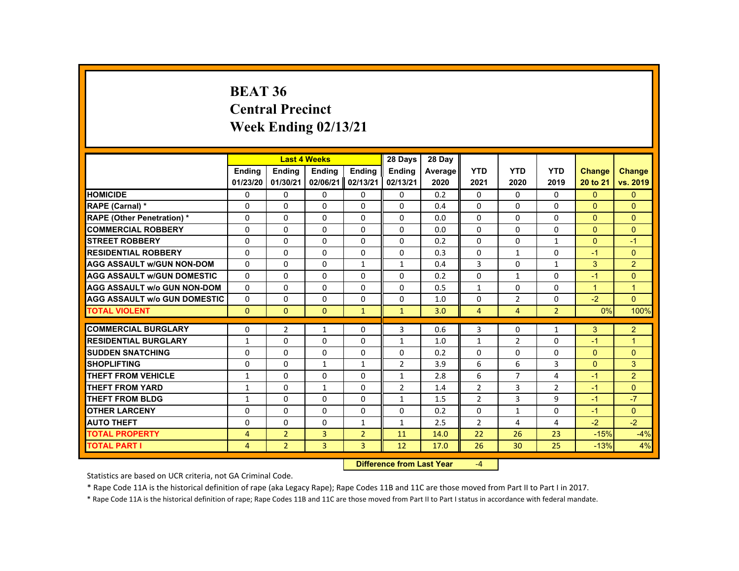#### **BEAT 36 Central PrecinctWeek Ending 02/13/21**

|                                               |               | <b>Last 4 Weeks</b> |               |                | 28 Days        | 28 Day                    |                |                |                |                |                |
|-----------------------------------------------|---------------|---------------------|---------------|----------------|----------------|---------------------------|----------------|----------------|----------------|----------------|----------------|
|                                               | <b>Endina</b> | <b>Endina</b>       | <b>Ending</b> | <b>Endina</b>  | <b>Ending</b>  | Average                   | <b>YTD</b>     | <b>YTD</b>     | <b>YTD</b>     | <b>Change</b>  | <b>Change</b>  |
|                                               | 01/23/20      | 01/30/21            | 02/06/21      | 02/13/21       | 02/13/21       | 2020                      | 2021           | 2020           | 2019           | 20 to 21       | vs. 2019       |
| <b>HOMICIDE</b>                               | 0             | $\Omega$            | 0             | 0              | 0              | 0.2                       | $\mathbf{0}$   | $\mathbf{0}$   | 0              | $\mathbf{0}$   | $\Omega$       |
| RAPE (Carnal) *                               | $\Omega$      | $\Omega$            | $\Omega$      | $\Omega$       | $\Omega$       | 0.4                       | $\Omega$       | $\Omega$       | $\Omega$       | $\Omega$       | $\Omega$       |
| <b>RAPE (Other Penetration) *</b>             | $\Omega$      | $\Omega$            | $\Omega$      | $\Omega$       | $\Omega$       | 0.0                       | $\Omega$       | $\Omega$       | $\Omega$       | $\Omega$       | $\Omega$       |
| <b>COMMERCIAL ROBBERY</b>                     | $\Omega$      | $\Omega$            | $\Omega$      | $\Omega$       | $\Omega$       | 0.0                       | $\Omega$       | $\Omega$       | 0              | $\Omega$       | $\Omega$       |
| <b>STREET ROBBERY</b>                         | $\Omega$      | $\Omega$            | $\Omega$      | $\Omega$       | $\Omega$       | 0.2                       | $\Omega$       | $\Omega$       | $\mathbf{1}$   | $\Omega$       | $-1$           |
| <b>RESIDENTIAL ROBBERY</b>                    | $\Omega$      | 0                   | $\Omega$      | $\Omega$       | $\Omega$       | 0.3                       | $\Omega$       | $\mathbf{1}$   | $\Omega$       | $-1$           | $\Omega$       |
| <b>AGG ASSAULT w/GUN NON-DOM</b>              | 0             | 0                   | 0             | $\mathbf{1}$   | $\mathbf{1}$   | 0.4                       | 3              | 0              | $\mathbf{1}$   | 3              | $\overline{2}$ |
| <b>AGG ASSAULT w/GUN DOMESTIC</b>             | $\Omega$      | 0                   | $\Omega$      | 0              | 0              | 0.2                       | $\Omega$       | $\mathbf{1}$   | $\Omega$       | $-1$           | $\Omega$       |
| <b>AGG ASSAULT w/o GUN NON-DOM</b>            | $\Omega$      | $\Omega$            | $\Omega$      | $\Omega$       | $\Omega$       | 0.5                       | $\mathbf{1}$   | $\Omega$       | $\Omega$       | $\overline{1}$ | $\overline{1}$ |
| <b>AGG ASSAULT W/o GUN DOMESTIC</b>           | $\Omega$      | $\Omega$            | $\Omega$      | $\Omega$       | $\Omega$       | 1.0                       | $\Omega$       | $\overline{2}$ | $\Omega$       | $-2$           | $\Omega$       |
| <b>TOTAL VIOLENT</b>                          | $\mathbf{0}$  | $\mathbf{0}$        | $\mathbf{0}$  | $\mathbf{1}$   | $\mathbf{1}$   | 3.0                       | $\overline{4}$ | 4              | $\overline{2}$ | 0%             | 100%           |
| <b>COMMERCIAL BURGLARY</b>                    | $\Omega$      | $\overline{2}$      | 1             | $\Omega$       | 3              | 0.6                       | 3              | $\Omega$       | 1              | 3              | 2              |
| <b>RESIDENTIAL BURGLARY</b>                   |               | $\Omega$            | $\Omega$      | $\Omega$       |                |                           |                |                | $\Omega$       | $-1$           | $\overline{1}$ |
|                                               | $\mathbf{1}$  |                     |               |                | $\mathbf{1}$   | 1.0                       | $\mathbf{1}$   | $\overline{2}$ |                |                |                |
| <b>SUDDEN SNATCHING</b><br><b>SHOPLIFTING</b> | $\Omega$      | 0                   | 0             | 0              | $\Omega$       | 0.2                       | 0<br>6         | 0              | 0<br>3         | $\Omega$       | $\Omega$<br>3  |
|                                               | $\Omega$      | $\Omega$            | $\mathbf{1}$  | $\mathbf{1}$   | $\overline{2}$ | 3.9                       |                | 6              |                | $\Omega$       |                |
| <b>THEFT FROM VEHICLE</b>                     | $\mathbf{1}$  | $\Omega$            | $\Omega$      | $\Omega$       | $\mathbf{1}$   | 2.8                       | 6              | $\overline{7}$ | 4              | $-1$           | $\overline{2}$ |
| <b>THEFT FROM YARD</b>                        | $\mathbf{1}$  | $\Omega$            | $\mathbf{1}$  | $\Omega$       | $\overline{2}$ | 1.4                       | $\overline{2}$ | $\overline{3}$ | $\overline{2}$ | $-1$           | $\Omega$       |
| <b>THEFT FROM BLDG</b>                        | 1             | $\Omega$            | $\Omega$      | $\Omega$       | $\mathbf{1}$   | 1.5                       | $\overline{2}$ | 3              | 9              | $-1$           | $-7$           |
| <b>OTHER LARCENY</b>                          | $\Omega$      | 0                   | $\Omega$      | 0              | 0              | 0.2                       | $\Omega$       | $\mathbf{1}$   | $\Omega$       | $-1$           | $\Omega$       |
| <b>AUTO THEFT</b>                             | $\Omega$      | $\Omega$            | $\Omega$      | $\mathbf{1}$   | $\mathbf{1}$   | 2.5                       | $\overline{2}$ | 4              | 4              | $-2$           | $-2$           |
| <b>TOTAL PROPERTY</b>                         | 4             | $\overline{2}$      | 3             | $\overline{2}$ | 11             | 14.0                      | 22             | 26             | 23             | $-15%$         | $-4%$          |
| <b>TOTAL PART I</b>                           | 4             | $\overline{2}$      | 3             | 3              | 12             | 17.0                      | 26             | 30             | 25             | $-13%$         | 4%             |
|                                               |               |                     |               |                |                | Difference from Loot Voor | $\mathbf{A}$   |                |                |                |                |

 **Difference from Last Year**‐4

Statistics are based on UCR criteria, not GA Criminal Code.

\* Rape Code 11A is the historical definition of rape (aka Legacy Rape); Rape Codes 11B and 11C are those moved from Part II to Part I in 2017.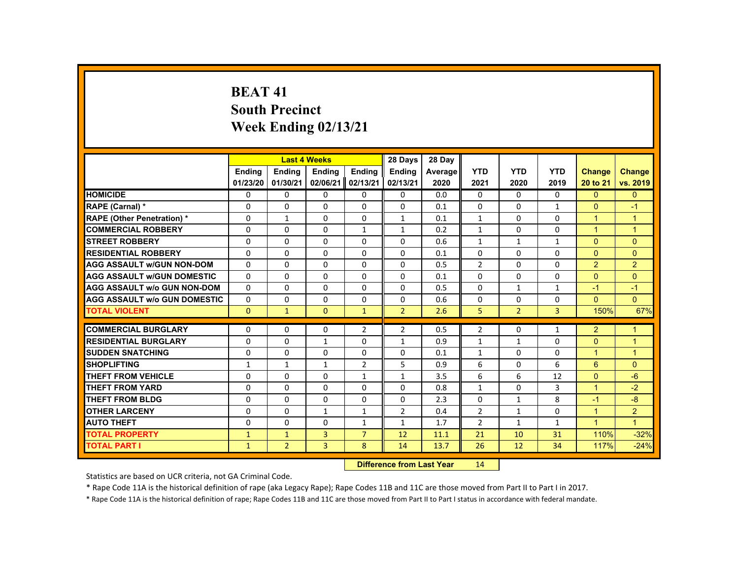# **BEAT 41South Precinct Week Ending 02/13/21**

|                                     |               | <b>Last 4 Weeks</b> |                |                | 28 Days                           | 28 Day  |                |                   |                |                      |                      |
|-------------------------------------|---------------|---------------------|----------------|----------------|-----------------------------------|---------|----------------|-------------------|----------------|----------------------|----------------------|
|                                     | <b>Ending</b> | <b>Ending</b>       | <b>Ending</b>  | Ending         | <b>Endina</b>                     | Average | <b>YTD</b>     | <b>YTD</b>        | <b>YTD</b>     | <b>Change</b>        | <b>Change</b>        |
|                                     | 01/23/20      | 01/30/21            | 02/06/21       | 02/13/21       | 02/13/21                          | 2020    | 2021           | 2020              | 2019           | 20 to 21             | vs. 2019             |
| <b>HOMICIDE</b>                     | $\Omega$      | $\Omega$            | $\Omega$       | $\Omega$       | 0                                 | 0.0     | $\Omega$       | $\Omega$          | $\Omega$       | $\Omega$             | $\overline{0}$       |
| RAPE (Carnal) *                     | $\Omega$      | $\Omega$            | $\mathbf{0}$   | $\Omega$       | $\Omega$                          | 0.1     | $\Omega$       | $\Omega$          | $\mathbf{1}$   | $\mathbf{0}$         | $-1$                 |
| <b>RAPE (Other Penetration) *</b>   | $\mathbf{0}$  | $\mathbf{1}$        | $\Omega$       | $\Omega$       | $\mathbf{1}$                      | 0.1     | $\mathbf{1}$   | $\Omega$          | $\Omega$       | $\blacktriangleleft$ | $\mathbf{1}$         |
| <b>COMMERCIAL ROBBERY</b>           | $\Omega$      | $\Omega$            | $\Omega$       | $\mathbf{1}$   | $\mathbf{1}$                      | 0.2     | $\mathbf{1}$   | $\Omega$          | $\Omega$       | $\overline{1}$       | $\overline{1}$       |
| <b>STREET ROBBERY</b>               | $\Omega$      | $\Omega$            | $\Omega$       | $\Omega$       | $\Omega$                          | 0.6     | $\mathbf{1}$   | $\mathbf{1}$      | $\mathbf{1}$   | $\Omega$             | $\Omega$             |
| <b>RESIDENTIAL ROBBERY</b>          | 0             | $\Omega$            | $\Omega$       | $\mathbf{0}$   | 0                                 | 0.1     | 0              | 0                 | 0              | $\Omega$             | $\overline{0}$       |
| <b>AGG ASSAULT W/GUN NON-DOM</b>    | $\Omega$      | $\Omega$            | $\Omega$       | $\Omega$       | $\Omega$                          | 0.5     | $\overline{2}$ | $\Omega$          | $\Omega$       | $\overline{2}$       | $\overline{2}$       |
| <b>AGG ASSAULT W/GUN DOMESTIC</b>   | $\Omega$      | $\Omega$            | $\Omega$       | $\Omega$       | $\Omega$                          | 0.1     | $\Omega$       | $\Omega$          | $\Omega$       | $\Omega$             | $\Omega$             |
| <b>AGG ASSAULT w/o GUN NON-DOM</b>  | $\Omega$      | $\Omega$            | $\Omega$       | $\Omega$       | $\Omega$                          | 0.5     | $\Omega$       | $\mathbf{1}$      | $\mathbf{1}$   | $-1$                 | $-1$                 |
| <b>AGG ASSAULT W/o GUN DOMESTIC</b> | $\Omega$      | $\Omega$            | $\Omega$       | $\Omega$       | $\Omega$                          | 0.6     | $\Omega$       | $\Omega$          | $\Omega$       | $\Omega$             | $\mathbf{0}$         |
| <b>TOTAL VIOLENT</b>                | $\Omega$      | $\mathbf{1}$        | $\Omega$       | $\mathbf{1}$   | $\overline{2}$                    | 2.6     | 5              | $\overline{2}$    | $\overline{3}$ | 150%                 | 67%                  |
| <b>COMMERCIAL BURGLARY</b>          | $\Omega$      | $\Omega$            | $\Omega$       | $\overline{2}$ | $\overline{2}$                    | 0.5     |                | $\Omega$          |                | $\overline{2}$       | $\blacktriangleleft$ |
|                                     |               |                     |                |                |                                   |         | $\overline{2}$ |                   | $\mathbf{1}$   |                      |                      |
| <b>RESIDENTIAL BURGLARY</b>         | $\Omega$      | $\Omega$            | $\mathbf{1}$   | $\Omega$       | $\mathbf{1}$                      | 0.9     | $\mathbf{1}$   | $\mathbf{1}$      | $\Omega$       | $\Omega$             | $\mathbf{1}$         |
| <b>SUDDEN SNATCHING</b>             | $\mathbf{0}$  | $\Omega$            | $\Omega$       | $\mathbf{0}$   | $\Omega$                          | 0.1     | $\mathbf{1}$   | 0                 | $\Omega$       | $\mathbf{1}$         | $\mathbf{1}$         |
| <b>SHOPLIFTING</b>                  | $\mathbf{1}$  | $\mathbf{1}$        | $\mathbf{1}$   | $\overline{2}$ | 5                                 | 0.9     | 6              | $\Omega$          | 6              | 6                    | $\Omega$             |
| <b>THEFT FROM VEHICLE</b>           | $\Omega$      | $\Omega$            | $\Omega$       | $\mathbf{1}$   | $\mathbf{1}$                      | 3.5     | 6              | 6                 | 12             | $\Omega$             | $-6$                 |
| <b>THEFT FROM YARD</b>              | $\Omega$      | $\Omega$            | $\Omega$       | $\Omega$       | $\Omega$                          | 0.8     | $\mathbf{1}$   | $\Omega$          | 3              | $\blacktriangleleft$ | $-2$                 |
| <b>THEFT FROM BLDG</b>              | $\Omega$      | $\Omega$            | $\Omega$       | $\Omega$       | $\Omega$                          | 2.3     | $\Omega$       | $\mathbf{1}$      | 8              | $-1$                 | $-8$                 |
| <b>OTHER LARCENY</b>                | $\Omega$      | $\Omega$            | $\mathbf{1}$   | $\mathbf{1}$   | $\overline{2}$                    | 0.4     | $\overline{2}$ | 1                 | $\Omega$       | $\overline{1}$       | 2 <sup>1</sup>       |
| <b>AUTO THEFT</b>                   | $\Omega$      | $\Omega$            | $\Omega$       | $\mathbf{1}$   | $\mathbf{1}$                      | 1.7     | $\overline{2}$ | $\mathbf{1}$      | $\mathbf{1}$   | $\overline{1}$       | $\overline{1}$       |
| <b>TOTAL PROPERTY</b>               | $\mathbf{1}$  | $\mathbf{1}$        | $\overline{3}$ | $\overline{7}$ | 12                                | 11.1    | 21             | 10                | 31             | 110%                 | $-32%$               |
| <b>TOTAL PART I</b>                 | $\mathbf{1}$  | $\overline{2}$      | 3              | 8              | 14                                | 13.7    | 26             | $12 \overline{ }$ | 34             | 117%                 | $-24%$               |
|                                     |               |                     |                |                | <b>Difference from Least Vanc</b> |         | 4A             |                   |                |                      |                      |

 **Difference from Last Year**r 14

Statistics are based on UCR criteria, not GA Criminal Code.

\* Rape Code 11A is the historical definition of rape (aka Legacy Rape); Rape Codes 11B and 11C are those moved from Part II to Part I in 2017.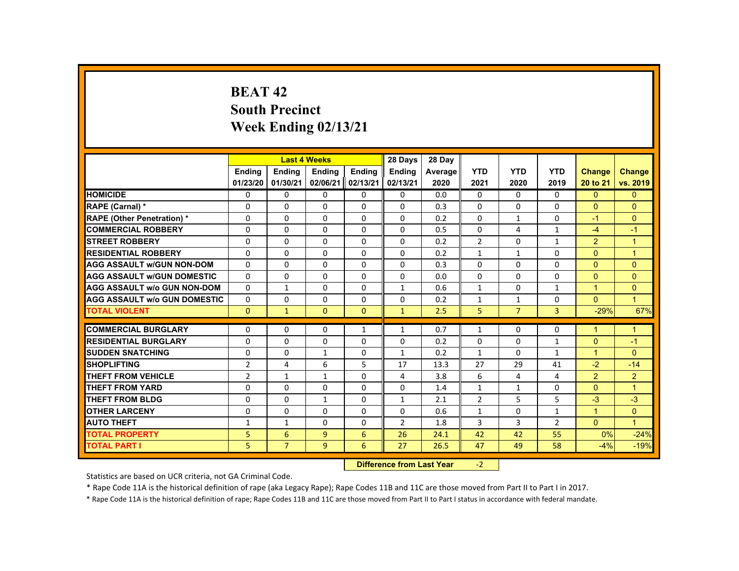# **BEAT 42South Precinct Week Ending 02/13/21**

|                                     |                |                | <b>Last 4 Weeks</b> |               | 28 Days                          | 28 Day  |                |                |                |                      |                |
|-------------------------------------|----------------|----------------|---------------------|---------------|----------------------------------|---------|----------------|----------------|----------------|----------------------|----------------|
|                                     | <b>Ending</b>  | Ending         | <b>Ending</b>       | <b>Endina</b> | <b>Endina</b>                    | Average | <b>YTD</b>     | <b>YTD</b>     | <b>YTD</b>     | Change               | <b>Change</b>  |
|                                     | 01/23/20       | 01/30/21       | 02/06/21            | 02/13/21      | 02/13/21                         | 2020    | 2021           | 2020           | 2019           | 20 to 21             | vs. 2019       |
| <b>HOMICIDE</b>                     | $\Omega$       | $\Omega$       | 0                   | $\Omega$      | 0                                | 0.0     | $\mathbf{0}$   | $\Omega$       | $\Omega$       | $\Omega$             | $\overline{0}$ |
| RAPE (Carnal) *                     | $\Omega$       | $\Omega$       | $\Omega$            | $\Omega$      | $\Omega$                         | 0.3     | $\Omega$       | $\Omega$       | $\Omega$       | $\Omega$             | $\Omega$       |
| <b>RAPE (Other Penetration) *</b>   | $\Omega$       | $\Omega$       | $\Omega$            | $\Omega$      | $\Omega$                         | 0.2     | $\Omega$       | $\mathbf{1}$   | $\Omega$       | $-1$                 | $\mathbf{0}$   |
| <b>COMMERCIAL ROBBERY</b>           | $\Omega$       | $\Omega$       | $\Omega$            | $\Omega$      | $\Omega$                         | 0.5     | $\Omega$       | $\overline{4}$ | $\mathbf{1}$   | $-4$                 | $-1$           |
| <b>STREET ROBBERY</b>               | $\Omega$       | $\Omega$       | $\Omega$            | $\Omega$      | $\Omega$                         | 0.2     | $\overline{2}$ | $\Omega$       | $\mathbf{1}$   | $\overline{2}$       | $\overline{1}$ |
| <b>RESIDENTIAL ROBBERY</b>          | $\mathbf{0}$   | $\mathbf{0}$   | 0                   | 0             | $\Omega$                         | 0.2     | $\mathbf{1}$   | $\mathbf{1}$   | 0              | $\Omega$             | $\overline{1}$ |
| <b>AGG ASSAULT W/GUN NON-DOM</b>    | $\Omega$       | $\Omega$       | $\Omega$            | $\Omega$      | $\Omega$                         | 0.3     | $\Omega$       | $\Omega$       | $\Omega$       | $\Omega$             | $\Omega$       |
| <b>AGG ASSAULT W/GUN DOMESTIC</b>   | $\Omega$       | $\Omega$       | $\Omega$            | $\Omega$      | $\Omega$                         | 0.0     | $\Omega$       | $\Omega$       | $\Omega$       | $\Omega$             | $\mathbf{0}$   |
| <b>AGG ASSAULT W/o GUN NON-DOM</b>  | $\Omega$       | $\mathbf{1}$   | $\Omega$            | $\Omega$      | $\mathbf{1}$                     | 0.6     | $\mathbf{1}$   | $\Omega$       | $\mathbf{1}$   | $\mathbf{1}$         | $\mathbf{0}$   |
| <b>AGG ASSAULT W/o GUN DOMESTIC</b> | $\Omega$       | $\Omega$       | $\Omega$            | $\Omega$      | $\Omega$                         | 0.2     | $\mathbf{1}$   | $\mathbf{1}$   | $\Omega$       | $\mathbf{0}$         | $\mathbf{1}$   |
| <b>TOTAL VIOLENT</b>                | $\mathbf{0}$   | $\mathbf{1}$   | $\Omega$            | $\Omega$      | $\mathbf{1}$                     | 2.5     | 5              | $\overline{7}$ | $\overline{3}$ | $-29%$               | 67%            |
| <b>COMMERCIAL BURGLARY</b>          | $\Omega$       | $\Omega$       | $\Omega$            | $\mathbf{1}$  | $\mathbf{1}$                     | 0.7     | $\mathbf{1}$   | $\Omega$       | $\Omega$       | $\blacktriangleleft$ | $\mathbf{1}$   |
| <b>RESIDENTIAL BURGLARY</b>         | $\Omega$       | $\Omega$       | 0                   | 0             | 0                                | 0.2     | 0              | 0              | $\mathbf{1}$   | $\mathbf{0}$         | $-1$           |
| <b>SUDDEN SNATCHING</b>             | $\Omega$       | $\Omega$       | $\mathbf{1}$        | $\Omega$      | 1                                | 0.2     | $\mathbf{1}$   | $\Omega$       | $\mathbf{1}$   | $\mathbf{1}$         | $\Omega$       |
| <b>SHOPLIFTING</b>                  | $\overline{2}$ | $\overline{4}$ | 6                   | 5             | 17                               | 13.3    | 27             | 29             | 41             | $-2$                 | $-14$          |
| <b>THEFT FROM VEHICLE</b>           | $\overline{2}$ | $\mathbf{1}$   | $\mathbf{1}$        | $\Omega$      | 4                                | 3.8     | 6              | 4              | 4              | $\overline{2}$       | 2              |
| <b>THEFT FROM YARD</b>              | $\Omega$       | $\Omega$       | $\Omega$            | $\Omega$      | $\Omega$                         | 1.4     | $\mathbf{1}$   | $\mathbf{1}$   | $\Omega$       | $\Omega$             | $\overline{1}$ |
| <b>THEFT FROM BLDG</b>              | 0              | $\Omega$       | $\mathbf{1}$        | $\Omega$      | $\mathbf{1}$                     | 2.1     | $\overline{2}$ | 5              | 5              | $-3$                 | $-3$           |
| <b>OTHER LARCENY</b>                | $\Omega$       | $\mathbf{0}$   | $\Omega$            | $\Omega$      | $\Omega$                         | 0.6     | $\mathbf{1}$   | $\Omega$       | $\mathbf{1}$   | $\mathbf{1}$         | $\overline{0}$ |
| <b>AUTO THEFT</b>                   | $\mathbf{1}$   | $\mathbf{1}$   | $\Omega$            | $\Omega$      | 2                                | 1.8     | 3              | 3              | $\overline{2}$ | $\mathbf{0}$         | $\overline{1}$ |
| <b>TOTAL PROPERTY</b>               | 5              | 6              | $\overline{9}$      | 6             | 26                               | 24.1    | 42             | 42             | 55             | 0%                   | $-24%$         |
| <b>TOTAL PART I</b>                 | 5              | $\overline{7}$ | 9 <sup>°</sup>      | 6             | 27                               | 26.5    | 47             | 49             | 58             | $-4%$                | $-19%$         |
|                                     |                |                |                     |               | <b>Difference from Leat Voor</b> |         | $\sim$         |                |                |                      |                |

 **Difference from Last Year**r -2

Statistics are based on UCR criteria, not GA Criminal Code.

\* Rape Code 11A is the historical definition of rape (aka Legacy Rape); Rape Codes 11B and 11C are those moved from Part II to Part I in 2017.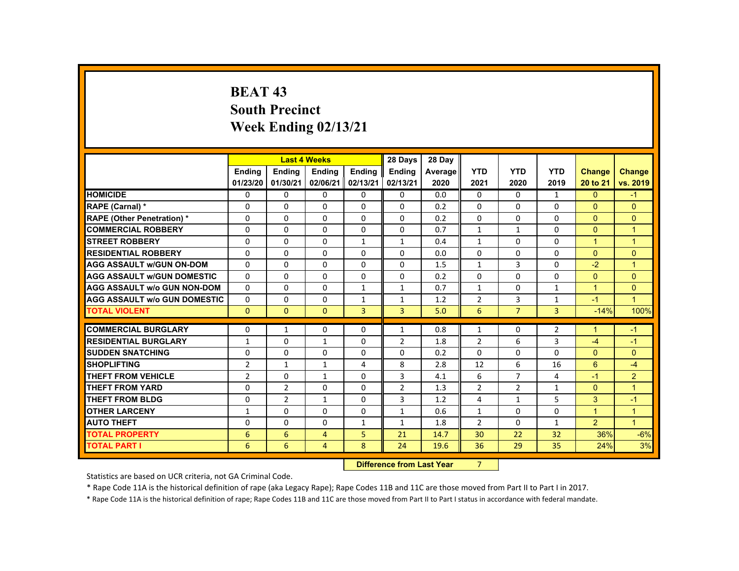# **BEAT 43 South Precinct Week Ending 02/13/21**

|                                     |                |                | <b>Last 4 Weeks</b> |                | 28 Days                   | 28 Day  |                |                |                |                      |                      |
|-------------------------------------|----------------|----------------|---------------------|----------------|---------------------------|---------|----------------|----------------|----------------|----------------------|----------------------|
|                                     | <b>Endina</b>  | <b>Ending</b>  | <b>Ending</b>       | Ending         | <b>Endina</b>             | Average | <b>YTD</b>     | <b>YTD</b>     | <b>YTD</b>     | <b>Change</b>        | <b>Change</b>        |
|                                     | 01/23/20       | 01/30/21       | 02/06/21            | 02/13/21       | 02/13/21                  | 2020    | 2021           | 2020           | 2019           | 20 to 21             | vs. 2019             |
| <b>HOMICIDE</b>                     | $\Omega$       | $\Omega$       | $\mathbf{0}$        | $\Omega$       | 0                         | 0.0     | 0              | $\Omega$       | $\mathbf{1}$   | $\Omega$             | $-1$                 |
| RAPE (Carnal) *                     | $\mathbf{0}$   | $\Omega$       | $\Omega$            | $\Omega$       | $\Omega$                  | 0.2     | $\Omega$       | $\Omega$       | $\Omega$       | $\mathbf{0}$         | $\Omega$             |
| <b>RAPE (Other Penetration) *</b>   | $\Omega$       | $\Omega$       | $\Omega$            | $\Omega$       | $\Omega$                  | 0.2     | $\Omega$       | $\Omega$       | $\Omega$       | $\Omega$             | $\Omega$             |
| <b>COMMERCIAL ROBBERY</b>           | $\mathbf{0}$   | $\Omega$       | $\Omega$            | $\Omega$       | $\Omega$                  | 0.7     | $\mathbf{1}$   | $\mathbf{1}$   | $\Omega$       | $\mathbf{0}$         | $\overline{1}$       |
| <b>STREET ROBBERY</b>               | $\Omega$       | $\Omega$       | $\Omega$            | $\mathbf{1}$   | $\mathbf{1}$              | 0.4     | $\mathbf{1}$   | $\Omega$       | $\Omega$       | $\blacktriangleleft$ | $\mathbf{1}$         |
| <b>RESIDENTIAL ROBBERY</b>          | 0              | $\Omega$       | $\mathbf{0}$        | 0              | 0                         | 0.0     | 0              | 0              | 0              | $\Omega$             | $\mathbf{0}$         |
| <b>AGG ASSAULT w/GUN ON-DOM</b>     | $\Omega$       | $\Omega$       | $\Omega$            | $\Omega$       | $\Omega$                  | 1.5     | $\mathbf{1}$   | 3              | $\Omega$       | $-2$                 | $\blacktriangleleft$ |
| <b>AGG ASSAULT W/GUN DOMESTIC</b>   | $\Omega$       | $\Omega$       | $\Omega$            | $\Omega$       | $\Omega$                  | 0.2     | $\Omega$       | $\Omega$       | $\Omega$       | $\Omega$             | $\Omega$             |
| <b>AGG ASSAULT w/o GUN NON-DOM</b>  | $\Omega$       | $\Omega$       | $\Omega$            | $\mathbf{1}$   | $\mathbf{1}$              | 0.7     | $\mathbf{1}$   | $\Omega$       | $\mathbf{1}$   | $\blacktriangleleft$ | $\Omega$             |
| <b>AGG ASSAULT W/o GUN DOMESTIC</b> | $\Omega$       | $\Omega$       | $\mathbf{0}$        | $\mathbf{1}$   | $\mathbf{1}$              | 1.2     | $\overline{2}$ | 3              | $\mathbf{1}$   | $-1$                 | $\mathbf{1}$         |
| <b>TOTAL VIOLENT</b>                | $\mathbf{0}$   | $\mathbf{0}$   | $\mathbf{0}$        | $\overline{3}$ | $\overline{3}$            | 5.0     | 6              | $\overline{7}$ | $\overline{3}$ | $-14%$               | 100%                 |
| <b>COMMERCIAL BURGLARY</b>          | $\Omega$       | $\mathbf{1}$   | $\Omega$            | $\Omega$       | $\mathbf{1}$              | 0.8     | $\mathbf{1}$   | $\Omega$       | $\overline{2}$ | $\overline{ }$       | $-1$                 |
| <b>RESIDENTIAL BURGLARY</b>         | $\mathbf{1}$   | $\Omega$       | $\mathbf{1}$        | 0              | 2                         | 1.8     | $\overline{2}$ | 6              | 3              | $-4$                 | $-1$                 |
| <b>SUDDEN SNATCHING</b>             | $\Omega$       | $\Omega$       | $\Omega$            | 0              | $\Omega$                  | 0.2     | $\Omega$       | $\Omega$       | $\Omega$       | $\mathbf{0}$         | $\Omega$             |
| <b>SHOPLIFTING</b>                  | $\overline{2}$ | $\mathbf{1}$   | $\mathbf{1}$        | 4              | 8                         | 2.8     | 12             | 6              | 16             | 6                    | $-4$                 |
| <b>THEFT FROM VEHICLE</b>           | $\overline{2}$ | $\Omega$       | $\mathbf{1}$        | $\Omega$       | 3                         | 4.1     | 6              | $\overline{7}$ | 4              | $-1$                 | $\overline{2}$       |
| <b>THEFT FROM YARD</b>              | $\Omega$       | $\overline{2}$ | $\Omega$            | $\Omega$       | 2                         | 1.3     | $\overline{2}$ | $\overline{2}$ | $\mathbf{1}$   | $\Omega$             | $\mathbf{1}$         |
| <b>THEFT FROM BLDG</b>              | $\Omega$       | $\overline{2}$ | $\mathbf{1}$        | $\mathbf{0}$   | 3                         | 1.2     | 4              | $\mathbf{1}$   | 5              | 3 <sup>5</sup>       | $-1$                 |
| <b>OTHER LARCENY</b>                | 1              | $\Omega$       | $\Omega$            | $\Omega$       | 1                         | 0.6     | $\mathbf{1}$   | $\Omega$       | $\Omega$       | $\blacktriangleleft$ | $\mathbf{1}$         |
| <b>AUTO THEFT</b>                   | $\Omega$       | $\Omega$       | $\Omega$            | $\mathbf{1}$   | $\mathbf{1}$              | 1.8     | $\overline{2}$ | $\Omega$       | $\mathbf{1}$   | $\overline{2}$       | $\blacktriangleleft$ |
| <b>TOTAL PROPERTY</b>               | 6              | 6              | $\overline{4}$      | 5              | 21                        | 14.7    | 30             | 22             | 32             | 36%                  | $-6%$                |
| <b>TOTAL PART I</b>                 | 6              | 6              | $\overline{4}$      | 8              | 24                        | 19.6    | 36             | 29             | 35             | 24%                  | 3%                   |
|                                     |                |                |                     |                | Difference from Loot Voor |         | $\overline{ }$ |                |                |                      |                      |

 **Difference from Last Year** 7

Statistics are based on UCR criteria, not GA Criminal Code.

\* Rape Code 11A is the historical definition of rape (aka Legacy Rape); Rape Codes 11B and 11C are those moved from Part II to Part I in 2017.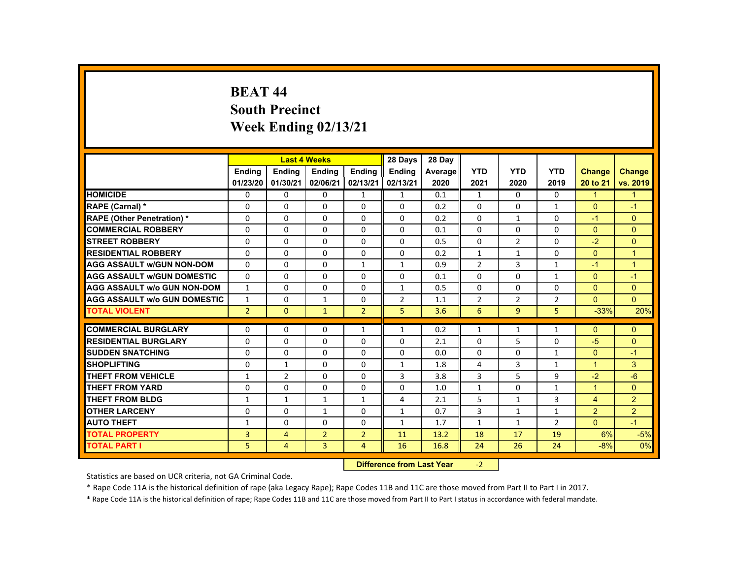#### **BEAT 44 South Precinct Week Ending 02/13/21**

|                                     |                |                | <b>Last 4 Weeks</b>              |                | 28 Days        | 28 Day  |                |                |                |                |                |
|-------------------------------------|----------------|----------------|----------------------------------|----------------|----------------|---------|----------------|----------------|----------------|----------------|----------------|
|                                     | <b>Ending</b>  | <b>Ending</b>  | <b>Ending</b>                    | <b>Ending</b>  | <b>Endina</b>  | Average | <b>YTD</b>     | <b>YTD</b>     | <b>YTD</b>     | <b>Change</b>  | <b>Change</b>  |
|                                     | 01/23/20       | 01/30/21       | 02/06/21                         | 02/13/21       | 02/13/21       | 2020    | 2021           | 2020           | 2019           | 20 to 21       | vs. 2019       |
| <b>HOMICIDE</b>                     | 0              | $\Omega$       | $\Omega$                         | $\mathbf{1}$   | $\mathbf{1}$   | 0.1     | $\mathbf{1}$   | $\Omega$       | $\Omega$       | $\mathbf{1}$   | $\mathbf{1}$   |
| RAPE (Carnal) *                     | $\Omega$       | $\Omega$       | $\Omega$                         | $\Omega$       | $\Omega$       | 0.2     | $\Omega$       | $\Omega$       | $\mathbf{1}$   | $\Omega$       | $-1$           |
| <b>RAPE (Other Penetration) *</b>   | $\Omega$       | $\Omega$       | $\Omega$                         | $\Omega$       | $\Omega$       | 0.2     | $\Omega$       | $\mathbf{1}$   | $\Omega$       | $-1$           | $\Omega$       |
| <b>COMMERCIAL ROBBERY</b>           | $\Omega$       | $\Omega$       | $\Omega$                         | $\Omega$       | $\Omega$       | 0.1     | $\Omega$       | $\Omega$       | $\Omega$       | $\Omega$       | $\Omega$       |
| <b>STREET ROBBERY</b>               | $\Omega$       | $\Omega$       | $\Omega$                         | $\Omega$       | $\Omega$       | 0.5     | $\Omega$       | $\overline{2}$ | $\Omega$       | $-2$           | $\overline{0}$ |
| <b>RESIDENTIAL ROBBERY</b>          | $\Omega$       | $\Omega$       | $\Omega$                         | $\Omega$       | $\Omega$       | 0.2     | $\mathbf{1}$   | 1              | $\Omega$       | $\Omega$       | $\overline{1}$ |
| <b>AGG ASSAULT w/GUN NON-DOM</b>    | $\Omega$       | $\Omega$       | $\Omega$                         | $\mathbf{1}$   | $\mathbf{1}$   | 0.9     | $\overline{2}$ | 3              | $\mathbf{1}$   | $-1$           | $\overline{1}$ |
| <b>AGG ASSAULT W/GUN DOMESTIC</b>   | $\Omega$       | $\Omega$       | $\Omega$                         | $\Omega$       | $\Omega$       | 0.1     | $\Omega$       | $\Omega$       | $\mathbf{1}$   | $\Omega$       | $-1$           |
| <b>AGG ASSAULT w/o GUN NON-DOM</b>  | $\mathbf{1}$   | $\mathbf{0}$   | $\mathbf{0}$                     | $\mathbf{0}$   | $\mathbf{1}$   | 0.5     | $\Omega$       | 0              | $\Omega$       | $\Omega$       | $\mathbf{0}$   |
| <b>AGG ASSAULT w/o GUN DOMESTIC</b> | $\mathbf{1}$   | $\Omega$       | 1                                | $\Omega$       | $\overline{2}$ | 1.1     | $\overline{2}$ | $\overline{2}$ | $\overline{2}$ | $\Omega$       | $\Omega$       |
| <b>TOTAL VIOLENT</b>                | $\overline{2}$ | $\Omega$       | $\mathbf{1}$                     | $\overline{2}$ | 5              | 3.6     | 6              | $\overline{9}$ | 5              | $-33%$         | 20%            |
| <b>COMMERCIAL BURGLARY</b>          | $\Omega$       | $\mathbf{0}$   | $\mathbf{0}$                     | $\mathbf{1}$   | $\mathbf{1}$   | 0.2     | $\mathbf{1}$   | 1              | $\mathbf{1}$   | $\mathbf{0}$   | $\mathbf{0}$   |
| <b>RESIDENTIAL BURGLARY</b>         | $\Omega$       | $\Omega$       | $\Omega$                         | $\Omega$       | $\Omega$       | 2.1     | $\Omega$       | 5              | 0              | $-5$           | $\overline{0}$ |
| <b>SUDDEN SNATCHING</b>             | $\Omega$       | $\Omega$       | $\Omega$                         | $\Omega$       | $\Omega$       | 0.0     | $\Omega$       | $\Omega$       | $\mathbf{1}$   | $\Omega$       | $-1$           |
| <b>SHOPLIFTING</b>                  | $\mathbf 0$    | $\mathbf{1}$   | $\mathbf{0}$                     | $\mathbf{0}$   | $\mathbf{1}$   | 1.8     | 4              | 3              | $\mathbf{1}$   | $\mathbf{1}$   | 3              |
| <b>THEFT FROM VEHICLE</b>           | $\mathbf{1}$   | $\overline{2}$ | $\Omega$                         | $\Omega$       | 3              | 3.8     | 3              | 5              | 9              | $-2$           | $-6$           |
| <b>THEFT FROM YARD</b>              | $\Omega$       | $\Omega$       | $\Omega$                         | $\Omega$       | $\Omega$       | 1.0     | $\mathbf{1}$   | $\Omega$       | $\mathbf{1}$   | $\overline{1}$ | $\overline{0}$ |
| <b>THEFT FROM BLDG</b>              | $\mathbf{1}$   | $\mathbf{1}$   | $\mathbf{1}$                     | $\mathbf{1}$   | 4              | 2.1     | 5              | $\mathbf{1}$   | 3              | $\overline{4}$ | $\overline{2}$ |
| <b>OTHER LARCENY</b>                | $\mathbf 0$    | $\Omega$       | $\mathbf{1}$                     | $\Omega$       | $\mathbf{1}$   | 0.7     | 3              | 1              | $\mathbf{1}$   | $\overline{2}$ | 2 <sup>1</sup> |
| <b>AUTO THEFT</b>                   | 1              | $\Omega$       | $\Omega$                         | $\Omega$       | 1              | 1.7     | $\mathbf{1}$   | 1              | $\overline{2}$ | $\Omega$       | $-1$           |
| <b>TOTAL PROPERTY</b>               | 3              | $\overline{4}$ | $\overline{2}$                   | $\overline{2}$ | 11             | 13.2    | 18             | 17             | 19             | 6%             | $-5%$          |
| <b>TOTAL PART I</b>                 | 5              | $\overline{4}$ | $\overline{3}$                   | $\overline{4}$ | 16             | 16.8    | 24             | 26             | 24             | $-8%$          | 0%             |
|                                     |                |                | <b>Difference from Last Year</b> |                | $-2$           |         |                |                |                |                |                |

Statistics are based on UCR criteria, not GA Criminal Code.

\* Rape Code 11A is the historical definition of rape (aka Legacy Rape); Rape Codes 11B and 11C are those moved from Part II to Part I in 2017.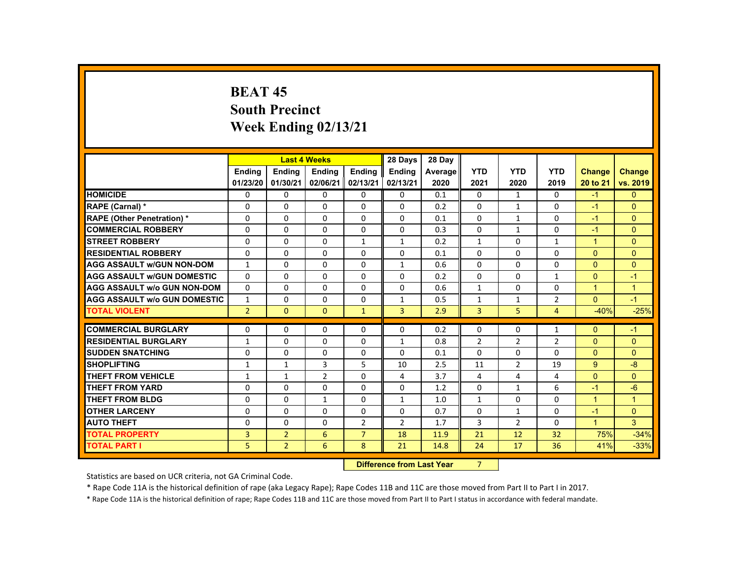# **BEAT 45 South Precinct Week Ending 02/13/21**

|                                     |                |                | <b>Last 4 Weeks</b> |                | 28 Days                   | 28 Day  |                |                |                |                      |               |
|-------------------------------------|----------------|----------------|---------------------|----------------|---------------------------|---------|----------------|----------------|----------------|----------------------|---------------|
|                                     | <b>Endina</b>  | <b>Ending</b>  | <b>Ending</b>       | <b>Ending</b>  | <b>Endina</b>             | Average | <b>YTD</b>     | <b>YTD</b>     | <b>YTD</b>     | Change               | <b>Change</b> |
|                                     | 01/23/20       | 01/30/21       | 02/06/21            | 02/13/21       | 02/13/21                  | 2020    | 2021           | 2020           | 2019           | 20 to 21             | vs. 2019      |
| <b>HOMICIDE</b>                     | $\Omega$       | $\Omega$       | $\mathbf{0}$        | $\Omega$       | 0                         | 0.1     | 0              | $\mathbf{1}$   | $\Omega$       | $-1$                 | $\mathbf{0}$  |
| RAPE (Carnal) *                     | $\mathbf{0}$   | $\Omega$       | $\Omega$            | $\Omega$       | $\Omega$                  | 0.2     | $\Omega$       | $\mathbf{1}$   | $\Omega$       | $-1$                 | $\mathbf{0}$  |
| <b>RAPE (Other Penetration) *</b>   | $\Omega$       | $\Omega$       | $\Omega$            | $\Omega$       | $\Omega$                  | 0.1     | $\Omega$       | 1              | $\Omega$       | $-1$                 | $\Omega$      |
| <b>COMMERCIAL ROBBERY</b>           | $\Omega$       | $\Omega$       | $\Omega$            | $\Omega$       | $\Omega$                  | 0.3     | 0              | $\mathbf{1}$   | 0              | $-1$                 | $\mathbf{0}$  |
| <b>STREET ROBBERY</b>               | $\Omega$       | $\Omega$       | $\Omega$            | $\mathbf{1}$   | $\mathbf{1}$              | 0.2     | $\mathbf{1}$   | $\Omega$       | $\mathbf{1}$   | $\blacktriangleleft$ | $\Omega$      |
| <b>RESIDENTIAL ROBBERY</b>          | $\mathbf{0}$   | $\Omega$       | $\mathbf{0}$        | 0              | 0                         | 0.1     | 0              | 0              | 0              | $\Omega$             | $\mathbf{0}$  |
| <b>AGG ASSAULT W/GUN NON-DOM</b>    | $\mathbf{1}$   | $\Omega$       | $\Omega$            | $\Omega$       | $\mathbf{1}$              | 0.6     | $\Omega$       | $\Omega$       | $\Omega$       | $\Omega$             | $\Omega$      |
| <b>AGG ASSAULT W/GUN DOMESTIC</b>   | $\Omega$       | $\Omega$       | $\Omega$            | $\Omega$       | $\Omega$                  | 0.2     | $\Omega$       | $\Omega$       | $\mathbf{1}$   | $\Omega$             | $-1$          |
| <b>AGG ASSAULT w/o GUN NON-DOM</b>  | $\Omega$       | $\Omega$       | $\Omega$            | $\Omega$       | $\Omega$                  | 0.6     | $\mathbf{1}$   | $\Omega$       | $\Omega$       | $\blacktriangleleft$ | $\mathbf{1}$  |
| <b>AGG ASSAULT W/o GUN DOMESTIC</b> | $\mathbf{1}$   | $\Omega$       | $\mathbf{0}$        | $\mathbf{0}$   | $\mathbf{1}$              | 0.5     | $\mathbf{1}$   | 1              | $\overline{2}$ | $\mathbf{0}$         | $-1$          |
| <b>TOTAL VIOLENT</b>                | $\overline{2}$ | $\mathbf{0}$   | $\mathbf{0}$        | $\mathbf{1}$   | $\overline{3}$            | 2.9     | $\overline{3}$ | 5 <sub>1</sub> | 4              | $-40%$               | $-25%$        |
| <b>COMMERCIAL BURGLARY</b>          | $\mathbf{0}$   | $\Omega$       | $\Omega$            | $\Omega$       | $\Omega$                  | 0.2     | $\Omega$       | $\Omega$       | $\mathbf{1}$   | $\Omega$             | $-1$          |
| <b>RESIDENTIAL BURGLARY</b>         | $\mathbf{1}$   | $\Omega$       | $\Omega$            | 0              | $\mathbf{1}$              | 0.8     | $\overline{2}$ | $\overline{2}$ | $\overline{2}$ | $\Omega$             | $\Omega$      |
| <b>SUDDEN SNATCHING</b>             | $\Omega$       | $\Omega$       | $\Omega$            | 0              | $\Omega$                  | 0.1     | $\Omega$       | $\Omega$       | $\Omega$       | $\Omega$             | $\Omega$      |
| <b>SHOPLIFTING</b>                  | $\mathbf{1}$   | $\mathbf{1}$   | 3                   | 5              | 10                        | 2.5     | 11             | 2              | 19             | 9                    | $-8$          |
| <b>THEFT FROM VEHICLE</b>           | $\mathbf{1}$   | $\mathbf{1}$   | $\overline{2}$      | $\Omega$       | 4                         | 3.7     | 4              | 4              | 4              | $\Omega$             | $\Omega$      |
| <b>THEFT FROM YARD</b>              | $\Omega$       | $\Omega$       | $\Omega$            | $\Omega$       | 0                         | 1.2     | $\Omega$       | $\mathbf{1}$   | 6              | $-1$                 | $-6$          |
| <b>THEFT FROM BLDG</b>              | $\mathbf{0}$   | $\Omega$       | $\mathbf{1}$        | $\mathbf{0}$   | $\mathbf{1}$              | 1.0     | $\mathbf{1}$   | 0              | $\Omega$       | $\blacktriangleleft$ | $\mathbf{1}$  |
| <b>OTHER LARCENY</b>                | $\Omega$       | $\Omega$       | $\Omega$            | $\Omega$       | 0                         | 0.7     | $\Omega$       | $\mathbf{1}$   | $\Omega$       | $-1$                 | $\Omega$      |
| <b>AUTO THEFT</b>                   | $\Omega$       | $\Omega$       | $\Omega$            | $\overline{2}$ | $\overline{2}$            | 1.7     | 3              | $\overline{2}$ | $\Omega$       | $\overline{1}$       | $\mathbf{3}$  |
| <b>TOTAL PROPERTY</b>               | 3              | $\overline{2}$ | 6                   | $\overline{7}$ | 18                        | 11.9    | 21             | 12             | 32             | 75%                  | $-34%$        |
| <b>TOTAL PART I</b>                 | 5              | $\overline{2}$ | 6                   | 8              | 21                        | 14.8    | 24             | 17             | 36             | 41%                  | $-33%$        |
|                                     |                |                |                     |                | Difference from Loot Voor |         | $\overline{ }$ |                |                |                      |               |

 **Difference from Last Year** 7

Statistics are based on UCR criteria, not GA Criminal Code.

\* Rape Code 11A is the historical definition of rape (aka Legacy Rape); Rape Codes 11B and 11C are those moved from Part II to Part I in 2017.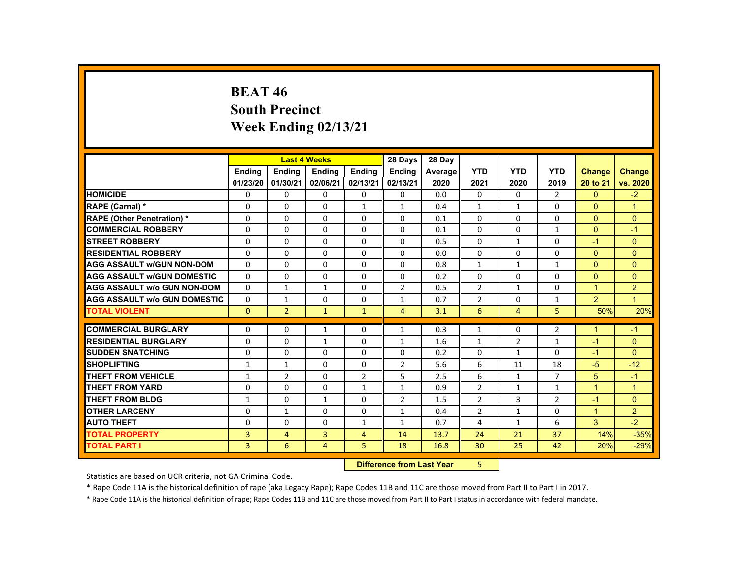## **BEAT 46 South Precinct Week Ending 02/13/21**

|                                     |                |                | <b>Last 4 Weeks</b> |                | 28 Days        | 28 Day  |                |                |                |                |                |
|-------------------------------------|----------------|----------------|---------------------|----------------|----------------|---------|----------------|----------------|----------------|----------------|----------------|
|                                     | <b>Ending</b>  | <b>Ending</b>  | <b>Ending</b>       | <b>Ending</b>  | <b>Ending</b>  | Average | <b>YTD</b>     | <b>YTD</b>     | <b>YTD</b>     | Change         | <b>Change</b>  |
|                                     | 01/23/20       | 01/30/21       | 02/06/21            | 02/13/21       | 02/13/21       | 2020    | 2021           | 2020           | 2019           | 20 to 21       | vs. 2020       |
| <b>HOMICIDE</b>                     | $\Omega$       | $\Omega$       | $\Omega$            | $\Omega$       | 0              | 0.0     | $\Omega$       | $\Omega$       | $\overline{2}$ | $\Omega$       | $-2$           |
| <b>RAPE (Carnal) *</b>              | $\Omega$       | $\mathbf{0}$   | $\Omega$            | $\mathbf{1}$   | $\mathbf{1}$   | 0.4     | $\mathbf{1}$   | $\mathbf{1}$   | 0              | $\mathbf{0}$   | $\overline{1}$ |
| <b>RAPE (Other Penetration) *</b>   | $\Omega$       | $\Omega$       | $\Omega$            | $\Omega$       | $\Omega$       | 0.1     | $\Omega$       | $\Omega$       | $\Omega$       | $\Omega$       | $\Omega$       |
| <b>COMMERCIAL ROBBERY</b>           | $\Omega$       | $\Omega$       | $\Omega$            | $\Omega$       | $\Omega$       | 0.1     | $\Omega$       | $\Omega$       | $\mathbf{1}$   | $\Omega$       | $-1$           |
| <b>STREET ROBBERY</b>               | $\Omega$       | $\Omega$       | $\Omega$            | $\Omega$       | $\Omega$       | 0.5     | $\Omega$       | $\mathbf{1}$   | $\Omega$       | $-1$           | $\Omega$       |
| <b>RESIDENTIAL ROBBERY</b>          | 0              | $\mathbf{0}$   | 0                   | 0              | 0              | 0.0     | 0              | 0              | $\Omega$       | $\mathbf{0}$   | $\mathbf{0}$   |
| <b>AGG ASSAULT w/GUN NON-DOM</b>    | $\Omega$       | $\Omega$       | $\Omega$            | $\Omega$       | $\Omega$       | 0.8     | $\mathbf{1}$   | $\mathbf{1}$   | $\mathbf{1}$   | $\Omega$       | $\Omega$       |
| <b>AGG ASSAULT W/GUN DOMESTIC</b>   | $\Omega$       | $\Omega$       | $\Omega$            | $\Omega$       | $\Omega$       | 0.2     | $\Omega$       | $\Omega$       | $\Omega$       | $\Omega$       | $\Omega$       |
| <b>AGG ASSAULT W/o GUN NON-DOM</b>  | $\Omega$       | $\mathbf{1}$   | $\mathbf{1}$        | $\Omega$       | $\overline{2}$ | 0.5     | $\overline{2}$ | $\mathbf{1}$   | $\Omega$       | $\mathbf{1}$   | $\overline{2}$ |
| <b>AGG ASSAULT W/o GUN DOMESTIC</b> | $\Omega$       | $\mathbf{1}$   | $\Omega$            | $\Omega$       | $\mathbf{1}$   | 0.7     | $\overline{2}$ | $\Omega$       | $\mathbf{1}$   | $\overline{2}$ | $\overline{1}$ |
| <b>TOTAL VIOLENT</b>                | $\mathbf{0}$   | $\overline{2}$ | $\mathbf{1}$        | $\mathbf{1}$   | $\overline{4}$ | 3.1     | 6              | $\overline{4}$ | 5              | 50%            | 20%            |
| <b>COMMERCIAL BURGLARY</b>          |                | $\Omega$       |                     |                |                |         |                |                |                |                |                |
|                                     | $\Omega$       |                | $\mathbf{1}$        | $\Omega$       | $\mathbf{1}$   | 0.3     | $\mathbf{1}$   | 0              | $\overline{2}$ | $\mathbf{1}$   | $-1$           |
| <b>RESIDENTIAL BURGLARY</b>         | $\Omega$       | $\Omega$       | $\mathbf{1}$        | $\Omega$       | $\mathbf{1}$   | 1.6     | $\mathbf{1}$   | $\overline{2}$ | $\mathbf{1}$   | $-1$           | $\Omega$       |
| <b>SUDDEN SNATCHING</b>             | 0              | $\mathbf{0}$   | $\Omega$            | 0              | $\Omega$       | 0.2     | 0              | 1              | 0              | $-1$           | $\mathbf{0}$   |
| <b>SHOPLIFTING</b>                  | $\mathbf{1}$   | $\mathbf{1}$   | $\Omega$            | $\Omega$       | $\overline{2}$ | 5.6     | 6              | 11             | 18             | $-5$           | $-12$          |
| <b>THEFT FROM VEHICLE</b>           | $\mathbf{1}$   | $\overline{2}$ | $\Omega$            | $\overline{2}$ | 5              | 2.5     | 6              | $\mathbf{1}$   | $\overline{7}$ | 5              | $-1$           |
| <b>THEFT FROM YARD</b>              | $\Omega$       | $\Omega$       | $\Omega$            | $\mathbf{1}$   | $\mathbf{1}$   | 0.9     | $\overline{2}$ | $\mathbf{1}$   | $\mathbf{1}$   | $\mathbf{1}$   | $\overline{1}$ |
| THEFT FROM BLDG                     | $\mathbf{1}$   | $\Omega$       | $\mathbf{1}$        | $\Omega$       | $\overline{2}$ | 1.5     | $\overline{2}$ | 3              | $\overline{2}$ | $-1$           | $\Omega$       |
| <b>OTHER LARCENY</b>                | 0              | 1              | $\Omega$            | 0              | 1              | 0.4     | $\overline{2}$ | $\mathbf{1}$   | 0              | $\mathbf{1}$   | $\overline{2}$ |
| <b>AUTO THEFT</b>                   | $\Omega$       | $\Omega$       | $\Omega$            | $\mathbf{1}$   | $\mathbf{1}$   | 0.7     | 4              | $\mathbf{1}$   | 6              | 3              | $-2$           |
| <b>TOTAL PROPERTY</b>               | $\overline{3}$ | 4              | 3                   | $\overline{4}$ | 14             | 13.7    | 24             | 21             | 37             | 14%            | $-35%$         |
| <b>TOTAL PART I</b>                 | $\overline{3}$ | 6              | $\overline{4}$      | 5              | 18             | 16.8    | 30             | 25             | 42             | 20%            | $-29%$         |
|                                     |                |                |                     | <b>Section</b> |                |         |                |                |                |                |                |

 **Difference from Last Year**5

Statistics are based on UCR criteria, not GA Criminal Code.

\* Rape Code 11A is the historical definition of rape (aka Legacy Rape); Rape Codes 11B and 11C are those moved from Part II to Part I in 2017.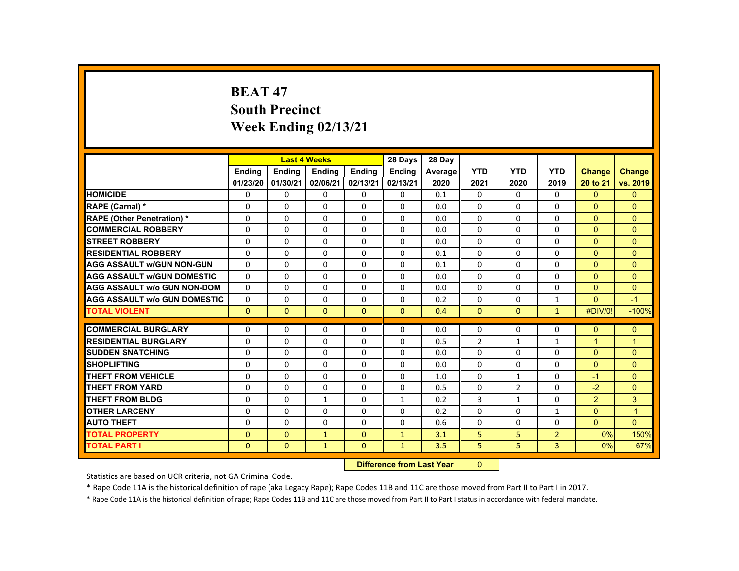# **BEAT 47 South Precinct Week Ending 02/13/21**

|                                     |               |              | <b>Last 4 Weeks</b> |                  | 28 Days                  | 28 Day  |                |                |                |                |                |
|-------------------------------------|---------------|--------------|---------------------|------------------|--------------------------|---------|----------------|----------------|----------------|----------------|----------------|
|                                     | <b>Endina</b> | Ending       | <b>Ending</b>       | Ending           | <b>Endina</b>            | Average | <b>YTD</b>     | <b>YTD</b>     | <b>YTD</b>     | <b>Change</b>  | <b>Change</b>  |
|                                     | 01/23/20      | 01/30/21     | 02/06/21            | 02/13/21         | 02/13/21                 | 2020    | 2021           | 2020           | 2019           | 20 to 21       | vs. 2019       |
| <b>HOMICIDE</b>                     | 0             | $\Omega$     | $\mathbf{0}$        | $\Omega$         | 0                        | 0.1     | 0              | $\Omega$       | $\mathbf{0}$   | $\mathbf{0}$   | $\overline{0}$ |
| RAPE (Carnal) *                     | 0             | $\Omega$     | $\Omega$            | $\Omega$         | $\Omega$                 | 0.0     | $\Omega$       | $\Omega$       | $\Omega$       | $\Omega$       | $\Omega$       |
| <b>RAPE (Other Penetration) *</b>   | $\Omega$      | $\Omega$     | $\Omega$            | $\Omega$         | $\Omega$                 | 0.0     | $\Omega$       | $\Omega$       | $\Omega$       | $\Omega$       | $\Omega$       |
| <b>COMMERCIAL ROBBERY</b>           | $\Omega$      | $\Omega$     | $\Omega$            | $\Omega$         | $\Omega$                 | 0.0     | $\Omega$       | $\Omega$       | $\Omega$       | $\Omega$       | $\mathbf{0}$   |
| <b>STREET ROBBERY</b>               | $\Omega$      | $\Omega$     | $\Omega$            | $\Omega$         | $\Omega$                 | 0.0     | $\Omega$       | $\Omega$       | $\Omega$       | $\Omega$       | $\Omega$       |
| <b>RESIDENTIAL ROBBERY</b>          | 0             | $\mathbf{0}$ | $\mathbf{0}$        | 0                | 0                        | 0.1     | $\Omega$       | 0              | 0              | $\Omega$       | $\Omega$       |
| <b>AGG ASSAULT w/GUN NON-GUN</b>    | $\Omega$      | $\Omega$     | $\Omega$            | $\Omega$         | $\Omega$                 | 0.1     | $\Omega$       | $\Omega$       | $\Omega$       | $\Omega$       | $\Omega$       |
| <b>AGG ASSAULT w/GUN DOMESTIC</b>   | $\Omega$      | $\Omega$     | $\Omega$            | 0                | $\Omega$                 | 0.0     | $\Omega$       | $\mathbf{0}$   | 0              | $\mathbf{0}$   | $\mathbf{0}$   |
| <b>AGG ASSAULT w/o GUN NON-DOM</b>  | $\Omega$      | $\Omega$     | $\Omega$            | $\Omega$         | $\Omega$                 | 0.0     | $\Omega$       | $\Omega$       | $\Omega$       | $\Omega$       | $\mathbf{0}$   |
| <b>AGG ASSAULT W/o GUN DOMESTIC</b> | $\Omega$      | $\Omega$     | $\Omega$            | $\Omega$         | $\Omega$                 | 0.2     | $\Omega$       | $\Omega$       | $\mathbf{1}$   | $\Omega$       | $-1$           |
| <b>TOTAL VIOLENT</b>                | $\mathbf{0}$  | $\Omega$     | $\Omega$            | $\mathbf{0}$     | $\Omega$                 | 0.4     | $\Omega$       | $\Omega$       | $\mathbf{1}$   | #DIV/0!        | $-100%$        |
|                                     |               |              |                     |                  |                          |         |                |                |                |                |                |
| <b>COMMERCIAL BURGLARY</b>          | 0             | $\Omega$     | $\Omega$            | $\Omega$         | $\Omega$                 | 0.0     | $\Omega$       | $\Omega$       | $\Omega$       | $\Omega$       | $\mathbf{0}$   |
| <b>RESIDENTIAL BURGLARY</b>         | $\Omega$      | $\Omega$     | $\Omega$            | $\Omega$         | $\Omega$                 | 0.5     | $\overline{2}$ | $\mathbf{1}$   | $\mathbf{1}$   | $\mathbf{1}$   | $\overline{1}$ |
| <b>SUDDEN SNATCHING</b>             | $\Omega$      | $\Omega$     | $\mathbf{0}$        | $\mathbf{0}$     | 0                        | 0.0     | $\Omega$       | $\Omega$       | $\Omega$       | $\Omega$       | $\Omega$       |
| <b>SHOPLIFTING</b>                  | $\Omega$      | $\Omega$     | $\Omega$            | $\Omega$         | $\Omega$                 | 0.0     | $\Omega$       | $\Omega$       | $\Omega$       | $\Omega$       | $\Omega$       |
| <b>THEFT FROM VEHICLE</b>           | $\Omega$      | $\Omega$     | $\Omega$            | $\Omega$         | $\Omega$                 | 1.0     | $\Omega$       | $\mathbf{1}$   | $\Omega$       | $-1$           | $\mathbf{0}$   |
| <b>THEFT FROM YARD</b>              | $\Omega$      | $\Omega$     | $\Omega$            | $\Omega$         | $\Omega$                 | 0.5     | $\Omega$       | $\overline{2}$ | $\Omega$       | $-2$           | $\Omega$       |
| <b>THEFT FROM BLDG</b>              | 0             | $\Omega$     | $\mathbf{1}$        | $\Omega$         | $\mathbf{1}$             | 0.2     | 3              | $\mathbf{1}$   | 0              | $\overline{2}$ | 3              |
| <b>OTHER LARCENY</b>                | $\Omega$      | $\Omega$     | $\Omega$            | 0                | $\Omega$                 | 0.2     | $\Omega$       | $\Omega$       | $\mathbf{1}$   | $\Omega$       | $-1$           |
| <b>AUTO THEFT</b>                   | $\Omega$      | $\Omega$     | $\Omega$            | $\Omega$         | $\Omega$                 | 0.6     | $\Omega$       | $\Omega$       | $\Omega$       | $\Omega$       | $\Omega$       |
| <b>TOTAL PROPERTY</b>               | $\Omega$      | $\Omega$     | $\mathbf{1}$        | $\Omega$         | $\mathbf{1}$             | 3.1     | 5              | 5              | $\overline{2}$ | 0%             | 150%           |
| <b>TOTAL PART I</b>                 | $\Omega$      | $\Omega$     | $\mathbf{1}$        | $\mathbf{0}$     | $\mathbf{1}$             | 3.5     | 5              | 5              | 3              | 0%             | 67%            |
|                                     |               |              |                     | <b>INSECTION</b> | an a Bandar I na African |         | $\sim$         |                |                |                |                |

 **Difference from Last Year**r 0

Statistics are based on UCR criteria, not GA Criminal Code.

\* Rape Code 11A is the historical definition of rape (aka Legacy Rape); Rape Codes 11B and 11C are those moved from Part II to Part I in 2017.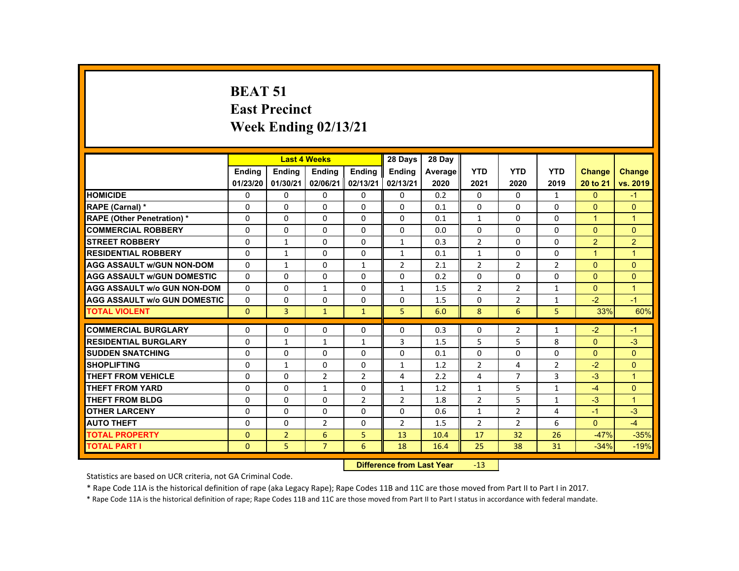# **BEAT 51 East Precinct Week Ending 02/13/21**

|                                     |               | <b>Last 4 Weeks</b>              |                |                | 28 Days        | 28 Day  |                |                |                |                      |                |
|-------------------------------------|---------------|----------------------------------|----------------|----------------|----------------|---------|----------------|----------------|----------------|----------------------|----------------|
|                                     | <b>Ending</b> | Ending                           | <b>Ending</b>  | <b>Ending</b>  | Ending         | Average | <b>YTD</b>     | <b>YTD</b>     | <b>YTD</b>     | Change               | <b>Change</b>  |
|                                     | 01/23/20      | 01/30/21                         | 02/06/21       | 02/13/21       | 02/13/21       | 2020    | 2021           | 2020           | 2019           | 20 to 21             | vs. 2019       |
| <b>HOMICIDE</b>                     | 0             | $\Omega$                         | 0              | 0              | 0              | 0.2     | 0              | $\Omega$       | $\mathbf{1}$   | $\mathbf{0}$         | $-1$           |
| RAPE (Carnal) *                     | $\Omega$      | $\Omega$                         | $\Omega$       | $\Omega$       | $\Omega$       | 0.1     | $\Omega$       | $\Omega$       | $\Omega$       | $\Omega$             | $\Omega$       |
| <b>RAPE (Other Penetration) *</b>   | 0             | 0                                | 0              | 0              | 0              | 0.1     | $\mathbf{1}$   | 0              | 0              | $\mathbf{1}$         | $\mathbf{1}$   |
| <b>COMMERCIAL ROBBERY</b>           | $\Omega$      | $\Omega$                         | $\Omega$       | $\Omega$       | $\Omega$       | 0.0     | $\Omega$       | $\Omega$       | $\Omega$       | $\Omega$             | $\Omega$       |
| <b>STREET ROBBERY</b>               | $\Omega$      | $\mathbf{1}$                     | $\Omega$       | $\Omega$       | $\mathbf{1}$   | 0.3     | $\overline{2}$ | $\Omega$       | $\Omega$       | 2                    | $\overline{2}$ |
| <b>RESIDENTIAL ROBBERY</b>          | 0             | $\mathbf{1}$                     | 0              | $\Omega$       | $\mathbf{1}$   | 0.1     | $\mathbf{1}$   | 0              | $\Omega$       | $\blacktriangleleft$ | $\mathbf{1}$   |
| <b>AGG ASSAULT W/GUN NON-DOM</b>    | $\Omega$      | $\mathbf{1}$                     | $\Omega$       | $\mathbf{1}$   | $\overline{2}$ | 2.1     | $\overline{2}$ | 2              | $\overline{2}$ | $\Omega$             | $\Omega$       |
| <b>AGG ASSAULT w/GUN DOMESTIC</b>   | $\Omega$      | $\Omega$                         | $\Omega$       | $\Omega$       | $\Omega$       | 0.2     | $\Omega$       | $\Omega$       | $\Omega$       | $\Omega$             | $\overline{0}$ |
| <b>AGG ASSAULT w/o GUN NON-DOM</b>  | $\Omega$      | $\Omega$                         | $\mathbf{1}$   | $\Omega$       | $\mathbf{1}$   | 1.5     | $\overline{2}$ | $\overline{2}$ | $\mathbf{1}$   | $\Omega$             | $\overline{1}$ |
| <b>AGG ASSAULT W/o GUN DOMESTIC</b> | 0             | 0                                | 0              | 0              | 0              | 1.5     | 0              | $\overline{2}$ | $\mathbf{1}$   | $-2$                 | $-1$           |
| <b>TOTAL VIOLENT</b>                | $\Omega$      | $\overline{3}$                   | $\mathbf{1}$   | $\mathbf{1}$   | 5              | 6.0     | 8              | 6              | 5              | 33%                  | 60%            |
| <b>COMMERCIAL BURGLARY</b>          | $\Omega$      | $\Omega$                         | $\Omega$       | 0              | $\Omega$       | 0.3     | 0              | $\overline{2}$ | $\mathbf{1}$   | $-2$                 | $-1$           |
| <b>RESIDENTIAL BURGLARY</b>         | $\Omega$      | $\mathbf{1}$                     | $\mathbf{1}$   | $\mathbf{1}$   | 3              | 1.5     | 5              | 5              | 8              | $\Omega$             | $-3$           |
| <b>SUDDEN SNATCHING</b>             | $\Omega$      | $\Omega$                         | $\Omega$       | $\Omega$       | $\Omega$       | 0.1     | 0              | $\Omega$       | $\Omega$       | $\Omega$             | $\Omega$       |
| <b>SHOPLIFTING</b>                  | $\Omega$      | $\mathbf{1}$                     | $\Omega$       | $\Omega$       | $\mathbf{1}$   | 1.2     | $\overline{2}$ | 4              | $\overline{2}$ | $-2$                 | $\Omega$       |
| <b>THEFT FROM VEHICLE</b>           | 0             | $\Omega$                         | $\overline{2}$ | $\overline{2}$ | 4              | 2.2     | 4              | $\overline{7}$ | 3              | $-3$                 | $\overline{1}$ |
| <b>THEFT FROM YARD</b>              | $\Omega$      | $\Omega$                         | $\mathbf{1}$   | $\Omega$       | $\mathbf{1}$   | 1.2     | $\mathbf{1}$   | 5              | $\mathbf{1}$   | $-4$                 | $\Omega$       |
| <b>THEFT FROM BLDG</b>              | $\Omega$      | $\Omega$                         | $\Omega$       | $\overline{2}$ | $\overline{2}$ | 1.8     | $\overline{2}$ | 5              | $\mathbf{1}$   | $-3$                 | $\overline{1}$ |
| <b>OTHER LARCENY</b>                | $\Omega$      | $\Omega$                         | $\Omega$       | $\Omega$       | $\Omega$       | 0.6     | $\mathbf{1}$   | $\overline{2}$ | 4              | $-1$                 | $-3$           |
| <b>AUTO THEFT</b>                   | 0             | 0                                | $\overline{2}$ | 0              | $\overline{2}$ | 1.5     | $\overline{2}$ | $\overline{2}$ | 6              | $\Omega$             | $-4$           |
| <b>TOTAL PROPERTY</b>               | $\Omega$      | $\overline{2}$                   | 6              | 5              | 13             | 10.4    | 17             | 32             | 26             | $-47%$               | $-35%$         |
| <b>TOTAL PART I</b>                 | $\mathbf{0}$  | 5                                | $\overline{7}$ | 6              | 18             | 16.4    | 25             | 38             | 31             | $-34%$               | $-19%$         |
|                                     |               | <b>Difference from Last Year</b> |                | $-13$          |                |         |                |                |                |                      |                |

Statistics are based on UCR criteria, not GA Criminal Code.

\* Rape Code 11A is the historical definition of rape (aka Legacy Rape); Rape Codes 11B and 11C are those moved from Part II to Part I in 2017.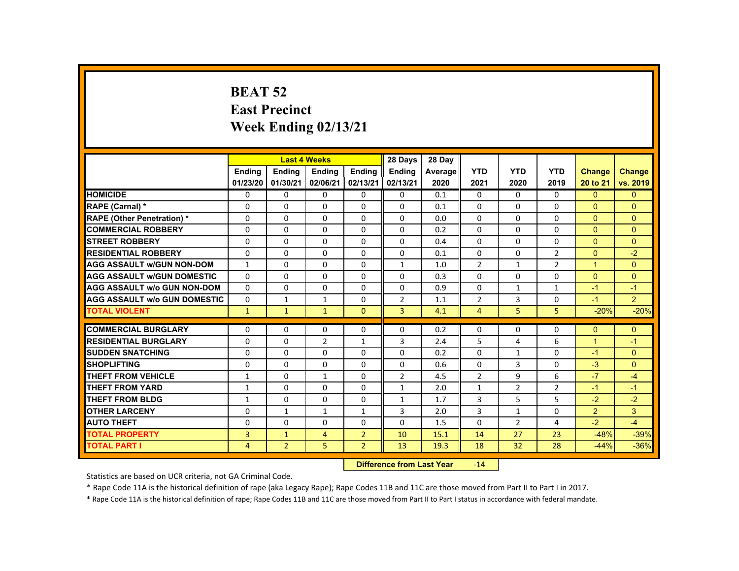### **BEAT 52 East Precinct Week Ending 02/13/21**

|                                     |              |                | <b>Last 4 Weeks</b> |                | 28 Days                           | 28 Day  |                |                 |                |                      |                |
|-------------------------------------|--------------|----------------|---------------------|----------------|-----------------------------------|---------|----------------|-----------------|----------------|----------------------|----------------|
|                                     | Ending       | <b>Ending</b>  | <b>Ending</b>       | <b>Ending</b>  | Ending                            | Average | <b>YTD</b>     | <b>YTD</b>      | <b>YTD</b>     | <b>Change</b>        | <b>Change</b>  |
|                                     | 01/23/20     | 01/30/21       | 02/06/21            | 02/13/21       | 02/13/21                          | 2020    | 2021           | 2020            | 2019           | 20 to 21             | vs. 2019       |
| <b>HOMICIDE</b>                     | $\Omega$     | $\Omega$       | $\Omega$            | $\Omega$       | 0                                 | 0.1     | 0              | $\Omega$        | $\Omega$       | $\Omega$             | $\mathbf{0}$   |
| RAPE (Carnal) *                     | 0            | $\Omega$       | $\Omega$            | $\Omega$       | $\Omega$                          | 0.1     | $\Omega$       | $\Omega$        | $\Omega$       | $\Omega$             | $\Omega$       |
| <b>RAPE (Other Penetration) *</b>   | $\Omega$     | $\Omega$       | $\Omega$            | $\Omega$       | $\Omega$                          | 0.0     | $\Omega$       | $\Omega$        | $\Omega$       | $\Omega$             | $\Omega$       |
| <b>COMMERCIAL ROBBERY</b>           | $\Omega$     | $\Omega$       | $\Omega$            | $\Omega$       | $\Omega$                          | 0.2     | $\Omega$       | $\Omega$        | $\Omega$       | $\Omega$             | $\Omega$       |
| <b>STREET ROBBERY</b>               | $\Omega$     | $\Omega$       | $\Omega$            | $\Omega$       | $\Omega$                          | 0.4     | $\Omega$       | $\Omega$        | $\Omega$       | $\Omega$             | $\Omega$       |
| <b>RESIDENTIAL ROBBERY</b>          | $\Omega$     | $\Omega$       | $\Omega$            | 0              | 0                                 | 0.1     | $\Omega$       | $\Omega$        | $\overline{2}$ | $\Omega$             | $-2$           |
| <b>AGG ASSAULT W/GUN NON-DOM</b>    | $\mathbf{1}$ | $\Omega$       | $\Omega$            | $\Omega$       | $\mathbf{1}$                      | 1.0     | $\overline{2}$ | $\mathbf{1}$    | $\overline{2}$ | $\blacktriangleleft$ | $\mathbf{0}$   |
| <b>AGG ASSAULT W/GUN DOMESTIC</b>   | $\Omega$     | $\Omega$       | $\Omega$            | $\Omega$       | $\Omega$                          | 0.3     | $\Omega$       | $\Omega$        | $\Omega$       | $\Omega$             | $\Omega$       |
| <b>AGG ASSAULT w/o GUN NON-DOM</b>  | $\Omega$     | $\Omega$       | $\Omega$            | $\Omega$       | $\Omega$                          | 0.9     | $\Omega$       | $\mathbf{1}$    | $\mathbf{1}$   | $-1$                 | $-1$           |
| <b>AGG ASSAULT W/o GUN DOMESTIC</b> | $\Omega$     | $\mathbf{1}$   | $\mathbf{1}$        | $\Omega$       | 2                                 | 1.1     | $\overline{2}$ | 3               | $\Omega$       | $-1$                 | $\overline{2}$ |
| <b>TOTAL VIOLENT</b>                | $\mathbf{1}$ | $\mathbf{1}$   | $\mathbf{1}$        | $\mathbf{0}$   | 3                                 | 4.1     | $\overline{4}$ | 5               | 5              | $-20%$               | $-20%$         |
|                                     |              |                |                     |                |                                   |         |                |                 |                |                      |                |
| <b>COMMERCIAL BURGLARY</b>          | $\Omega$     | $\Omega$       | $\Omega$            | 0              | 0                                 | 0.2     | 0              | 0               | 0              | $\mathbf{0}$         | $\Omega$       |
| <b>RESIDENTIAL BURGLARY</b>         | $\Omega$     | $\Omega$       | $\overline{2}$      | $\mathbf{1}$   | 3                                 | 2.4     | 5              | 4               | 6              | $\mathbf{1}$         | $-1$           |
| <b>SUDDEN SNATCHING</b>             | $\Omega$     | $\mathbf{0}$   | $\Omega$            | $\mathbf{0}$   | 0                                 | 0.2     | $\Omega$       | 1               | $\Omega$       | $-1$                 | $\Omega$       |
| <b>SHOPLIFTING</b>                  | $\Omega$     | $\Omega$       | $\Omega$            | $\Omega$       | $\Omega$                          | 0.6     | $\Omega$       | 3               | $\Omega$       | $-3$                 | $\Omega$       |
| <b>THEFT FROM VEHICLE</b>           | 1            | $\Omega$       | $\mathbf{1}$        | $\Omega$       | $\overline{2}$                    | 4.5     | $\overline{2}$ | 9               | 6              | $-7$                 | $-4$           |
| <b>THEFT FROM YARD</b>              | $\mathbf{1}$ | $\Omega$       | $\Omega$            | $\Omega$       | $\mathbf{1}$                      | 2.0     | $\mathbf{1}$   | $\overline{2}$  | $\overline{2}$ | $-1$                 | $-1$           |
| <b>THEFT FROM BLDG</b>              | $\mathbf{1}$ | $\Omega$       | $\mathbf{0}$        | 0              | 1                                 | 1.7     | 3              | 5               | 5              | $-2$                 | $-2$           |
| <b>OTHER LARCENY</b>                | $\Omega$     | $\mathbf{1}$   | 1                   | $\mathbf{1}$   | 3                                 | 2.0     | 3              | 1               | $\Omega$       | $\overline{2}$       | $\mathbf{3}$   |
| <b>AUTO THEFT</b>                   | $\Omega$     | $\Omega$       | $\Omega$            | $\Omega$       | $\Omega$                          | 1.5     | $\Omega$       | 2               | 4              | $-2$                 | $-4$           |
| <b>TOTAL PROPERTY</b>               | 3            | $\mathbf{1}$   | $\overline{4}$      | $\overline{2}$ | 10                                | 15.1    | 14             | 27              | 23             | $-48%$               | $-39%$         |
| <b>TOTAL PART I</b>                 | 4            | $\overline{2}$ | 5                   | $2^{\circ}$    | 13                                | 19.3    | 18             | 32 <sub>2</sub> | 28             | $-44%$               | $-36%$         |
|                                     |              |                |                     |                | <b>Difference from Least Vanc</b> |         | 4A             |                 |                |                      |                |

 **Difference from Last Year**‐14

Statistics are based on UCR criteria, not GA Criminal Code.

\* Rape Code 11A is the historical definition of rape (aka Legacy Rape); Rape Codes 11B and 11C are those moved from Part II to Part I in 2017.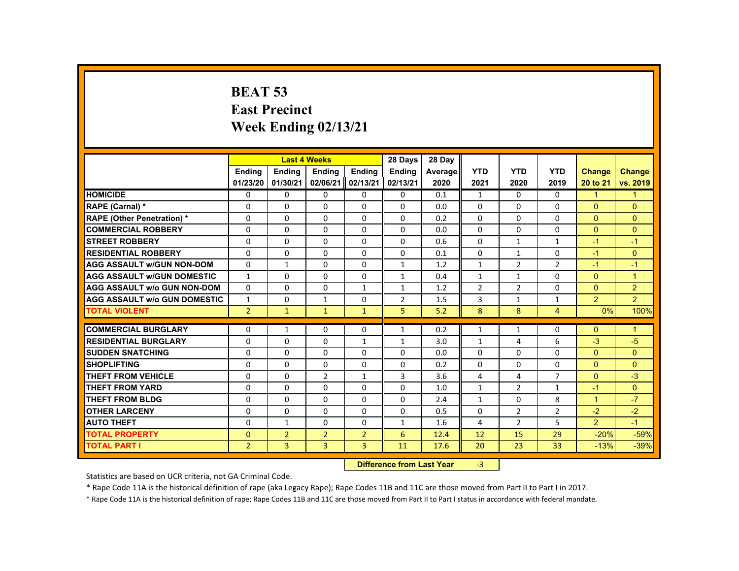# **BEAT 53 East Precinct Week Ending 02/13/21**

|                                     |                |                | <b>Last 4 Weeks</b> |                | 28 Days                           | 28 Day  |                |                |                   |                      |                      |
|-------------------------------------|----------------|----------------|---------------------|----------------|-----------------------------------|---------|----------------|----------------|-------------------|----------------------|----------------------|
|                                     | <b>Endina</b>  | Ending         | Ending              | Ending         | <b>Endina</b>                     | Average | <b>YTD</b>     | <b>YTD</b>     | <b>YTD</b>        | <b>Change</b>        | Change               |
|                                     | 01/23/20       | 01/30/21       | 02/06/21            | 02/13/21       | 02/13/21                          | 2020    | 2021           | 2020           | 2019              | 20 to 21             | vs. 2019             |
| <b>HOMICIDE</b>                     | $\Omega$       | $\Omega$       | $\Omega$            | $\Omega$       | $\mathbf{0}$                      | 0.1     | $\mathbf{1}$   | $\Omega$       | $\Omega$          | $\mathbf{1}$         | 1                    |
| RAPE (Carnal) *                     | $\Omega$       | $\Omega$       | $\Omega$            | $\Omega$       | $\Omega$                          | 0.0     | $\Omega$       | $\Omega$       | $\Omega$          | $\Omega$             | $\Omega$             |
| <b>RAPE (Other Penetration) *</b>   | $\Omega$       | $\Omega$       | $\Omega$            | $\Omega$       | $\Omega$                          | 0.2     | $\Omega$       | $\Omega$       | $\Omega$          | $\mathbf{0}$         | $\Omega$             |
| <b>COMMERCIAL ROBBERY</b>           | $\Omega$       | $\Omega$       | $\Omega$            | $\Omega$       | $\Omega$                          | 0.0     | $\Omega$       | $\Omega$       | $\Omega$          | $\Omega$             | $\Omega$             |
| <b>STREET ROBBERY</b>               | $\Omega$       | $\Omega$       | $\Omega$            | $\Omega$       | $\Omega$                          | 0.6     | $\Omega$       | $\mathbf{1}$   | $\mathbf{1}$      | $-1$                 | $-1$                 |
| <b>RESIDENTIAL ROBBERY</b>          | 0              | $\mathbf{0}$   | 0                   | 0              | 0                                 | 0.1     | $\mathbf{0}$   | $\mathbf{1}$   | 0                 | $-1$                 | $\Omega$             |
| <b>AGG ASSAULT w/GUN NON-DOM</b>    | $\Omega$       | $\mathbf{1}$   | $\Omega$            | $\Omega$       | $\mathbf{1}$                      | 1.2     | $\mathbf{1}$   | $\overline{2}$ | $\overline{2}$    | $-1$                 | $-1$                 |
| <b>AGG ASSAULT w/GUN DOMESTIC</b>   | $\mathbf{1}$   | $\Omega$       | $\Omega$            | $\Omega$       | $\mathbf{1}$                      | 0.4     | $\mathbf{1}$   | $\mathbf{1}$   | $\Omega$          | $\Omega$             | $\overline{1}$       |
| <b>AGG ASSAULT w/o GUN NON-DOM</b>  | $\Omega$       | $\Omega$       | $\Omega$            | $\mathbf{1}$   | $\mathbf{1}$                      | 1.2     | $\overline{2}$ | $\overline{2}$ | $\Omega$          | $\mathbf{0}$         | $\overline{2}$       |
| <b>AGG ASSAULT w/o GUN DOMESTIC</b> | $\mathbf{1}$   | $\mathbf{0}$   | $\mathbf{1}$        | $\mathbf{0}$   | $\overline{2}$                    | 1.5     | 3              | $\mathbf{1}$   | $\mathbf{1}$      | 2                    | $\overline{2}$       |
| <b>TOTAL VIOLENT</b>                | 2 <sup>1</sup> | $\bullet$      | $\mathbf{1}$        | $\mathbf{1}$   | 5                                 | 5.2     | 8              | 8              | $\overline{4}$    | 0%                   | 100%                 |
| <b>COMMERCIAL BURGLARY</b>          | $\Omega$       | $\mathbf{1}$   | $\Omega$            | $\Omega$       | $\mathbf{1}$                      | 0.2     | $\mathbf{1}$   | $\mathbf{1}$   | $\Omega$          | $\mathbf{0}$         | $\blacktriangleleft$ |
| <b>RESIDENTIAL BURGLARY</b>         | $\Omega$       | $\Omega$       | $\Omega$            | $\mathbf{1}$   | $\mathbf{1}$                      | 3.0     | $\mathbf{1}$   | 4              | 6                 | $-3$                 | $-5$                 |
| <b>SUDDEN SNATCHING</b>             | $\Omega$       | $\Omega$       | $\Omega$            | $\Omega$       | $\Omega$                          | 0.0     | $\Omega$       | $\Omega$       | $\Omega$          | $\mathbf{0}$         | $\Omega$             |
| <b>SHOPLIFTING</b>                  | $\Omega$       | $\Omega$       | $\Omega$            | $\Omega$       | $\Omega$                          | 0.2     | $\Omega$       | $\Omega$       | $\Omega$          | $\Omega$             | $\Omega$             |
| <b>THEFT FROM VEHICLE</b>           | $\Omega$       | $\Omega$       | 2                   | $\mathbf{1}$   | 3                                 | 3.6     | 4              | 4              | $\overline{7}$    | $\Omega$             | $-3$                 |
| <b>THEFT FROM YARD</b>              | $\Omega$       | $\Omega$       | $\Omega$            | $\Omega$       | $\Omega$                          |         | $\mathbf{1}$   | $\overline{2}$ |                   | $-1$                 | $\Omega$             |
| <b>THEFT FROM BLDG</b>              | 0              | $\Omega$       | $\Omega$            | $\Omega$       | $\mathbf{0}$                      | 1.0     | $\mathbf{1}$   | $\Omega$       | $\mathbf{1}$<br>8 | $\blacktriangleleft$ | $-7$                 |
| <b>OTHER LARCENY</b>                |                |                | $\Omega$            | $\Omega$       |                                   | 2.4     | $\Omega$       |                |                   | $-2$                 |                      |
|                                     | 0              | $\mathbf{0}$   |                     |                | $\mathbf{0}$                      | 0.5     |                | $\overline{2}$ | $\overline{2}$    |                      | $-2$                 |
| <b>AUTO THEFT</b>                   | $\Omega$       | $\mathbf{1}$   | $\Omega$            | $\Omega$       | $\mathbf{1}$                      | 1.6     | 4              | $\overline{2}$ | 5                 | $\overline{2}$       | $-1$                 |
| <b>TOTAL PROPERTY</b>               | $\Omega$       | $\overline{2}$ | $\overline{2}$      | $\overline{2}$ | 6                                 | 12.4    | 12             | 15             | 29                | $-20%$               | $-59%$               |
| <b>TOTAL PART I</b>                 | $\overline{2}$ | 3              | $\overline{3}$      | 3              | 11                                | 17.6    | 20             | 23             | 33                | $-13%$               | $-39%$               |
|                                     |                |                |                     |                | <b>Difference from Least Vage</b> |         | $\sim$         |                |                   |                      |                      |

 **Difference from Last Year**r -3

Statistics are based on UCR criteria, not GA Criminal Code.

\* Rape Code 11A is the historical definition of rape (aka Legacy Rape); Rape Codes 11B and 11C are those moved from Part II to Part I in 2017.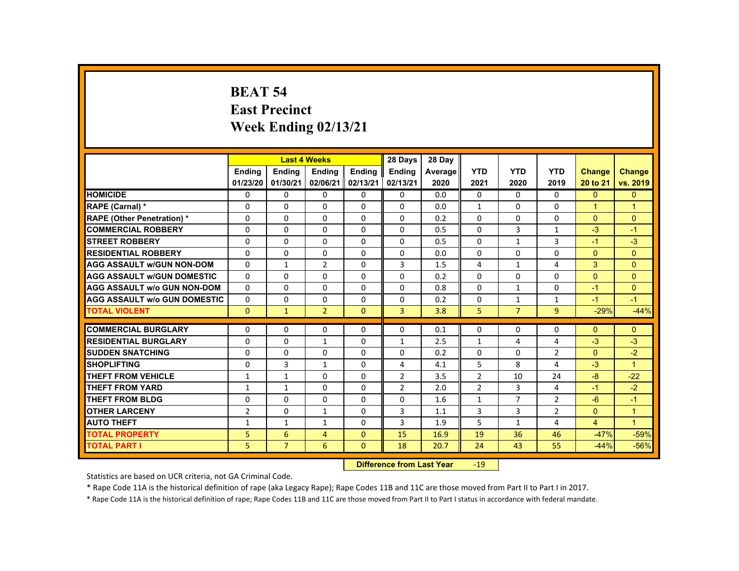#### **BEAT 54 East Precinct Week Ending 02/13/21**

|                                     |                |                | <b>Last 4 Weeks</b>      |               | 28 Days                   | 28 Day  |                 |                |                     |                      |                      |
|-------------------------------------|----------------|----------------|--------------------------|---------------|---------------------------|---------|-----------------|----------------|---------------------|----------------------|----------------------|
|                                     | Ending         | <b>Ending</b>  | <b>Ending</b>            | <b>Ending</b> | Ending                    | Average | <b>YTD</b>      | <b>YTD</b>     | <b>YTD</b>          | <b>Change</b>        | <b>Change</b>        |
|                                     | 01/23/20       | 01/30/21       | 02/06/21                 | 02/13/21      | 02/13/21                  | 2020    | 2021            | 2020           | 2019                | 20 to 21             | vs. 2019             |
| <b>HOMICIDE</b>                     | $\Omega$       | $\Omega$       | $\Omega$                 | $\Omega$      | 0                         | 0.0     | 0               | $\Omega$       | $\Omega$            | $\Omega$             | $\mathbf{0}$         |
| RAPE (Carnal) *                     | 0              | $\Omega$       | $\Omega$                 | $\Omega$      | $\Omega$                  | 0.0     | $\mathbf{1}$    | $\Omega$       | $\Omega$            | $\blacktriangleleft$ | $\blacktriangleleft$ |
| <b>RAPE (Other Penetration) *</b>   | $\Omega$       | $\Omega$       | $\Omega$                 | $\Omega$      | $\Omega$                  | 0.2     | $\Omega$        | $\Omega$       | $\Omega$            | $\Omega$             | $\Omega$             |
| <b>COMMERCIAL ROBBERY</b>           | $\Omega$       | $\Omega$       | $\Omega$                 | $\Omega$      | $\Omega$                  | 0.5     | 0               | 3              | $\mathbf{1}$        | $-3$                 | $-1$                 |
| <b>STREET ROBBERY</b>               | $\Omega$       | $\Omega$       | $\Omega$                 | $\Omega$      | $\Omega$                  | 0.5     | $\Omega$        | $\mathbf{1}$   | 3                   | $-1$                 | $-3$                 |
| <b>RESIDENTIAL ROBBERY</b>          | $\Omega$       | $\Omega$       | $\Omega$                 | $\Omega$      | 0                         | 0.0     | 0               | 0              | 0                   | $\Omega$             | $\overline{0}$       |
| <b>AGG ASSAULT W/GUN NON-DOM</b>    | $\Omega$       | $\mathbf{1}$   | $\overline{2}$           | $\Omega$      | 3                         | 1.5     | 4               | $\mathbf{1}$   | 4                   | 3                    | $\Omega$             |
| <b>AGG ASSAULT W/GUN DOMESTIC</b>   | $\Omega$       | $\Omega$       | $\Omega$                 | $\Omega$      | $\Omega$                  | 0.2     | $\Omega$        | $\Omega$       | $\Omega$            | $\Omega$             | $\Omega$             |
| <b>AGG ASSAULT w/o GUN NON-DOM</b>  | $\Omega$       | $\Omega$       | $\Omega$                 | $\Omega$      | $\Omega$                  | 0.8     | $\Omega$        | $\mathbf{1}$   | $\Omega$            | $-1$                 | $\Omega$             |
| <b>AGG ASSAULT W/o GUN DOMESTIC</b> | $\Omega$       | $\Omega$       | $\Omega$                 | $\Omega$      | $\Omega$                  | 0.2     | $\Omega$        | $\mathbf{1}$   | $\mathbf{1}$        | $-1$                 | $-1$                 |
| <b>TOTAL VIOLENT</b>                | $\Omega$       | $\mathbf{1}$   | $\overline{2}$           | $\mathbf{0}$  | $\overline{3}$            | 3.8     | 5               | $\overline{7}$ | $\overline{9}$      | $-29%$               | $-44%$               |
| <b>COMMERCIAL BURGLARY</b>          | $\Omega$       | $\Omega$       | $\Omega$                 | $\Omega$      | $\Omega$                  | 0.1     | $\Omega$        | $\Omega$       | $\Omega$            | $\Omega$             | $\Omega$             |
| <b>RESIDENTIAL BURGLARY</b>         | $\Omega$       | $\Omega$       |                          | $\Omega$      | $\mathbf{1}$              |         | $\mathbf{1}$    | 4              | 4                   | $-3$                 | $-3$                 |
| <b>SUDDEN SNATCHING</b>             | $\Omega$       | $\Omega$       | $\mathbf{1}$<br>$\Omega$ | $\Omega$      | $\Omega$                  | 2.5     |                 | $\Omega$       |                     | $\Omega$             | $-2$                 |
| <b>SHOPLIFTING</b>                  | $\Omega$       | 3              | $\mathbf{1}$             | $\Omega$      | 4                         | 0.2     | 0<br>5          | 8              | $\overline{2}$<br>4 | $-3$                 | $\blacktriangleleft$ |
| <b>THEFT FROM VEHICLE</b>           |                |                | $\Omega$                 | $\Omega$      |                           | 4.1     |                 | 10             | 24                  | $-8$                 |                      |
|                                     | $\mathbf{1}$   | $\mathbf{1}$   |                          |               | 2                         | 3.5     | $\overline{2}$  |                |                     |                      | $-22$                |
| <b>THEFT FROM YARD</b>              | 1              | $\mathbf{1}$   | $\Omega$                 | $\Omega$      | $\overline{2}$            | 2.0     | $\overline{2}$  | $\overline{3}$ | 4                   | $-1$                 | $-2$                 |
| <b>THEFT FROM BLDG</b>              | $\mathbf 0$    | $\Omega$       | $\Omega$                 | $\Omega$      | $\Omega$                  | 1.6     | $\mathbf{1}$    | $\overline{7}$ | $\overline{2}$      | $-6$                 | $-1$                 |
| <b>OTHER LARCENY</b>                | $\overline{2}$ | $\Omega$       | $\mathbf{1}$             | $\Omega$      | 3                         | 1.1     | 3               | 3              | $\overline{2}$      | $\Omega$             | $\mathbf{1}$         |
| <b>AUTO THEFT</b>                   | $\mathbf{1}$   | $\mathbf{1}$   | $\mathbf{1}$             | $\Omega$      | 3                         | 1.9     | 5               | $\mathbf{1}$   | 4                   | $\overline{4}$       | $\overline{1}$       |
| <b>TOTAL PROPERTY</b>               | 5.             | 6              | $\overline{4}$           | $\Omega$      | 15                        | 16.9    | 19              | 36             | 46                  | $-47%$               | $-59%$               |
| <b>TOTAL PART I</b>                 | 5              | $\overline{7}$ | 6                        | $\Omega$      | 18                        | 20.7    | 24              | 43             | 55                  | $-44%$               | $-56%$               |
|                                     |                |                |                          |               | Difference from Loot Voor |         | 10 <sup>1</sup> |                |                     |                      |                      |

 **Difference from Last Year**‐19

Statistics are based on UCR criteria, not GA Criminal Code.

\* Rape Code 11A is the historical definition of rape (aka Legacy Rape); Rape Codes 11B and 11C are those moved from Part II to Part I in 2017.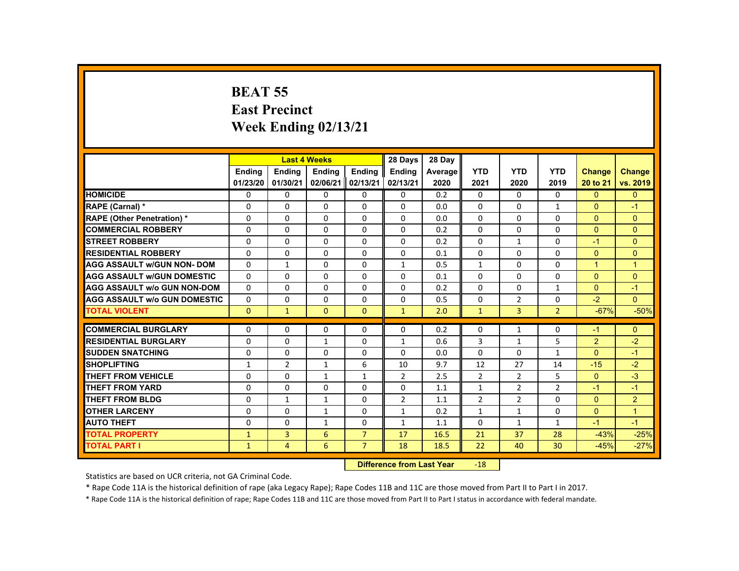### **BEAT 55 East Precinct Week Ending 02/13/21**

|                                     |               |                | <b>Last 4 Weeks</b> |                | 28 Days                   | 28 Day  |                 |                |                |                      |                |
|-------------------------------------|---------------|----------------|---------------------|----------------|---------------------------|---------|-----------------|----------------|----------------|----------------------|----------------|
|                                     | <b>Ending</b> | <b>Ending</b>  | <b>Ending</b>       | Ending         | <b>Endina</b>             | Average | <b>YTD</b>      | <b>YTD</b>     | <b>YTD</b>     | <b>Change</b>        | <b>Change</b>  |
|                                     | 01/23/20      | 01/30/21       | 02/06/21            | 02/13/21       | 02/13/21                  | 2020    | 2021            | 2020           | 2019           | 20 to 21             | vs. 2019       |
| <b>HOMICIDE</b>                     | $\mathbf{0}$  | $\Omega$       | $\Omega$            | $\Omega$       | 0                         | 0.2     | $\Omega$        | $\Omega$       | $\Omega$       | $\Omega$             | $\overline{0}$ |
| RAPE (Carnal) *                     | $\Omega$      | $\Omega$       | $\mathbf{0}$        | $\Omega$       | $\Omega$                  | 0.0     | $\Omega$        | $\Omega$       | $\mathbf{1}$   | $\mathbf{0}$         | $-1$           |
| <b>RAPE (Other Penetration) *</b>   | $\Omega$      | $\Omega$       | $\Omega$            | $\Omega$       | 0                         | 0.0     | 0               | $\Omega$       | $\Omega$       | $\Omega$             | $\Omega$       |
| <b>COMMERCIAL ROBBERY</b>           | $\Omega$      | $\Omega$       | $\Omega$            | $\Omega$       | $\Omega$                  | 0.2     | $\Omega$        | $\Omega$       | 0              | $\Omega$             | $\Omega$       |
| <b>STREET ROBBERY</b>               | $\Omega$      | $\Omega$       | $\Omega$            | $\Omega$       | $\Omega$                  | 0.2     | $\Omega$        | $\mathbf{1}$   | $\Omega$       | $-1$                 | $\Omega$       |
| <b>RESIDENTIAL ROBBERY</b>          | $\Omega$      | $\Omega$       | $\Omega$            | $\mathbf{0}$   | 0                         | 0.1     | 0               | 0              | 0              | $\overline{0}$       | $\mathbf{0}$   |
| <b>AGG ASSAULT w/GUN NON- DOM</b>   | $\Omega$      | $\mathbf{1}$   | $\Omega$            | $\Omega$       | $\mathbf{1}$              | 0.5     | $\mathbf{1}$    | $\Omega$       | $\Omega$       | $\blacktriangleleft$ | $\overline{1}$ |
| <b>AGG ASSAULT w/GUN DOMESTIC</b>   | $\Omega$      | $\Omega$       | $\Omega$            | $\Omega$       | $\Omega$                  | 0.1     | $\Omega$        | $\Omega$       | $\Omega$       | $\Omega$             | $\mathbf{0}$   |
| <b>AGG ASSAULT w/o GUN NON-DOM</b>  | $\Omega$      | $\Omega$       | $\Omega$            | $\Omega$       | $\Omega$                  | 0.2     | $\Omega$        | $\Omega$       | $\mathbf{1}$   | $\Omega$             | $-1$           |
| <b>AGG ASSAULT W/o GUN DOMESTIC</b> | $\Omega$      | $\Omega$       | $\Omega$            | $\Omega$       | $\Omega$                  | 0.5     | $\Omega$        | $\overline{2}$ | $\Omega$       | $-2$                 | $\overline{0}$ |
| <b>TOTAL VIOLENT</b>                | $\Omega$      | $\mathbf{1}$   | $\Omega$            | $\Omega$       | $\mathbf{1}$              | 2.0     | $\mathbf{1}$    | $\overline{3}$ | 2 <sup>1</sup> | $-67%$               | $-50%$         |
| <b>COMMERCIAL BURGLARY</b>          | $\Omega$      | $\Omega$       | $\Omega$            | $\Omega$       |                           |         |                 |                |                |                      |                |
|                                     |               |                |                     |                | $\Omega$                  | 0.2     | $\Omega$        | $\mathbf{1}$   | $\Omega$       | $-1$                 | $\Omega$       |
| <b>RESIDENTIAL BURGLARY</b>         | $\Omega$      | $\Omega$       | $\mathbf{1}$        | $\Omega$       | $\mathbf{1}$              | 0.6     | 3               | $\mathbf{1}$   | 5              | 2                    | $-2$           |
| <b>SUDDEN SNATCHING</b>             | $\Omega$      | $\Omega$       | $\Omega$            | $\mathbf{0}$   | $\Omega$                  | 0.0     | $\Omega$        | 0              | $\mathbf{1}$   | $\mathbf{0}$         | $-1$           |
| <b>SHOPLIFTING</b>                  | $\mathbf{1}$  | $\overline{2}$ | $\mathbf{1}$        | 6              | 10                        | 9.7     | 12              | 27             | 14             | $-15$                | $-2$           |
| <b>THEFT FROM VEHICLE</b>           | $\Omega$      | $\Omega$       | $\mathbf{1}$        | $\mathbf{1}$   | $\overline{2}$            | 2.5     | $\overline{2}$  | $\overline{2}$ | 5              | $\overline{0}$       | $-3$           |
| <b>THEFT FROM YARD</b>              | $\Omega$      | $\Omega$       | $\Omega$            | $\Omega$       | $\Omega$                  | 1.1     | $\mathbf{1}$    | $\overline{2}$ | $\overline{2}$ | $-1$                 | $-1$           |
| <b>THEFT FROM BLDG</b>              | $\Omega$      | $\mathbf{1}$   | $\mathbf{1}$        | $\Omega$       | $\overline{2}$            | 1.1     | $\overline{2}$  | $\overline{2}$ | $\Omega$       | $\Omega$             | $\overline{2}$ |
| <b>OTHER LARCENY</b>                | $\Omega$      | $\Omega$       | $\mathbf{1}$        | $\Omega$       | $\mathbf{1}$              | 0.2     | $\mathbf{1}$    | 1              | $\Omega$       | $\Omega$             | $\mathbf{1}$   |
| <b>AUTO THEFT</b>                   | $\Omega$      | $\Omega$       | $\mathbf{1}$        | $\Omega$       | $\mathbf{1}$              | 1.1     | $\Omega$        | $\mathbf{1}$   | $\mathbf{1}$   | $-1$                 | $-1$           |
| <b>TOTAL PROPERTY</b>               | $\mathbf{1}$  | $\overline{3}$ | 6                   | $\overline{7}$ | 17                        | 16.5    | 21              | 37             | 28             | $-43%$               | $-25%$         |
| <b>TOTAL PART I</b>                 | $\mathbf{1}$  | $\overline{4}$ | 6                   | $\overline{7}$ | 18                        | 18.5    | 22              | 40             | 30             | $-45%$               | $-27%$         |
|                                     |               |                |                     |                | Difference from Look Vann |         | 40 <sup>o</sup> |                |                |                      |                |

 **Difference from Last Year**r -18

Statistics are based on UCR criteria, not GA Criminal Code.

\* Rape Code 11A is the historical definition of rape (aka Legacy Rape); Rape Codes 11B and 11C are those moved from Part II to Part I in 2017.